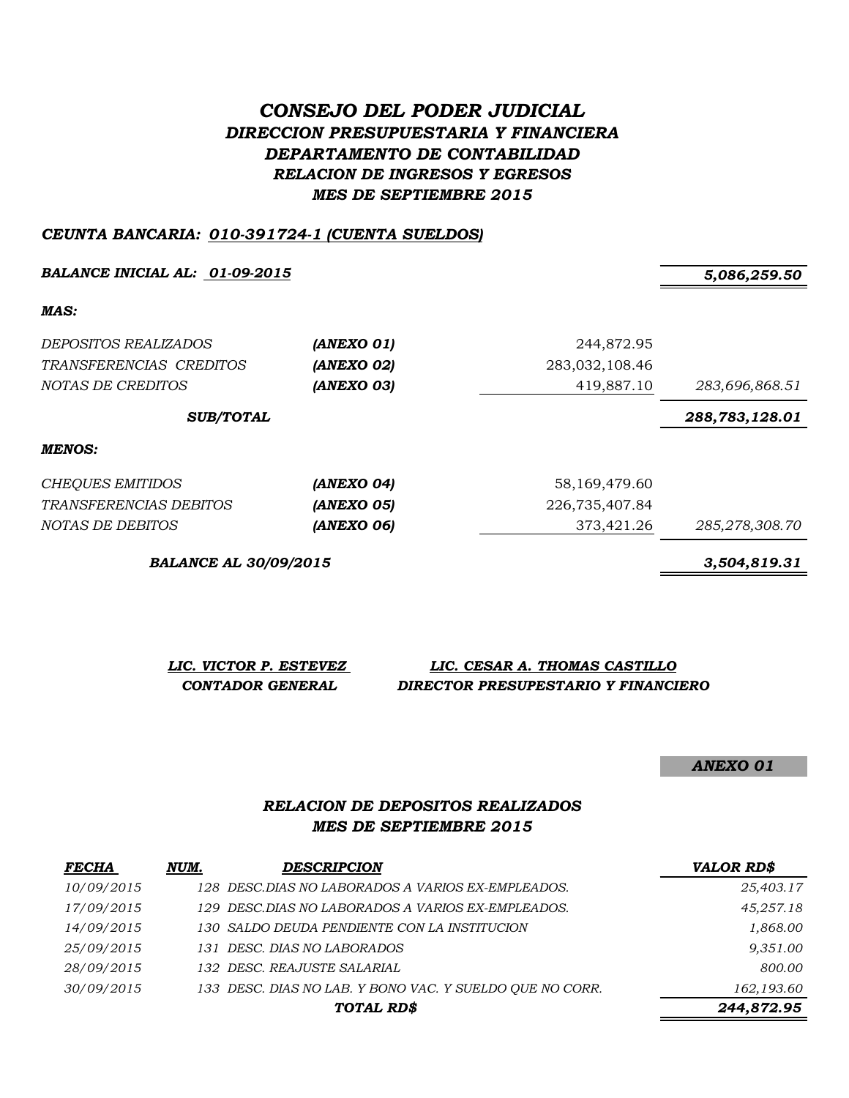# *CONSEJO DEL PODER JUDICIAL DIRECCION PRESUPUESTARIA Y FINANCIERA DEPARTAMENTO DE CONTABILIDAD RELACION DE INGRESOS Y EGRESOS MES DE SEPTIEMBRE 2015*

#### *CEUNTA BANCARIA: 010-391724-1 (CUENTA SUELDOS)*

*BALANCE INICIAL AL: 01-09-2015 5,086,259.50*

*MAS:*

| <i>DEPOSITOS REALIZADOS</i><br>TRANSFERENCIAS CREDITOS<br>NOTAS DE CREDITOS | (ANEXO 01)<br>(ANEXO 02)<br>(ANEXO 03) | 244,872.95<br>283,032,108.46<br>419,887.10 | 283,696,868.51 |
|-----------------------------------------------------------------------------|----------------------------------------|--------------------------------------------|----------------|
| <b>SUB/TOTAL</b>                                                            |                                        |                                            | 288,783,128.01 |
| MENOS:                                                                      |                                        |                                            |                |
| <b>CHEQUES EMITIDOS</b>                                                     | (ANEXO 04)                             | 58,169,479.60                              |                |
| <i>TRANSFERENCIAS DEBITOS</i>                                               | (ANEXO 05)                             | 226,735,407.84                             |                |
| NOTAS DE DEBITOS                                                            | (ANEXO 06)                             | 373,421.26                                 | 285,278,308.70 |

*BALANCE AL 30/09/2015 3,504,819.31*

*LIC. VICTOR P. ESTEVEZ LIC. CESAR A. THOMAS CASTILLO CONTADOR GENERAL DIRECTOR PRESUPESTARIO Y FINANCIERO*

*ANEXO 01*

#### *RELACION DE DEPOSITOS REALIZADOS MES DE SEPTIEMBRE 2015*

| <b>FECHA</b> | NUM. | <b>DESCRIPCION</b>                                       | <b>VALOR RD\$</b> |
|--------------|------|----------------------------------------------------------|-------------------|
| 10/09/2015   |      | 128 DESC.DIAS NO LABORADOS A VARIOS EX-EMPLEADOS.        | 25,403.17         |
| 17/09/2015   |      | 129 DESC.DIAS NO LABORADOS A VARIOS EX-EMPLEADOS.        | 45,257.18         |
| 14/09/2015   |      | 130 SALDO DEUDA PENDIENTE CON LA INSTITUCION             | 1,868.00          |
| 25/09/2015   |      | 131 DESC. DIAS NO LABORADOS                              | 9,351.00          |
| 28/09/2015   |      | 132 DESC. REAJUSTE SALARIAL                              | 800.00            |
| 30/09/2015   |      | 133 DESC. DIAS NO LAB. Y BONO VAC. Y SUELDO OUE NO CORR. | 162,193.60        |
|              |      | TOTAL RD\$                                               | 244,872.95        |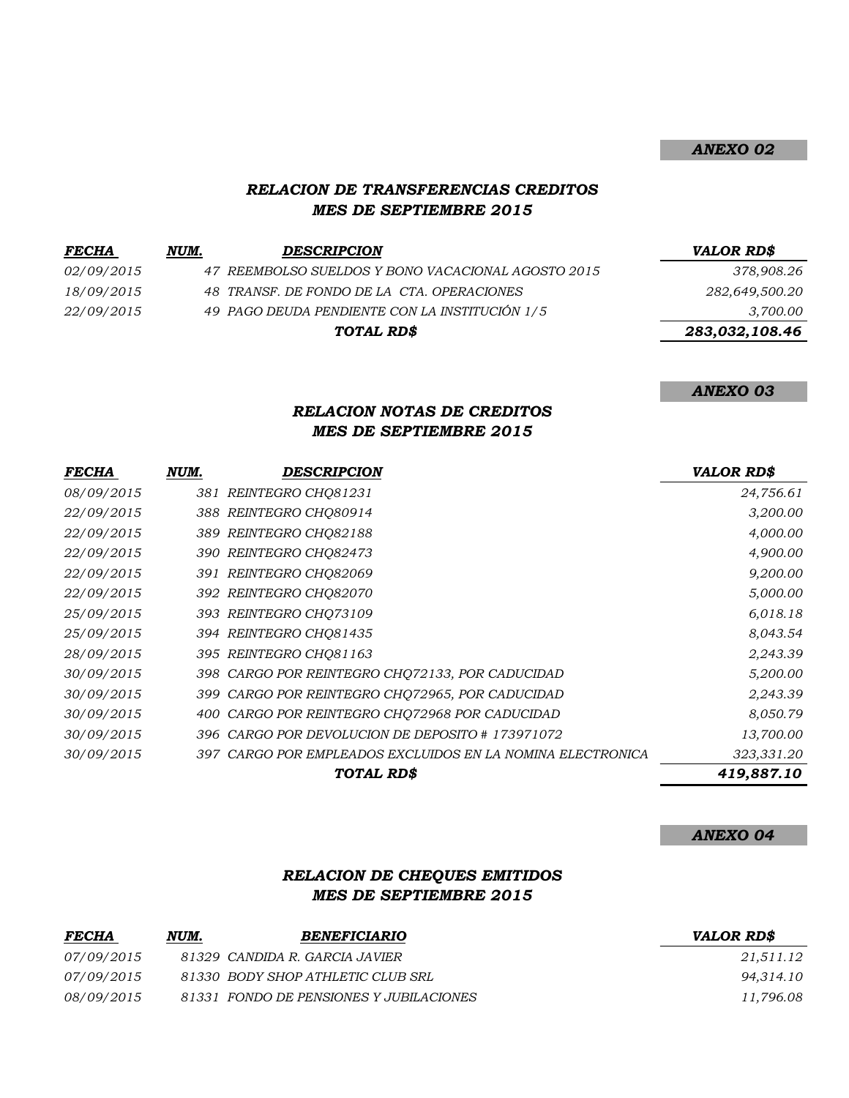### *ANEXO 02*

### *RELACION DE TRANSFERENCIAS CREDITOS MES DE SEPTIEMBRE 2015*

| <b>FECHA</b> | NUM. | <b>DESCRIPCION</b>                                 | <b>VALOR RD\$</b> |
|--------------|------|----------------------------------------------------|-------------------|
| 02/09/2015   |      | 47 REEMBOLSO SUELDOS Y BONO VACACIONAL AGOSTO 2015 | 378,908.26        |
| 18/09/2015   |      | 48 TRANSF. DE FONDO DE LA CTA. OPERACIONES         | 282,649,500.20    |
| 22/09/2015   |      | 49 PAGO DEUDA PENDIENTE CON LA INSTITUCIÓN 1/5     | 3,700.00          |
|              |      | TOTAL RD\$                                         | 283,032,108.46    |
|              |      |                                                    |                   |

*ANEXO 03*

## *RELACION NOTAS DE CREDITOS MES DE SEPTIEMBRE 2015*

| <b>FECHA</b> | NUM. | DESCRIPCION                                                | <b>VALOR RD\$</b> |
|--------------|------|------------------------------------------------------------|-------------------|
| 08/09/2015   |      | 381 REINTEGRO CHO81231                                     | 24,756.61         |
| 22/09/2015   |      | 388 REINTEGRO CHQ80914                                     | 3,200.00          |
| 22/09/2015   |      | 389 REINTEGRO CHQ82188                                     | 4,000.00          |
| 22/09/2015   |      | 390 REINTEGRO CHQ82473                                     | 4,900.00          |
| 22/09/2015   |      | 391 REINTEGRO CHQ82069                                     | 9,200.00          |
| 22/09/2015   |      | 392 REINTEGRO CHQ82070                                     | 5,000.00          |
| 25/09/2015   |      | 393 REINTEGRO CHQ73109                                     | 6,018.18          |
| 25/09/2015   |      | 394 REINTEGRO CHQ81435                                     | 8,043.54          |
| 28/09/2015   |      | 395 REINTEGRO CHQ81163                                     | 2,243.39          |
| 30/09/2015   |      | 398 CARGO POR REINTEGRO CHQ72133, POR CADUCIDAD            | 5,200.00          |
| 30/09/2015   |      | 399 CARGO POR REINTEGRO CHQ72965, POR CADUCIDAD            | 2,243.39          |
| 30/09/2015   | 400  | CARGO POR REINTEGRO CHQ72968 POR CADUCIDAD                 | 8,050.79          |
| 30/09/2015   |      | 396 CARGO POR DEVOLUCION DE DEPOSITO # 173971072           | 13,700.00         |
| 30/09/2015   |      | 397 CARGO POR EMPLEADOS EXCLUIDOS EN LA NOMINA ELECTRONICA | 323,331.20        |
|              |      | TOTAL RD\$                                                 | 419,887.10        |

*ANEXO 04*

#### *RELACION DE CHEQUES EMITIDOS MES DE SEPTIEMBRE 2015*

| <b>FECHA</b> | NUM. | <b>BENEFICIARIO</b>                     | <b>VALOR RD\$</b> |
|--------------|------|-----------------------------------------|-------------------|
| 07/09/2015   |      | 81329 CANDIDA R. GARCIA JAVIER          | 21,511.12         |
| 07/09/2015   |      | 81330 BODY SHOP ATHLETIC CLUB SRL       | 94.314.10         |
| 08/09/2015   |      | 81331 FONDO DE PENSIONES Y JUBILACIONES | 11,796.08         |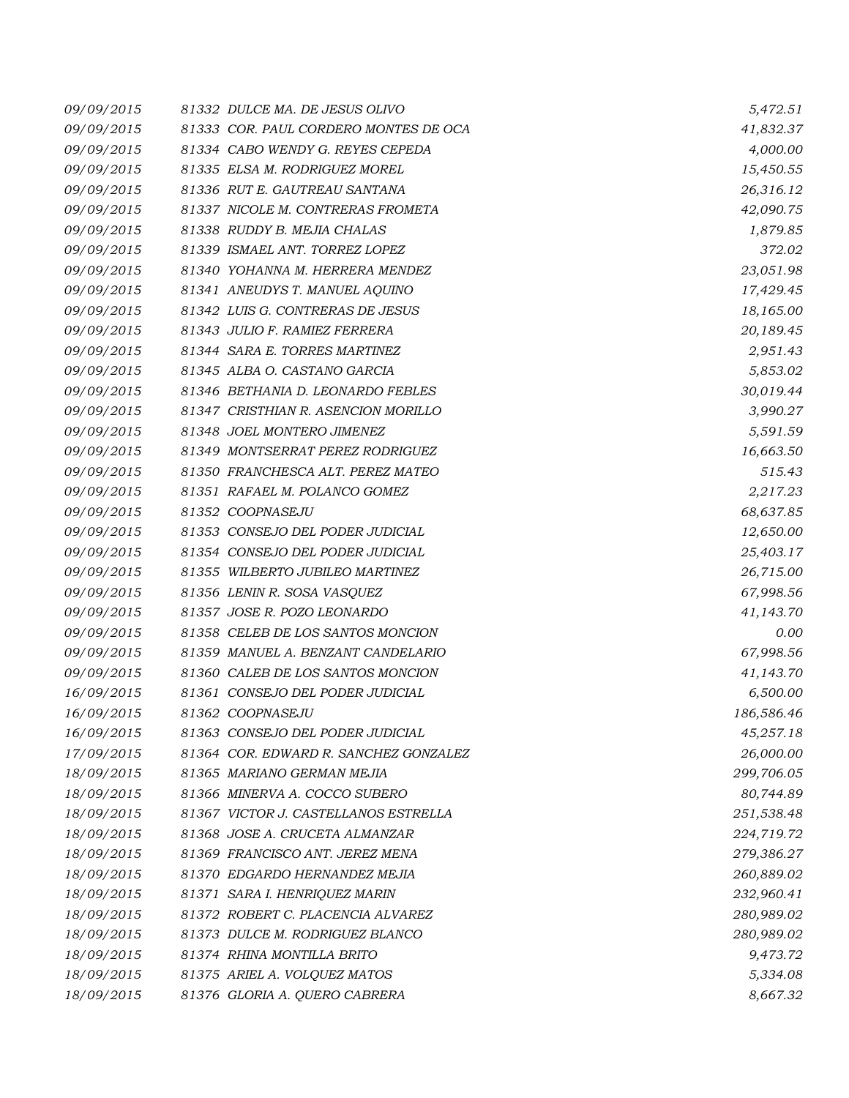| 09/09/2015 | 81332 DULCE MA. DE JESUS OLIVO        | 5,472.51   |
|------------|---------------------------------------|------------|
| 09/09/2015 | 81333 COR. PAUL CORDERO MONTES DE OCA | 41,832.37  |
| 09/09/2015 | 81334 CABO WENDY G. REYES CEPEDA      | 4,000.00   |
| 09/09/2015 | 81335 ELSA M. RODRIGUEZ MOREL         | 15,450.55  |
| 09/09/2015 | 81336 RUT E. GAUTREAU SANTANA         | 26,316.12  |
| 09/09/2015 | 81337 NICOLE M. CONTRERAS FROMETA     | 42,090.75  |
| 09/09/2015 | 81338 RUDDY B. MEJIA CHALAS           | 1,879.85   |
| 09/09/2015 | 81339 ISMAEL ANT. TORREZ LOPEZ        | 372.02     |
| 09/09/2015 | 81340 YOHANNA M. HERRERA MENDEZ       | 23,051.98  |
| 09/09/2015 | 81341 ANEUDYS T. MANUEL AQUINO        | 17,429.45  |
| 09/09/2015 | 81342 LUIS G. CONTRERAS DE JESUS      | 18,165.00  |
| 09/09/2015 | 81343 JULIO F. RAMIEZ FERRERA         | 20,189.45  |
| 09/09/2015 | 81344 SARA E. TORRES MARTINEZ         | 2,951.43   |
| 09/09/2015 | 81345 ALBA O. CASTANO GARCIA          | 5,853.02   |
| 09/09/2015 | 81346 BETHANIA D. LEONARDO FEBLES     | 30,019.44  |
| 09/09/2015 | 81347 CRISTHIAN R. ASENCION MORILLO   | 3,990.27   |
| 09/09/2015 | 81348 JOEL MONTERO JIMENEZ            | 5,591.59   |
| 09/09/2015 | 81349 MONTSERRAT PEREZ RODRIGUEZ      | 16,663.50  |
| 09/09/2015 | 81350 FRANCHESCA ALT. PEREZ MATEO     | 515.43     |
| 09/09/2015 | 81351 RAFAEL M. POLANCO GOMEZ         | 2,217.23   |
| 09/09/2015 | 81352 COOPNASEJU                      | 68,637.85  |
| 09/09/2015 | 81353 CONSEJO DEL PODER JUDICIAL      | 12,650.00  |
| 09/09/2015 | 81354 CONSEJO DEL PODER JUDICIAL      | 25,403.17  |
| 09/09/2015 | 81355 WILBERTO JUBILEO MARTINEZ       | 26,715.00  |
| 09/09/2015 | 81356 LENIN R. SOSA VASQUEZ           | 67,998.56  |
| 09/09/2015 | 81357 JOSE R. POZO LEONARDO           | 41,143.70  |
| 09/09/2015 | 81358 CELEB DE LOS SANTOS MONCION     | 0.00       |
| 09/09/2015 | 81359 MANUEL A. BENZANT CANDELARIO    | 67,998.56  |
| 09/09/2015 | 81360 CALEB DE LOS SANTOS MONCION     | 41,143.70  |
| 16/09/2015 | 81361 CONSEJO DEL PODER JUDICIAL      | 6,500.00   |
| 16/09/2015 | 81362 COOPNASEJU                      | 186,586.46 |
| 16/09/2015 | 81363 CONSEJO DEL PODER JUDICIAL      | 45,257.18  |
| 17/09/2015 | 81364 COR. EDWARD R. SANCHEZ GONZALEZ | 26,000.00  |
| 18/09/2015 | 81365 MARIANO GERMAN MEJIA            | 299,706.05 |
| 18/09/2015 | 81366 MINERVA A. COCCO SUBERO         | 80,744.89  |
| 18/09/2015 | 81367 VICTOR J. CASTELLANOS ESTRELLA  | 251,538.48 |
| 18/09/2015 | 81368 JOSE A. CRUCETA ALMANZAR        | 224,719.72 |
| 18/09/2015 | 81369 FRANCISCO ANT. JEREZ MENA       | 279,386.27 |
| 18/09/2015 | 81370 EDGARDO HERNANDEZ MEJIA         | 260,889.02 |
| 18/09/2015 | 81371 SARA I. HENRIQUEZ MARIN         | 232,960.41 |
| 18/09/2015 | 81372 ROBERT C. PLACENCIA ALVAREZ     | 280,989.02 |
| 18/09/2015 | 81373 DULCE M. RODRIGUEZ BLANCO       | 280,989.02 |
| 18/09/2015 | 81374 RHINA MONTILLA BRITO            | 9,473.72   |
| 18/09/2015 | 81375 ARIEL A. VOLQUEZ MATOS          | 5,334.08   |
| 18/09/2015 | 81376 GLORIA A. QUERO CABRERA         | 8,667.32   |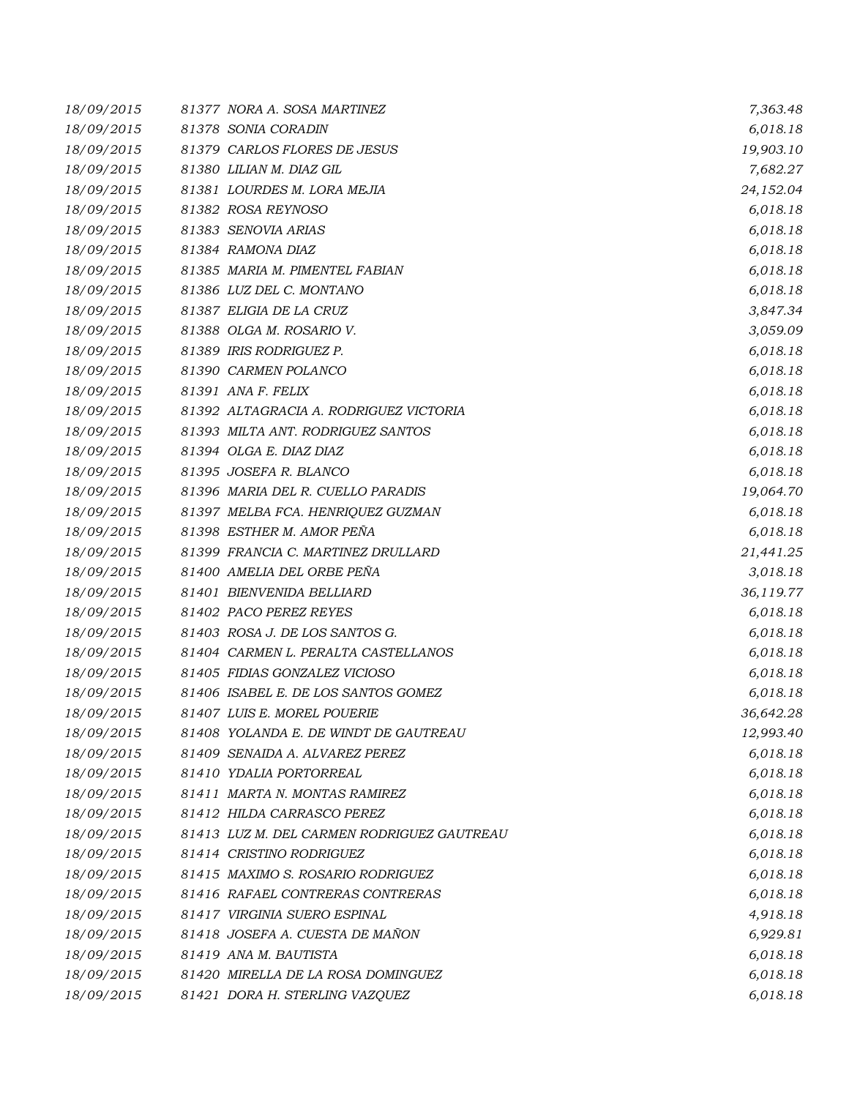| 18/09/2015 | 81377 NORA A. SOSA MARTINEZ                | 7,363.48  |
|------------|--------------------------------------------|-----------|
| 18/09/2015 | 81378 SONIA CORADIN                        | 6,018.18  |
| 18/09/2015 | 81379 CARLOS FLORES DE JESUS               | 19,903.10 |
| 18/09/2015 | 81380 LILIAN M. DIAZ GIL                   | 7,682.27  |
| 18/09/2015 | 81381 LOURDES M. LORA MEJIA                | 24,152.04 |
| 18/09/2015 | 81382 ROSA REYNOSO                         | 6,018.18  |
| 18/09/2015 | 81383 SENOVIA ARIAS                        | 6,018.18  |
| 18/09/2015 | 81384 RAMONA DIAZ                          | 6,018.18  |
| 18/09/2015 | 81385 MARIA M. PIMENTEL FABIAN             | 6,018.18  |
| 18/09/2015 | 81386 LUZ DEL C. MONTANO                   | 6,018.18  |
| 18/09/2015 | 81387 ELIGIA DE LA CRUZ                    | 3,847.34  |
| 18/09/2015 | 81388 OLGA M. ROSARIO V.                   | 3,059.09  |
| 18/09/2015 | 81389 IRIS RODRIGUEZ P.                    | 6,018.18  |
| 18/09/2015 | 81390 CARMEN POLANCO                       | 6,018.18  |
| 18/09/2015 | 81391 ANA F. FELIX                         | 6,018.18  |
| 18/09/2015 | 81392 ALTAGRACIA A. RODRIGUEZ VICTORIA     | 6,018.18  |
| 18/09/2015 | 81393 MILTA ANT. RODRIGUEZ SANTOS          | 6,018.18  |
| 18/09/2015 | 81394 OLGA E. DIAZ DIAZ                    | 6,018.18  |
| 18/09/2015 | 81395 JOSEFA R. BLANCO                     | 6,018.18  |
| 18/09/2015 | 81396 MARIA DEL R. CUELLO PARADIS          | 19,064.70 |
| 18/09/2015 | 81397 MELBA FCA. HENRIQUEZ GUZMAN          | 6,018.18  |
| 18/09/2015 | 81398 ESTHER M. AMOR PEÑA                  | 6,018.18  |
| 18/09/2015 | 81399 FRANCIA C. MARTINEZ DRULLARD         | 21,441.25 |
| 18/09/2015 | 81400 AMELIA DEL ORBE PEÑA                 | 3,018.18  |
| 18/09/2015 | 81401 BIENVENIDA BELLIARD                  | 36,119.77 |
| 18/09/2015 | 81402 PACO PEREZ REYES                     | 6,018.18  |
| 18/09/2015 | 81403 ROSA J. DE LOS SANTOS G.             | 6,018.18  |
| 18/09/2015 | 81404 CARMEN L. PERALTA CASTELLANOS        | 6,018.18  |
| 18/09/2015 | 81405 FIDIAS GONZALEZ VICIOSO              | 6,018.18  |
| 18/09/2015 | 81406 ISABEL E. DE LOS SANTOS GOMEZ        | 6,018.18  |
| 18/09/2015 | 81407 LUIS E. MOREL POUERIE                | 36,642.28 |
| 18/09/2015 | 81408 YOLANDA E. DE WINDT DE GAUTREAU      | 12,993.40 |
| 18/09/2015 | 81409 SENAIDA A. ALVAREZ PEREZ             | 6,018.18  |
| 18/09/2015 | 81410 YDALIA PORTORREAL                    | 6,018.18  |
| 18/09/2015 | 81411 MARTA N. MONTAS RAMIREZ              | 6,018.18  |
| 18/09/2015 | 81412 HILDA CARRASCO PEREZ                 | 6,018.18  |
| 18/09/2015 | 81413 LUZ M. DEL CARMEN RODRIGUEZ GAUTREAU | 6,018.18  |
| 18/09/2015 | 81414 CRISTINO RODRIGUEZ                   | 6,018.18  |
| 18/09/2015 | 81415 MAXIMO S. ROSARIO RODRIGUEZ          | 6,018.18  |
| 18/09/2015 | 81416 RAFAEL CONTRERAS CONTRERAS           | 6,018.18  |
| 18/09/2015 | 81417 VIRGINIA SUERO ESPINAL               | 4,918.18  |
| 18/09/2015 | 81418 JOSEFA A. CUESTA DE MAÑON            | 6,929.81  |
| 18/09/2015 | 81419 ANA M. BAUTISTA                      | 6,018.18  |
| 18/09/2015 | 81420 MIRELLA DE LA ROSA DOMINGUEZ         | 6,018.18  |
| 18/09/2015 | 81421 DORA H. STERLING VAZQUEZ             | 6,018.18  |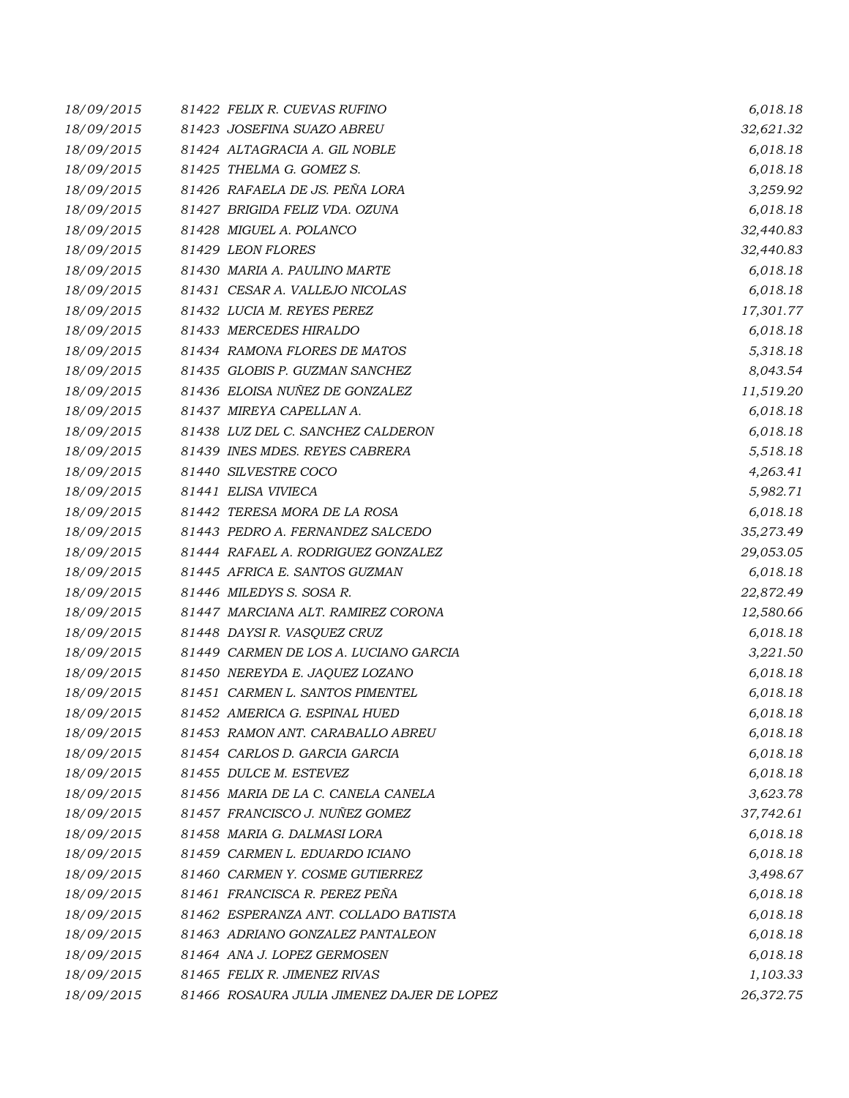| 18/09/2015 | 81422 FELIX R. CUEVAS RUFINO               | 6,018.18  |
|------------|--------------------------------------------|-----------|
| 18/09/2015 | 81423 JOSEFINA SUAZO ABREU                 | 32,621.32 |
| 18/09/2015 | 81424 ALTAGRACIA A. GIL NOBLE              | 6,018.18  |
| 18/09/2015 | 81425 THELMA G. GOMEZ S.                   | 6,018.18  |
| 18/09/2015 | 81426 RAFAELA DE JS. PEÑA LORA             | 3,259.92  |
| 18/09/2015 | 81427 BRIGIDA FELIZ VDA. OZUNA             | 6,018.18  |
| 18/09/2015 | 81428 MIGUEL A. POLANCO                    | 32,440.83 |
| 18/09/2015 | 81429 LEON FLORES                          | 32,440.83 |
| 18/09/2015 | 81430 MARIA A. PAULINO MARTE               | 6,018.18  |
| 18/09/2015 | 81431 CESAR A. VALLEJO NICOLAS             | 6,018.18  |
| 18/09/2015 | 81432 LUCIA M. REYES PEREZ                 | 17,301.77 |
| 18/09/2015 | 81433 MERCEDES HIRALDO                     | 6,018.18  |
| 18/09/2015 | 81434 RAMONA FLORES DE MATOS               | 5,318.18  |
| 18/09/2015 | 81435 GLOBIS P. GUZMAN SANCHEZ             | 8,043.54  |
| 18/09/2015 | 81436 ELOISA NUÑEZ DE GONZALEZ             | 11,519.20 |
| 18/09/2015 | 81437 MIREYA CAPELLAN A.                   | 6,018.18  |
| 18/09/2015 | 81438 LUZ DEL C. SANCHEZ CALDERON          | 6,018.18  |
| 18/09/2015 | 81439 INES MDES. REYES CABRERA             | 5,518.18  |
| 18/09/2015 | 81440 SILVESTRE COCO                       | 4,263.41  |
| 18/09/2015 | 81441 ELISA VIVIECA                        | 5,982.71  |
| 18/09/2015 | 81442 TERESA MORA DE LA ROSA               | 6,018.18  |
| 18/09/2015 | 81443 PEDRO A. FERNANDEZ SALCEDO           | 35,273.49 |
| 18/09/2015 | 81444 RAFAEL A. RODRIGUEZ GONZALEZ         | 29,053.05 |
| 18/09/2015 | 81445 AFRICA E. SANTOS GUZMAN              | 6,018.18  |
| 18/09/2015 | 81446 MILEDYS S. SOSA R.                   | 22,872.49 |
| 18/09/2015 | 81447 MARCIANA ALT. RAMIREZ CORONA         | 12,580.66 |
| 18/09/2015 | 81448 DAYSIR. VASQUEZ CRUZ                 | 6,018.18  |
| 18/09/2015 | 81449 CARMEN DE LOS A. LUCIANO GARCIA      | 3,221.50  |
| 18/09/2015 | 81450 NEREYDA E. JAQUEZ LOZANO             | 6,018.18  |
| 18/09/2015 | 81451 CARMEN L. SANTOS PIMENTEL            | 6,018.18  |
| 18/09/2015 | 81452 AMERICA G. ESPINAL HUED              | 6,018.18  |
| 18/09/2015 | 81453 RAMON ANT. CARABALLO ABREU           | 6,018.18  |
| 18/09/2015 | 81454 CARLOS D. GARCIA GARCIA              | 6,018.18  |
| 18/09/2015 | 81455 DULCE M. ESTEVEZ                     | 6,018.18  |
| 18/09/2015 | 81456 MARIA DE LA C. CANELA CANELA         | 3,623.78  |
| 18/09/2015 | 81457 FRANCISCO J. NUÑEZ GOMEZ             | 37,742.61 |
| 18/09/2015 | 81458 MARIA G. DALMASI LORA                | 6,018.18  |
| 18/09/2015 | 81459 CARMEN L. EDUARDO ICIANO             | 6,018.18  |
| 18/09/2015 | 81460 CARMEN Y. COSME GUTIERREZ            | 3,498.67  |
| 18/09/2015 | 81461 FRANCISCA R. PEREZ PEÑA              | 6,018.18  |
| 18/09/2015 | 81462 ESPERANZA ANT. COLLADO BATISTA       | 6,018.18  |
| 18/09/2015 | 81463 ADRIANO GONZALEZ PANTALEON           | 6,018.18  |
| 18/09/2015 | 81464 ANA J. LOPEZ GERMOSEN                | 6,018.18  |
| 18/09/2015 | 81465 FELIX R. JIMENEZ RIVAS               | 1,103.33  |
| 18/09/2015 | 81466 ROSAURA JULIA JIMENEZ DAJER DE LOPEZ | 26,372.75 |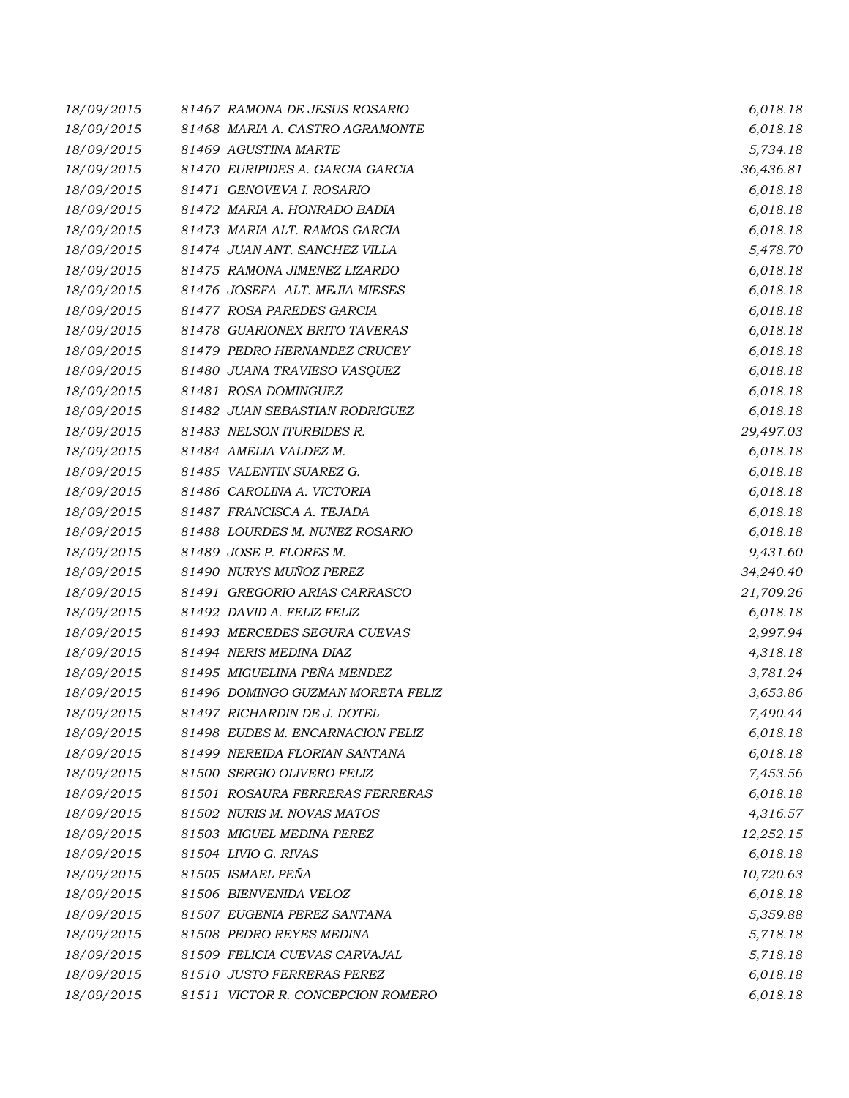| 18/09/2015 | 81467 RAMONA DE JESUS ROSARIO     | 6,018.18  |
|------------|-----------------------------------|-----------|
| 18/09/2015 | 81468 MARIA A. CASTRO AGRAMONTE   | 6,018.18  |
| 18/09/2015 | 81469 AGUSTINA MARTE              | 5,734.18  |
| 18/09/2015 | 81470 EURIPIDES A. GARCIA GARCIA  | 36,436.81 |
| 18/09/2015 | 81471 GENOVEVA I. ROSARIO         | 6,018.18  |
| 18/09/2015 | 81472 MARIA A. HONRADO BADIA      | 6,018.18  |
| 18/09/2015 | 81473 MARIA ALT. RAMOS GARCIA     | 6,018.18  |
| 18/09/2015 | 81474 JUAN ANT. SANCHEZ VILLA     | 5,478.70  |
| 18/09/2015 | 81475 RAMONA JIMENEZ LIZARDO      | 6,018.18  |
| 18/09/2015 | 81476 JOSEFA ALT. MEJIA MIESES    | 6,018.18  |
| 18/09/2015 | 81477 ROSA PAREDES GARCIA         | 6,018.18  |
| 18/09/2015 | 81478 GUARIONEX BRITO TAVERAS     | 6,018.18  |
| 18/09/2015 | 81479 PEDRO HERNANDEZ CRUCEY      | 6,018.18  |
| 18/09/2015 | 81480 JUANA TRAVIESO VASQUEZ      | 6,018.18  |
| 18/09/2015 | 81481 ROSA DOMINGUEZ              | 6,018.18  |
| 18/09/2015 | 81482 JUAN SEBASTIAN RODRIGUEZ    | 6,018.18  |
| 18/09/2015 | 81483 NELSON ITURBIDES R.         | 29,497.03 |
| 18/09/2015 | 81484 AMELIA VALDEZ M.            | 6,018.18  |
| 18/09/2015 | 81485 VALENTIN SUAREZ G.          | 6,018.18  |
| 18/09/2015 | 81486 CAROLINA A. VICTORIA        | 6,018.18  |
| 18/09/2015 | 81487 FRANCISCA A. TEJADA         | 6,018.18  |
| 18/09/2015 | 81488 LOURDES M. NUÑEZ ROSARIO    | 6,018.18  |
| 18/09/2015 | 81489 JOSE P. FLORES M.           | 9,431.60  |
| 18/09/2015 | 81490 NURYS MUÑOZ PEREZ           | 34,240.40 |
| 18/09/2015 | 81491 GREGORIO ARIAS CARRASCO     | 21,709.26 |
| 18/09/2015 | 81492 DAVID A. FELIZ FELIZ        | 6,018.18  |
| 18/09/2015 | 81493 MERCEDES SEGURA CUEVAS      | 2,997.94  |
| 18/09/2015 | 81494 NERIS MEDINA DIAZ           | 4,318.18  |
| 18/09/2015 | 81495 MIGUELINA PEÑA MENDEZ       | 3,781.24  |
| 18/09/2015 | 81496 DOMINGO GUZMAN MORETA FELIZ | 3,653.86  |
| 18/09/2015 | 81497 RICHARDIN DE J. DOTEL       | 7,490.44  |
| 18/09/2015 | 81498 EUDES M. ENCARNACION FELIZ  | 6,018.18  |
| 18/09/2015 | 81499 NEREIDA FLORIAN SANTANA     | 6,018.18  |
| 18/09/2015 | 81500 SERGIO OLIVERO FELIZ        | 7,453.56  |
| 18/09/2015 | 81501 ROSAURA FERRERAS FERRERAS   | 6,018.18  |
| 18/09/2015 | 81502 NURIS M. NOVAS MATOS        | 4,316.57  |
| 18/09/2015 | 81503 MIGUEL MEDINA PEREZ         | 12,252.15 |
| 18/09/2015 | 81504 LIVIO G. RIVAS              | 6,018.18  |
| 18/09/2015 | 81505 ISMAEL PEÑA                 | 10,720.63 |
| 18/09/2015 | 81506 BIENVENIDA VELOZ            | 6,018.18  |
| 18/09/2015 | 81507 EUGENIA PEREZ SANTANA       | 5,359.88  |
| 18/09/2015 | 81508 PEDRO REYES MEDINA          | 5,718.18  |
| 18/09/2015 | 81509 FELICIA CUEVAS CARVAJAL     | 5,718.18  |
| 18/09/2015 | 81510 JUSTO FERRERAS PEREZ        | 6,018.18  |
| 18/09/2015 | 81511 VICTOR R. CONCEPCION ROMERO | 6,018.18  |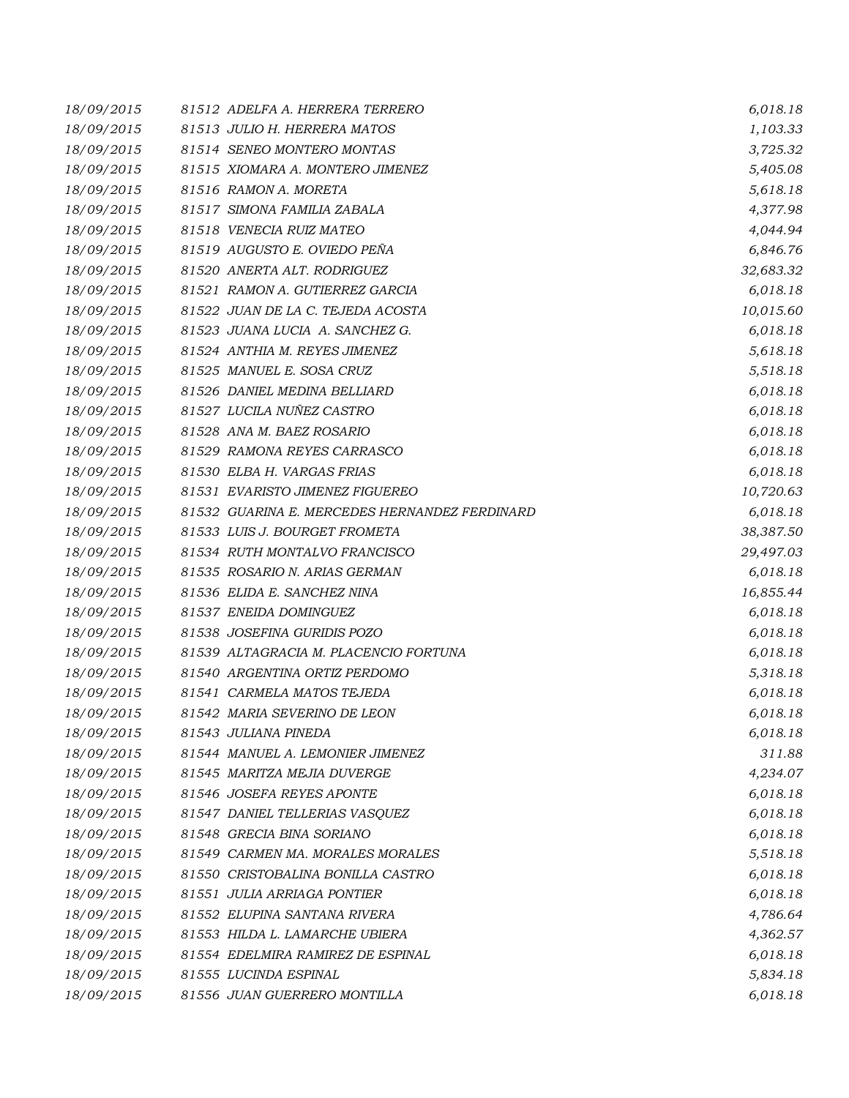| 18/09/2015 | 81512 ADELFA A. HERRERA TERRERO               | 6,018.18  |
|------------|-----------------------------------------------|-----------|
| 18/09/2015 | 81513 JULIO H. HERRERA MATOS                  | 1,103.33  |
| 18/09/2015 | 81514 SENEO MONTERO MONTAS                    | 3,725.32  |
| 18/09/2015 | 81515 XIOMARA A. MONTERO JIMENEZ              | 5,405.08  |
| 18/09/2015 | 81516 RAMON A. MORETA                         | 5,618.18  |
| 18/09/2015 | 81517 SIMONA FAMILIA ZABALA                   | 4,377.98  |
| 18/09/2015 | 81518 VENECIA RUIZ MATEO                      | 4,044.94  |
| 18/09/2015 | 81519 AUGUSTO E. OVIEDO PEÑA                  | 6,846.76  |
| 18/09/2015 | 81520 ANERTA ALT. RODRIGUEZ                   | 32,683.32 |
| 18/09/2015 | 81521 RAMON A. GUTIERREZ GARCIA               | 6,018.18  |
| 18/09/2015 | 81522 JUAN DE LA C. TEJEDA ACOSTA             | 10,015.60 |
| 18/09/2015 | 81523 JUANA LUCIA A. SANCHEZ G.               | 6,018.18  |
| 18/09/2015 | 81524 ANTHIA M. REYES JIMENEZ                 | 5,618.18  |
| 18/09/2015 | 81525 MANUEL E. SOSA CRUZ                     | 5,518.18  |
| 18/09/2015 | 81526 DANIEL MEDINA BELLIARD                  | 6,018.18  |
| 18/09/2015 | 81527 LUCILA NUÑEZ CASTRO                     | 6,018.18  |
| 18/09/2015 | 81528 ANA M. BAEZ ROSARIO                     | 6,018.18  |
| 18/09/2015 | 81529 RAMONA REYES CARRASCO                   | 6,018.18  |
| 18/09/2015 | 81530 ELBA H. VARGAS FRIAS                    | 6,018.18  |
| 18/09/2015 | 81531 EVARISTO JIMENEZ FIGUEREO               | 10,720.63 |
| 18/09/2015 | 81532 GUARINA E. MERCEDES HERNANDEZ FERDINARD | 6,018.18  |
| 18/09/2015 | 81533 LUIS J. BOURGET FROMETA                 | 38,387.50 |
| 18/09/2015 | 81534 RUTH MONTALVO FRANCISCO                 | 29,497.03 |
| 18/09/2015 | 81535 ROSARIO N. ARIAS GERMAN                 | 6,018.18  |
| 18/09/2015 | 81536 ELIDA E. SANCHEZ NINA                   | 16,855.44 |
| 18/09/2015 | 81537 ENEIDA DOMINGUEZ                        | 6,018.18  |
| 18/09/2015 | 81538 JOSEFINA GURIDIS POZO                   | 6,018.18  |
| 18/09/2015 | 81539 ALTAGRACIA M. PLACENCIO FORTUNA         | 6,018.18  |
| 18/09/2015 | 81540 ARGENTINA ORTIZ PERDOMO                 | 5,318.18  |
| 18/09/2015 | 81541 CARMELA MATOS TEJEDA                    | 6,018.18  |
| 18/09/2015 | 81542 MARIA SEVERINO DE LEON                  | 6,018.18  |
| 18/09/2015 | 81543 JULIANA PINEDA                          | 6,018.18  |
| 18/09/2015 | 81544 MANUEL A. LEMONIER JIMENEZ              | 311.88    |
| 18/09/2015 | 81545 MARITZA MEJIA DUVERGE                   | 4,234.07  |
| 18/09/2015 | 81546 JOSEFA REYES APONTE                     | 6,018.18  |
| 18/09/2015 | 81547 DANIEL TELLERIAS VASQUEZ                | 6,018.18  |
| 18/09/2015 | 81548 GRECIA BINA SORIANO                     | 6,018.18  |
| 18/09/2015 | 81549 CARMEN MA. MORALES MORALES              | 5,518.18  |
| 18/09/2015 | 81550 CRISTOBALINA BONILLA CASTRO             | 6,018.18  |
| 18/09/2015 | 81551 JULIA ARRIAGA PONTIER                   | 6,018.18  |
| 18/09/2015 | 81552 ELUPINA SANTANA RIVERA                  | 4,786.64  |
| 18/09/2015 | 81553 HILDA L. LAMARCHE UBIERA                | 4,362.57  |
| 18/09/2015 | 81554 EDELMIRA RAMIREZ DE ESPINAL             | 6,018.18  |
| 18/09/2015 | 81555 LUCINDA ESPINAL                         | 5,834.18  |
| 18/09/2015 | 81556 JUAN GUERRERO MONTILLA                  | 6,018.18  |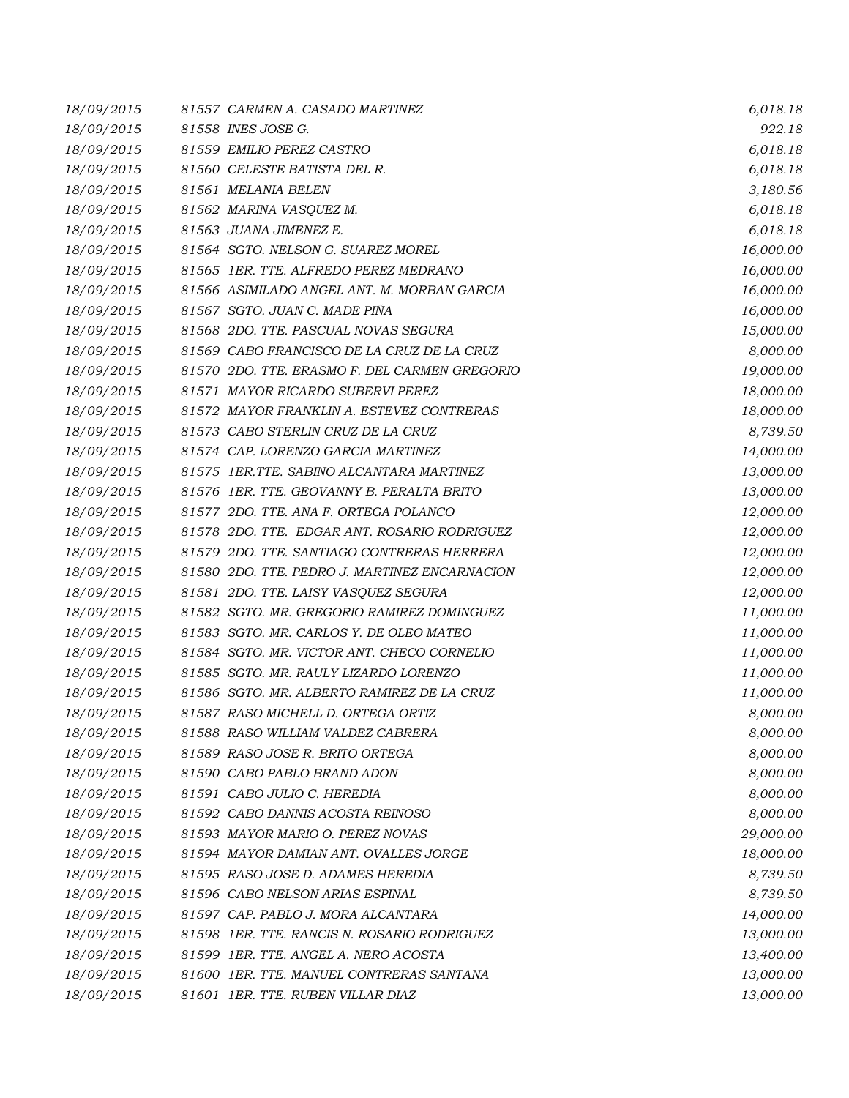| 18/09/2015 | 81557 CARMEN A. CASADO MARTINEZ               | 6,018.18  |
|------------|-----------------------------------------------|-----------|
| 18/09/2015 | 81558 INES JOSE G.                            | 922.18    |
| 18/09/2015 | 81559 EMILIO PEREZ CASTRO                     | 6,018.18  |
| 18/09/2015 | 81560 CELESTE BATISTA DEL R.                  | 6,018.18  |
| 18/09/2015 | 81561 MELANIA BELEN                           | 3,180.56  |
| 18/09/2015 | 81562 MARINA VASQUEZ M.                       | 6,018.18  |
| 18/09/2015 | 81563 JUANA JIMENEZ E.                        | 6,018.18  |
| 18/09/2015 | 81564 SGTO. NELSON G. SUAREZ MOREL            | 16,000.00 |
| 18/09/2015 | 81565 1ER. TTE. ALFREDO PEREZ MEDRANO         | 16,000.00 |
| 18/09/2015 | 81566 ASIMILADO ANGEL ANT. M. MORBAN GARCIA   | 16,000.00 |
| 18/09/2015 | 81567 SGTO. JUAN C. MADE PIÑA                 | 16,000.00 |
| 18/09/2015 | 81568 2DO. TTE. PASCUAL NOVAS SEGURA          | 15,000.00 |
| 18/09/2015 | 81569 CABO FRANCISCO DE LA CRUZ DE LA CRUZ    | 8,000.00  |
| 18/09/2015 | 81570 2DO. TTE. ERASMO F. DEL CARMEN GREGORIO | 19,000.00 |
| 18/09/2015 | 81571 MAYOR RICARDO SUBERVI PEREZ             | 18,000.00 |
| 18/09/2015 | 81572 MAYOR FRANKLIN A. ESTEVEZ CONTRERAS     | 18,000.00 |
| 18/09/2015 | 81573 CABO STERLIN CRUZ DE LA CRUZ            | 8,739.50  |
| 18/09/2015 | 81574 CAP. LORENZO GARCIA MARTINEZ            | 14,000.00 |
| 18/09/2015 | 81575 1ER.TTE. SABINO ALCANTARA MARTINEZ      | 13,000.00 |
| 18/09/2015 | 81576 IER. TTE. GEOVANNY B. PERALTA BRITO     | 13,000.00 |
| 18/09/2015 | 81577 2DO. TTE. ANA F. ORTEGA POLANCO         | 12,000.00 |
| 18/09/2015 | 81578 2DO. TTE. EDGAR ANT. ROSARIO RODRIGUEZ  | 12,000.00 |
| 18/09/2015 | 81579 2DO. TTE. SANTIAGO CONTRERAS HERRERA    | 12,000.00 |
| 18/09/2015 | 81580 2DO. TTE. PEDRO J. MARTINEZ ENCARNACION | 12,000.00 |
| 18/09/2015 | 81581 2DO. TTE. LAISY VASQUEZ SEGURA          | 12,000.00 |
| 18/09/2015 | 81582 SGTO. MR. GREGORIO RAMIREZ DOMINGUEZ    | 11,000.00 |
| 18/09/2015 | 81583 SGTO. MR. CARLOS Y. DE OLEO MATEO       | 11,000.00 |
| 18/09/2015 | 81584 SGTO. MR. VICTOR ANT. CHECO CORNELIO    | 11,000.00 |
| 18/09/2015 | 81585 SGTO. MR. RAULY LIZARDO LORENZO         | 11,000.00 |
| 18/09/2015 | 81586 SGTO. MR. ALBERTO RAMIREZ DE LA CRUZ    | 11,000.00 |
| 18/09/2015 | 81587 RASO MICHELL D. ORTEGA ORTIZ            | 8,000.00  |
| 18/09/2015 | 81588 RASO WILLIAM VALDEZ CABRERA             | 8,000.00  |
| 18/09/2015 | 81589 RASO JOSE R. BRITO ORTEGA               | 8,000.00  |
| 18/09/2015 | 81590 CABO PABLO BRAND ADON                   | 8,000.00  |
| 18/09/2015 | 81591 CABO JULIO C. HEREDIA                   | 8,000.00  |
| 18/09/2015 | 81592 CABO DANNIS ACOSTA REINOSO              | 8,000.00  |
| 18/09/2015 | 81593 MAYOR MARIO O. PEREZ NOVAS              | 29,000.00 |
| 18/09/2015 | 81594 MAYOR DAMIAN ANT. OVALLES JORGE         | 18,000.00 |
| 18/09/2015 | 81595 RASO JOSE D. ADAMES HEREDIA             | 8,739.50  |
| 18/09/2015 | 81596 CABO NELSON ARIAS ESPINAL               | 8,739.50  |
| 18/09/2015 | 81597 CAP. PABLO J. MORA ALCANTARA            | 14,000.00 |
| 18/09/2015 | 81598 1ER. TTE. RANCIS N. ROSARIO RODRIGUEZ   | 13,000.00 |
| 18/09/2015 | 81599 IER. TTE. ANGEL A. NERO ACOSTA          | 13,400.00 |
| 18/09/2015 | 81600 IER. TTE. MANUEL CONTRERAS SANTANA      | 13,000.00 |
| 18/09/2015 | 81601 IER. TTE. RUBEN VILLAR DIAZ             | 13,000.00 |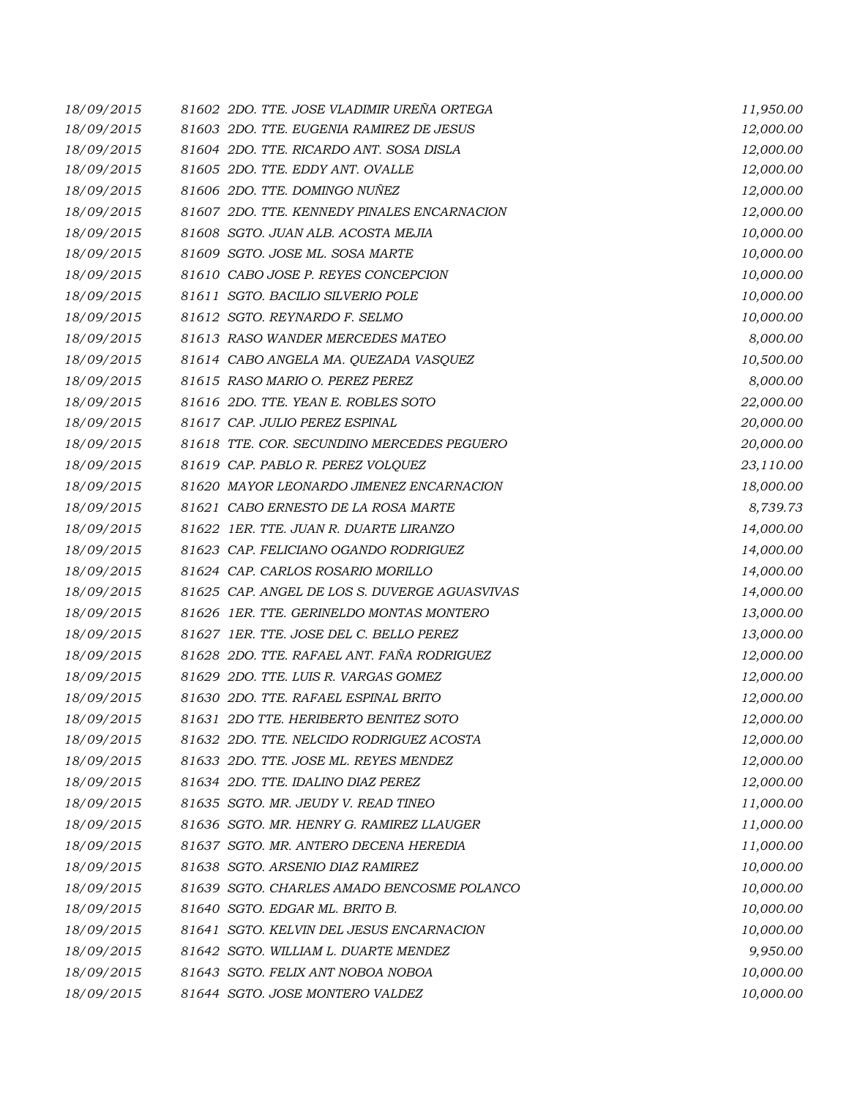| 18/09/2015 | 81602 2DO. TTE. JOSE VLADIMIR UREÑA ORTEGA    | 11,950.00 |
|------------|-----------------------------------------------|-----------|
| 18/09/2015 | 81603 2DO. TTE. EUGENIA RAMIREZ DE JESUS      | 12,000.00 |
| 18/09/2015 | 81604 2DO. TTE. RICARDO ANT. SOSA DISLA       | 12,000.00 |
| 18/09/2015 | 81605 2DO. TTE. EDDY ANT. OVALLE              | 12,000.00 |
| 18/09/2015 | 81606 2DO. TTE. DOMINGO NUÑEZ                 | 12,000.00 |
| 18/09/2015 | 81607 2DO. TTE, KENNEDY PINALES ENCARNACION   | 12,000.00 |
| 18/09/2015 | 81608 SGTO. JUAN ALB. ACOSTA MEJIA            | 10,000.00 |
| 18/09/2015 | 81609 SGTO. JOSE ML. SOSA MARTE               | 10,000.00 |
| 18/09/2015 | 81610 CABO JOSE P. REYES CONCEPCION           | 10,000.00 |
| 18/09/2015 | 81611 SGTO. BACILIO SILVERIO POLE             | 10,000.00 |
| 18/09/2015 | 81612 SGTO. REYNARDO F. SELMO                 | 10,000.00 |
| 18/09/2015 | 81613 RASO WANDER MERCEDES MATEO              | 8,000.00  |
| 18/09/2015 | 81614 CABO ANGELA MA. QUEZADA VASQUEZ         | 10,500.00 |
| 18/09/2015 | 81615 RASO MARIO O. PEREZ PEREZ               | 8,000.00  |
| 18/09/2015 | 81616 2DO. TTE. YEAN E. ROBLES SOTO           | 22,000.00 |
| 18/09/2015 | 81617 CAP. JULIO PEREZ ESPINAL                | 20,000.00 |
| 18/09/2015 | 81618 TTE. COR. SECUNDINO MERCEDES PEGUERO    | 20,000.00 |
| 18/09/2015 | 81619 CAP. PABLO R. PEREZ VOLQUEZ             | 23,110.00 |
| 18/09/2015 | 81620 MAYOR LEONARDO JIMENEZ ENCARNACION      | 18,000.00 |
| 18/09/2015 | 81621 CABO ERNESTO DE LA ROSA MARTE           | 8,739.73  |
| 18/09/2015 | 81622 IER. TTE. JUAN R. DUARTE LIRANZO        | 14,000.00 |
| 18/09/2015 | 81623 CAP. FELICIANO OGANDO RODRIGUEZ         | 14,000.00 |
| 18/09/2015 | 81624 CAP. CARLOS ROSARIO MORILLO             | 14,000.00 |
| 18/09/2015 | 81625 CAP. ANGEL DE LOS S. DUVERGE AGUASVIVAS | 14,000.00 |
| 18/09/2015 | 81626 1ER. TTE. GERINELDO MONTAS MONTERO      | 13,000.00 |
| 18/09/2015 | 81627 1ER. TTE. JOSE DEL C. BELLO PEREZ       | 13,000.00 |
| 18/09/2015 | 81628 2DO. TTE. RAFAEL ANT. FAÑA RODRIGUEZ    | 12,000.00 |
| 18/09/2015 | 81629 2DO. TTE. LUIS R. VARGAS GOMEZ          | 12,000.00 |
| 18/09/2015 | 81630 2DO. TTE. RAFAEL ESPINAL BRITO          | 12,000.00 |
| 18/09/2015 | 81631 2DO TTE. HERIBERTO BENITEZ SOTO         | 12,000.00 |
| 18/09/2015 | 81632 2DO. TTE. NELCIDO RODRIGUEZ ACOSTA      | 12,000.00 |
| 18/09/2015 | 81633 2DO. TTE, JOSE ML. REYES MENDEZ         | 12,000.00 |
| 18/09/2015 | 81634 2DO. TTE. IDALINO DIAZ PEREZ            | 12,000.00 |
| 18/09/2015 | 81635 SGTO. MR. JEUDY V. READ TINEO           | 11,000.00 |
| 18/09/2015 | 81636 SGTO. MR. HENRY G. RAMIREZ LLAUGER      | 11,000.00 |
| 18/09/2015 | 81637 SGTO. MR. ANTERO DECENA HEREDIA         | 11,000.00 |
| 18/09/2015 | 81638 SGTO. ARSENIO DIAZ RAMIREZ              | 10,000.00 |
| 18/09/2015 | 81639 SGTO. CHARLES AMADO BENCOSME POLANCO    | 10,000.00 |
| 18/09/2015 | 81640 SGTO. EDGAR ML. BRITO B.                | 10,000.00 |
| 18/09/2015 | 81641 SGTO. KELVIN DEL JESUS ENCARNACION      | 10,000.00 |
| 18/09/2015 | 81642 SGTO. WILLIAM L. DUARTE MENDEZ          | 9,950.00  |
| 18/09/2015 | 81643 SGTO. FELIX ANT NOBOA NOBOA             | 10,000.00 |
| 18/09/2015 | 81644 SGTO. JOSE MONTERO VALDEZ               | 10,000.00 |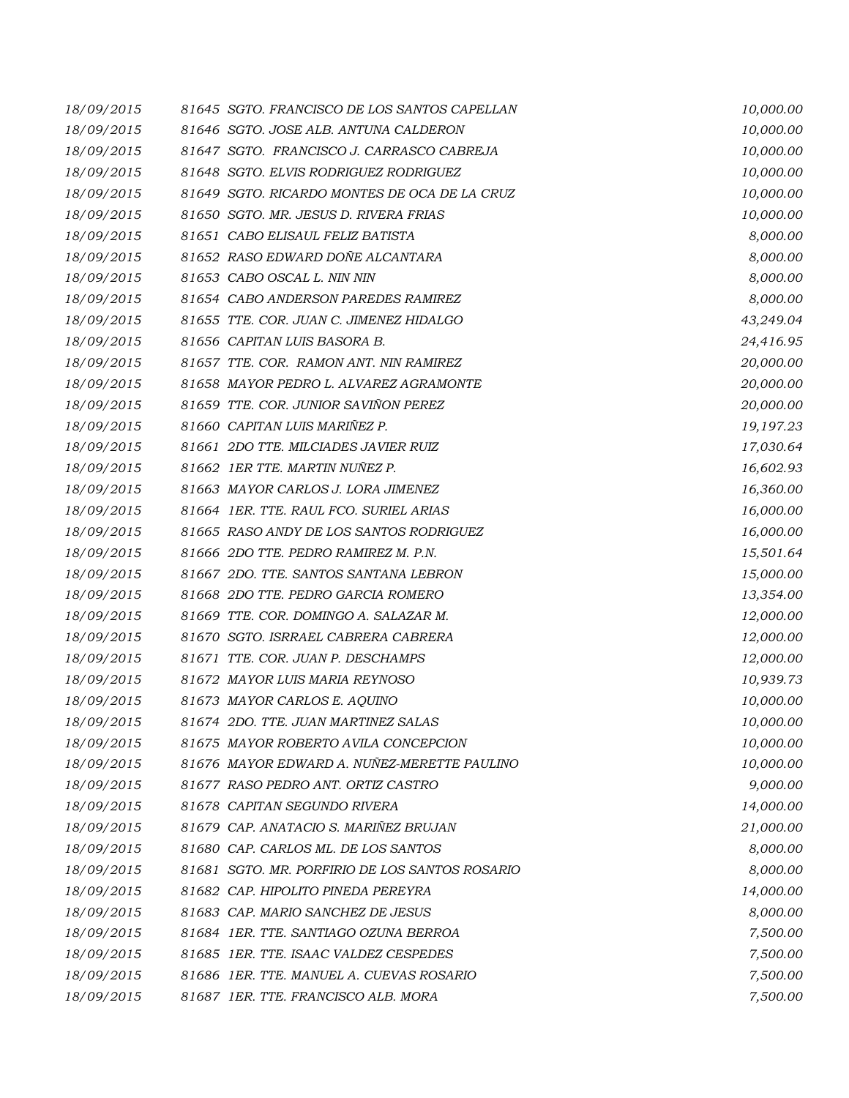| 18/09/2015 | 81645 SGTO. FRANCISCO DE LOS SANTOS CAPELLAN   | 10,000.00 |
|------------|------------------------------------------------|-----------|
| 18/09/2015 | 81646 SGTO. JOSE ALB. ANTUNA CALDERON          | 10,000.00 |
| 18/09/2015 | 81647 SGTO. FRANCISCO J. CARRASCO CABREJA      | 10,000.00 |
| 18/09/2015 | 81648 SGTO. ELVIS RODRIGUEZ RODRIGUEZ          | 10,000.00 |
| 18/09/2015 | 81649 SGTO. RICARDO MONTES DE OCA DE LA CRUZ   | 10,000.00 |
| 18/09/2015 | 81650 SGTO. MR. JESUS D. RIVERA FRIAS          | 10,000.00 |
| 18/09/2015 | 81651 CABO ELISAUL FELIZ BATISTA               | 8,000.00  |
| 18/09/2015 | 81652 RASO EDWARD DOÑE ALCANTARA               | 8,000.00  |
| 18/09/2015 | 81653 CABO OSCAL L. NIN NIN                    | 8,000.00  |
| 18/09/2015 | 81654 CABO ANDERSON PAREDES RAMIREZ            | 8,000.00  |
| 18/09/2015 | 81655 TTE. COR. JUAN C. JIMENEZ HIDALGO        | 43,249.04 |
| 18/09/2015 | 81656 CAPITAN LUIS BASORA B.                   | 24,416.95 |
| 18/09/2015 | 81657 TTE. COR. RAMON ANT. NIN RAMIREZ         | 20,000.00 |
| 18/09/2015 | 81658 MAYOR PEDRO L. ALVAREZ AGRAMONTE         | 20,000.00 |
| 18/09/2015 | 81659 TTE. COR. JUNIOR SAVIÑON PEREZ           | 20,000.00 |
| 18/09/2015 | 81660 CAPITAN LUIS MARIÑEZ P.                  | 19,197.23 |
| 18/09/2015 | 81661 2DO TTE. MILCIADES JAVIER RUIZ           | 17,030.64 |
| 18/09/2015 | 81662 IER TTE. MARTIN NUÑEZ P.                 | 16,602.93 |
| 18/09/2015 | 81663 MAYOR CARLOS J. LORA JIMENEZ             | 16,360.00 |
| 18/09/2015 | 81664 IER. TTE. RAUL FCO. SURIEL ARIAS         | 16,000.00 |
| 18/09/2015 | 81665 RASO ANDY DE LOS SANTOS RODRIGUEZ        | 16,000.00 |
| 18/09/2015 | 81666 2DO TTE. PEDRO RAMIREZ M. P.N.           | 15,501.64 |
| 18/09/2015 | 81667 2DO. TTE. SANTOS SANTANA LEBRON          | 15,000.00 |
| 18/09/2015 | 81668 2DO TTE. PEDRO GARCIA ROMERO             | 13,354.00 |
| 18/09/2015 | 81669 TTE. COR. DOMINGO A. SALAZAR M.          | 12,000.00 |
| 18/09/2015 | 81670 SGTO. ISRRAEL CABRERA CABRERA            | 12,000.00 |
| 18/09/2015 | 81671 TTE. COR. JUAN P. DESCHAMPS              | 12,000.00 |
| 18/09/2015 | 81672 MAYOR LUIS MARIA REYNOSO                 | 10,939.73 |
| 18/09/2015 | 81673 MAYOR CARLOS E. AQUINO                   | 10,000.00 |
| 18/09/2015 | 81674 2DO. TTE. JUAN MARTINEZ SALAS            | 10,000.00 |
| 18/09/2015 | 81675 MAYOR ROBERTO AVILA CONCEPCION           | 10,000.00 |
| 18/09/2015 | 81676 MAYOR EDWARD A. NUÑEZ-MERETTE PAULINO    | 10,000.00 |
| 18/09/2015 | 81677 RASO PEDRO ANT. ORTIZ CASTRO             | 9,000.00  |
| 18/09/2015 | 81678 CAPITAN SEGUNDO RIVERA                   | 14,000.00 |
| 18/09/2015 | 81679 CAP. ANATACIO S. MARIÑEZ BRUJAN          | 21,000.00 |
| 18/09/2015 | 81680 CAP. CARLOS ML. DE LOS SANTOS            | 8,000.00  |
| 18/09/2015 | 81681 SGTO. MR. PORFIRIO DE LOS SANTOS ROSARIO | 8,000.00  |
| 18/09/2015 | 81682 CAP. HIPOLITO PINEDA PEREYRA             | 14,000.00 |
| 18/09/2015 | 81683 CAP. MARIO SANCHEZ DE JESUS              | 8,000.00  |
| 18/09/2015 | 81684 IER. TTE. SANTIAGO OZUNA BERROA          | 7,500.00  |
| 18/09/2015 | 81685 1ER. TTE. ISAAC VALDEZ CESPEDES          | 7,500.00  |
| 18/09/2015 | 81686 1ER. TTE. MANUEL A. CUEVAS ROSARIO       | 7,500.00  |
| 18/09/2015 | 81687 1ER. TTE. FRANCISCO ALB. MORA            | 7,500.00  |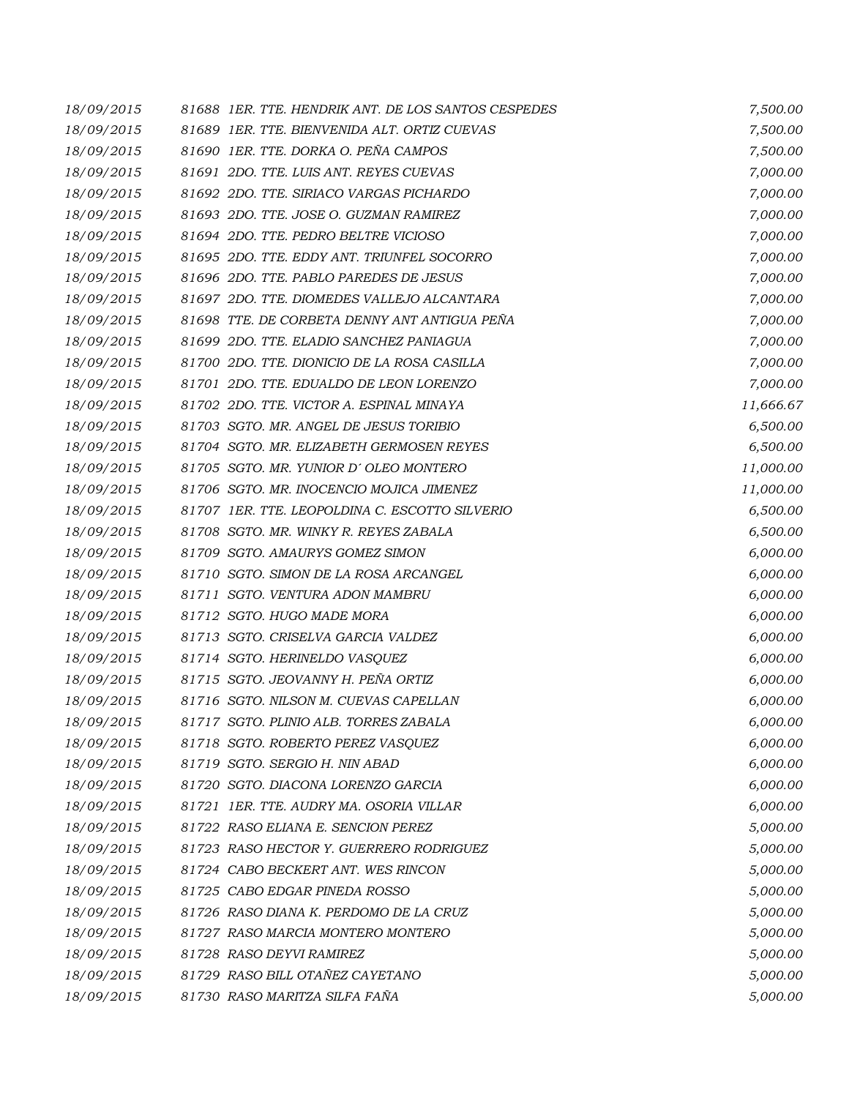| 18/09/2015 | 81688 1ER. TTE. HENDRIK ANT. DE LOS SANTOS CESPEDES | 7,500.00  |
|------------|-----------------------------------------------------|-----------|
| 18/09/2015 | 81689 IER. TTE. BIENVENIDA ALT. ORTIZ CUEVAS        | 7,500.00  |
| 18/09/2015 | 81690 IER. TTE. DORKA O. PEÑA CAMPOS                | 7,500.00  |
| 18/09/2015 | 81691 2DO. TTE. LUIS ANT. REYES CUEVAS              | 7,000.00  |
| 18/09/2015 | 81692 2DO. TTE, SIRIACO VARGAS PICHARDO             | 7,000.00  |
| 18/09/2015 | 81693 2DO. TTE. JOSE O. GUZMAN RAMIREZ              | 7,000.00  |
| 18/09/2015 | 81694 2DO. TTE. PEDRO BELTRE VICIOSO                | 7,000.00  |
| 18/09/2015 | 81695 2DO. TTE. EDDY ANT. TRIUNFEL SOCORRO          | 7,000.00  |
| 18/09/2015 | 81696 2DO. TTE. PABLO PAREDES DE JESUS              | 7,000.00  |
| 18/09/2015 | 81697 2DO. TTE. DIOMEDES VALLEJO ALCANTARA          | 7,000.00  |
| 18/09/2015 | 81698 TTE, DE CORBETA DENNY ANT ANTIGUA PEÑA        | 7,000.00  |
| 18/09/2015 | 81699 2DO. TTE. ELADIO SANCHEZ PANIAGUA             | 7,000.00  |
| 18/09/2015 | 81700 2DO. TTE. DIONICIO DE LA ROSA CASILLA         | 7,000.00  |
| 18/09/2015 | 81701 2DO. TTE. EDUALDO DE LEON LORENZO             | 7,000.00  |
| 18/09/2015 | 81702 2DO. TTE. VICTOR A. ESPINAL MINAYA            | 11,666.67 |
| 18/09/2015 | 81703 SGTO. MR. ANGEL DE JESUS TORIBIO              | 6,500.00  |
| 18/09/2015 | 81704 SGTO, MR. ELIZABETH GERMOSEN REYES            | 6,500.00  |
| 18/09/2015 | 81705 SGTO. MR. YUNIOR D'OLEO MONTERO               | 11,000.00 |
| 18/09/2015 | 81706 SGTO. MR. INOCENCIO MOJICA JIMENEZ            | 11,000.00 |
| 18/09/2015 | 81707 1ER. TTE, LEOPOLDINA C. ESCOTTO SILVERIO      | 6,500.00  |
| 18/09/2015 | 81708 SGTO. MR. WINKY R. REYES ZABALA               | 6,500.00  |
| 18/09/2015 | 81709 SGTO. AMAURYS GOMEZ SIMON                     | 6,000.00  |
| 18/09/2015 | 81710 SGTO. SIMON DE LA ROSA ARCANGEL               | 6,000.00  |
| 18/09/2015 | 81711 SGTO. VENTURA ADON MAMBRU                     | 6,000.00  |
| 18/09/2015 | 81712 SGTO. HUGO MADE MORA                          | 6,000.00  |
| 18/09/2015 | 81713 SGTO. CRISELVA GARCIA VALDEZ                  | 6,000.00  |
| 18/09/2015 | 81714 SGTO. HERINELDO VASQUEZ                       | 6,000.00  |
| 18/09/2015 | 81715 SGTO. JEOVANNY H. PEÑA ORTIZ                  | 6,000.00  |
| 18/09/2015 | 81716 SGTO. NILSON M. CUEVAS CAPELLAN               | 6,000.00  |
| 18/09/2015 | 81717 SGTO. PLINIO ALB. TORRES ZABALA               | 6,000.00  |
| 18/09/2015 | 81718 SGTO. ROBERTO PEREZ VASQUEZ                   | 6,000.00  |
| 18/09/2015 | 81719 SGTO. SERGIO H. NIN ABAD                      | 6,000.00  |
| 18/09/2015 | 81720 SGTO, DIACONA LORENZO GARCIA                  | 6,000.00  |
| 18/09/2015 | 81721 IER. TTE. AUDRY MA. OSORIA VILLAR             | 6,000.00  |
| 18/09/2015 | 81722 RASO ELIANA E. SENCION PEREZ                  | 5,000.00  |
| 18/09/2015 | 81723 RASO HECTOR Y. GUERRERO RODRIGUEZ             | 5,000.00  |
| 18/09/2015 | 81724 CABO BECKERT ANT. WES RINCON                  | 5,000.00  |
| 18/09/2015 | 81725 CABO EDGAR PINEDA ROSSO                       | 5,000.00  |
| 18/09/2015 | 81726 RASO DIANA K. PERDOMO DE LA CRUZ              | 5,000.00  |
| 18/09/2015 | 81727 RASO MARCIA MONTERO MONTERO                   | 5,000.00  |
| 18/09/2015 | 81728 RASO DEYVI RAMIREZ                            | 5,000.00  |
| 18/09/2015 | 81729 RASO BILL OTAÑEZ CAYETANO                     | 5,000.00  |
| 18/09/2015 | 81730 RASO MARITZA SILFA FAÑA                       | 5,000.00  |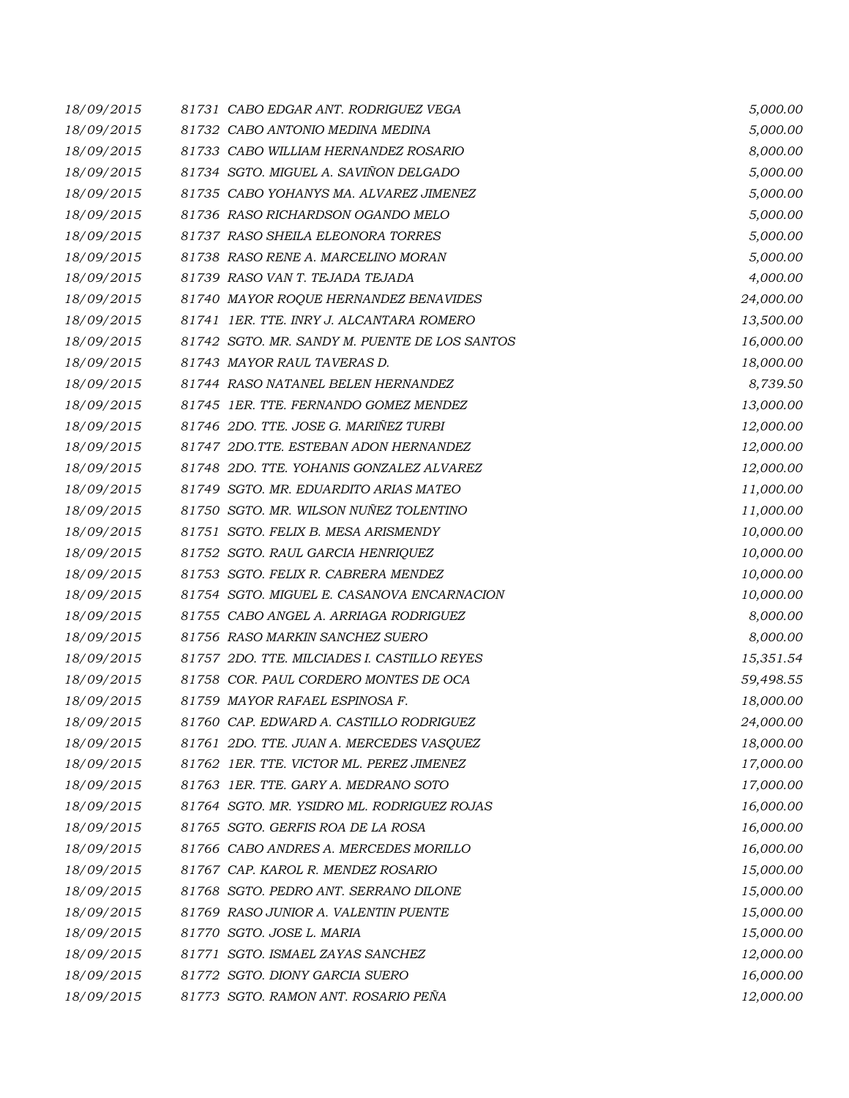| 18/09/2015 | 81731 CABO EDGAR ANT. RODRIGUEZ VEGA          | 5,000.00  |
|------------|-----------------------------------------------|-----------|
| 18/09/2015 | 81732 CABO ANTONIO MEDINA MEDINA              | 5,000.00  |
| 18/09/2015 | 81733 CABO WILLIAM HERNANDEZ ROSARIO          | 8,000.00  |
| 18/09/2015 | 81734 SGTO. MIGUEL A. SAVIÑON DELGADO         | 5,000.00  |
| 18/09/2015 | 81735 CABO YOHANYS MA. ALVAREZ JIMENEZ        | 5,000.00  |
| 18/09/2015 | 81736 RASO RICHARDSON OGANDO MELO             | 5,000.00  |
| 18/09/2015 | 81737 RASO SHEILA ELEONORA TORRES             | 5,000.00  |
| 18/09/2015 | 81738 RASO RENE A. MARCELINO MORAN            | 5,000.00  |
| 18/09/2015 | 81739 RASO VAN T. TEJADA TEJADA               | 4,000.00  |
| 18/09/2015 | 81740 MAYOR ROQUE HERNANDEZ BENAVIDES         | 24,000.00 |
| 18/09/2015 | 81741 IER. TTE. INRY J. ALCANTARA ROMERO      | 13,500.00 |
| 18/09/2015 | 81742 SGTO. MR. SANDY M. PUENTE DE LOS SANTOS | 16,000.00 |
| 18/09/2015 | 81743 MAYOR RAUL TAVERAS D.                   | 18,000.00 |
| 18/09/2015 | 81744 RASO NATANEL BELEN HERNANDEZ            | 8,739.50  |
| 18/09/2015 | 81745 1ER. TTE. FERNANDO GOMEZ MENDEZ         | 13,000.00 |
| 18/09/2015 | 81746 2DO. TTE. JOSE G. MARIÑEZ TURBI         | 12,000.00 |
| 18/09/2015 | 81747 2DO.TTE. ESTEBAN ADON HERNANDEZ         | 12,000.00 |
| 18/09/2015 | 81748 2DO. TTE. YOHANIS GONZALEZ ALVAREZ      | 12,000.00 |
| 18/09/2015 | 81749 SGTO. MR. EDUARDITO ARIAS MATEO         | 11,000.00 |
| 18/09/2015 | 81750 SGTO. MR. WILSON NUÑEZ TOLENTINO        | 11,000.00 |
| 18/09/2015 | 81751 SGTO. FELIX B. MESA ARISMENDY           | 10,000.00 |
| 18/09/2015 | 81752 SGTO. RAUL GARCIA HENRIQUEZ             | 10,000.00 |
| 18/09/2015 | 81753 SGTO. FELIX R. CABRERA MENDEZ           | 10,000.00 |
| 18/09/2015 | 81754 SGTO. MIGUEL E. CASANOVA ENCARNACION    | 10,000.00 |
| 18/09/2015 | 81755 CABO ANGEL A. ARRIAGA RODRIGUEZ         | 8,000.00  |
| 18/09/2015 | 81756 RASO MARKIN SANCHEZ SUERO               | 8,000.00  |
| 18/09/2015 | 81757 2DO. TTE. MILCIADES I. CASTILLO REYES   | 15,351.54 |
| 18/09/2015 | 81758 COR. PAUL CORDERO MONTES DE OCA         | 59,498.55 |
| 18/09/2015 | 81759 MAYOR RAFAEL ESPINOSA F.                | 18,000.00 |
| 18/09/2015 | 81760 CAP. EDWARD A. CASTILLO RODRIGUEZ       | 24,000.00 |
| 18/09/2015 | 81761 2DO. TTE. JUAN A. MERCEDES VASQUEZ      | 18,000.00 |
| 18/09/2015 | 81762 IER. TTE. VICTOR ML. PEREZ JIMENEZ      | 17,000.00 |
| 18/09/2015 | 81763 IER. TTE. GARY A. MEDRANO SOTO          | 17,000.00 |
| 18/09/2015 | 81764 SGTO. MR. YSIDRO ML. RODRIGUEZ ROJAS    | 16,000.00 |
| 18/09/2015 | 81765 SGTO. GERFIS ROA DE LA ROSA             | 16,000.00 |
| 18/09/2015 | 81766 CABO ANDRES A. MERCEDES MORILLO         | 16,000.00 |
| 18/09/2015 | 81767 CAP. KAROL R. MENDEZ ROSARIO            | 15,000.00 |
| 18/09/2015 | 81768 SGTO. PEDRO ANT. SERRANO DILONE         | 15,000.00 |
| 18/09/2015 | 81769 RASO JUNIOR A. VALENTIN PUENTE          | 15,000.00 |
| 18/09/2015 | 81770 SGTO. JOSE L. MARIA                     | 15,000.00 |
| 18/09/2015 | 81771 SGTO. ISMAEL ZAYAS SANCHEZ              | 12,000.00 |
| 18/09/2015 | 81772 SGTO. DIONY GARCIA SUERO                | 16,000.00 |
| 18/09/2015 | 81773 SGTO. RAMON ANT. ROSARIO PEÑA           | 12,000.00 |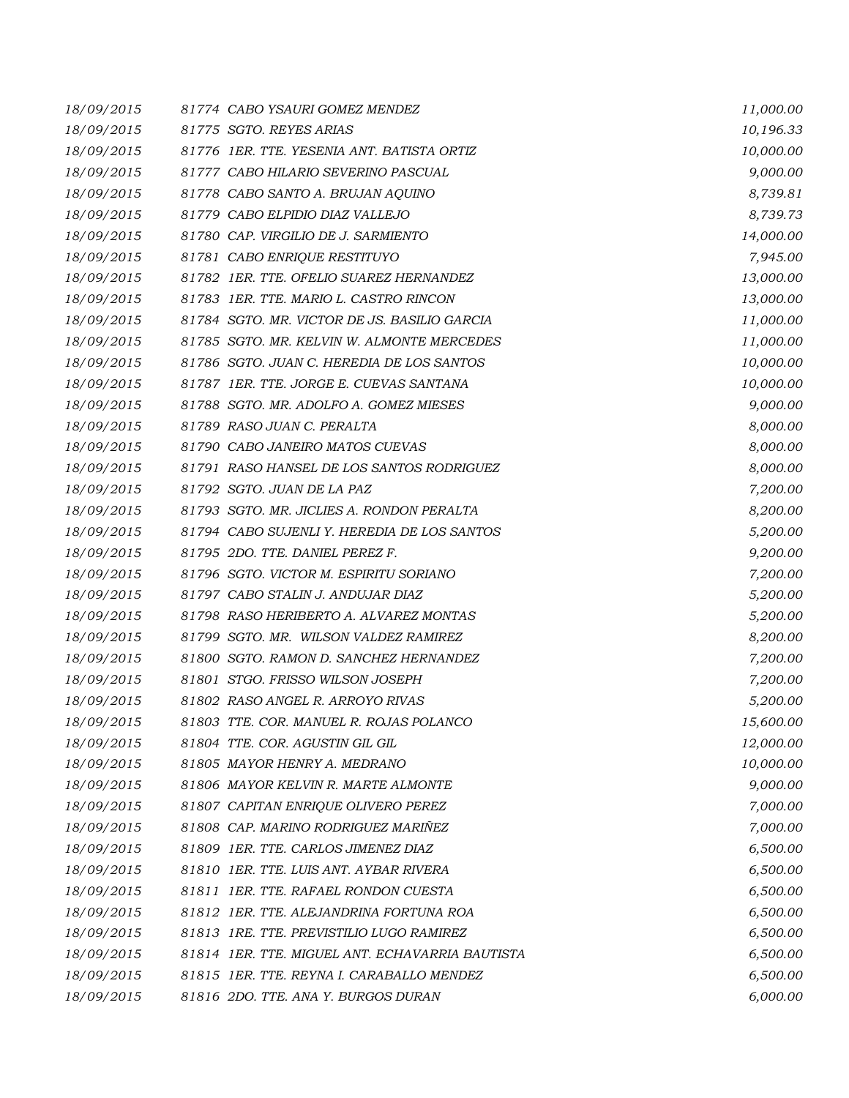| 18/09/2015 | 81774 CABO YSAURI GOMEZ MENDEZ                  | 11,000.00 |
|------------|-------------------------------------------------|-----------|
| 18/09/2015 | 81775 SGTO. REYES ARIAS                         | 10,196.33 |
| 18/09/2015 | 81776 1ER. TTE, YESENIA ANT, BATISTA ORTIZ      | 10,000.00 |
| 18/09/2015 | 81777 CABO HILARIO SEVERINO PASCUAL             | 9,000.00  |
| 18/09/2015 | 81778 CABO SANTO A. BRUJAN AQUINO               | 8,739.81  |
| 18/09/2015 | 81779 CABO ELPIDIO DIAZ VALLEJO                 | 8,739.73  |
| 18/09/2015 | 81780 CAP. VIRGILIO DE J. SARMIENTO             | 14,000.00 |
| 18/09/2015 | 81781 CABO ENRIQUE RESTITUYO                    | 7,945.00  |
| 18/09/2015 | 81782 IER. TTE. OFELIO SUAREZ HERNANDEZ         | 13,000.00 |
| 18/09/2015 | 81783 IER. TTE. MARIO L. CASTRO RINCON          | 13,000.00 |
| 18/09/2015 | 81784 SGTO. MR. VICTOR DE JS. BASILIO GARCIA    | 11,000.00 |
| 18/09/2015 | 81785 SGTO. MR. KELVIN W. ALMONTE MERCEDES      | 11,000.00 |
| 18/09/2015 | 81786 SGTO. JUAN C. HEREDIA DE LOS SANTOS       | 10,000.00 |
| 18/09/2015 | 81787 1ER. TTE. JORGE E. CUEVAS SANTANA         | 10,000.00 |
| 18/09/2015 | 81788 SGTO. MR. ADOLFO A. GOMEZ MIESES          | 9,000.00  |
| 18/09/2015 | 81789 RASO JUAN C. PERALTA                      | 8,000.00  |
| 18/09/2015 | 81790 CABO JANEIRO MATOS CUEVAS                 | 8,000.00  |
| 18/09/2015 | 81791 RASO HANSEL DE LOS SANTOS RODRIGUEZ       | 8,000.00  |
| 18/09/2015 | 81792 SGTO. JUAN DE LA PAZ                      | 7,200.00  |
| 18/09/2015 | 81793 SGTO, MR. JICLIES A. RONDON PERALTA       | 8,200.00  |
| 18/09/2015 | 81794 CABO SUJENLI Y. HEREDIA DE LOS SANTOS     | 5,200.00  |
| 18/09/2015 | 81795 2DO. TTE. DANIEL PEREZ F.                 | 9,200.00  |
| 18/09/2015 | 81796 SGTO. VICTOR M. ESPIRITU SORIANO          | 7,200.00  |
| 18/09/2015 | 81797 CABO STALIN J. ANDUJAR DIAZ               | 5,200.00  |
| 18/09/2015 | 81798 RASO HERIBERTO A. ALVAREZ MONTAS          | 5,200.00  |
| 18/09/2015 | 81799 SGTO. MR. WILSON VALDEZ RAMIREZ           | 8,200.00  |
| 18/09/2015 | 81800 SGTO. RAMON D. SANCHEZ HERNANDEZ          | 7,200.00  |
| 18/09/2015 | 81801 STGO. FRISSO WILSON JOSEPH                | 7,200.00  |
| 18/09/2015 | 81802 RASO ANGEL R. ARROYO RIVAS                | 5,200.00  |
| 18/09/2015 | 81803 TTE. COR. MANUEL R. ROJAS POLANCO         | 15,600.00 |
| 18/09/2015 | 81804 TTE. COR. AGUSTIN GIL GIL                 | 12,000.00 |
| 18/09/2015 | 81805 MAYOR HENRY A. MEDRANO                    | 10,000.00 |
| 18/09/2015 | 81806 MAYOR KELVIN R. MARTE ALMONTE             | 9,000.00  |
| 18/09/2015 | 81807 CAPITAN ENRIQUE OLIVERO PEREZ             | 7,000.00  |
| 18/09/2015 | 81808 CAP. MARINO RODRIGUEZ MARIÑEZ             | 7,000.00  |
| 18/09/2015 | 81809 IER. TTE. CARLOS JIMENEZ DIAZ             | 6,500.00  |
| 18/09/2015 | 81810 IER. TTE. LUIS ANT. AYBAR RIVERA          | 6,500.00  |
| 18/09/2015 | 81811 IER. TTE. RAFAEL RONDON CUESTA            | 6,500.00  |
| 18/09/2015 | 81812 IER. TTE. ALEJANDRINA FORTUNA ROA         | 6,500.00  |
| 18/09/2015 | 81813 IRE. TTE. PREVISTILIO LUGO RAMIREZ        | 6,500.00  |
| 18/09/2015 | 81814 IER. TTE. MIGUEL ANT. ECHAVARRIA BAUTISTA | 6,500.00  |
| 18/09/2015 | 81815 IER. TTE. REYNA I. CARABALLO MENDEZ       | 6,500.00  |
| 18/09/2015 | 81816 2DO. TTE. ANA Y. BURGOS DURAN             | 6,000.00  |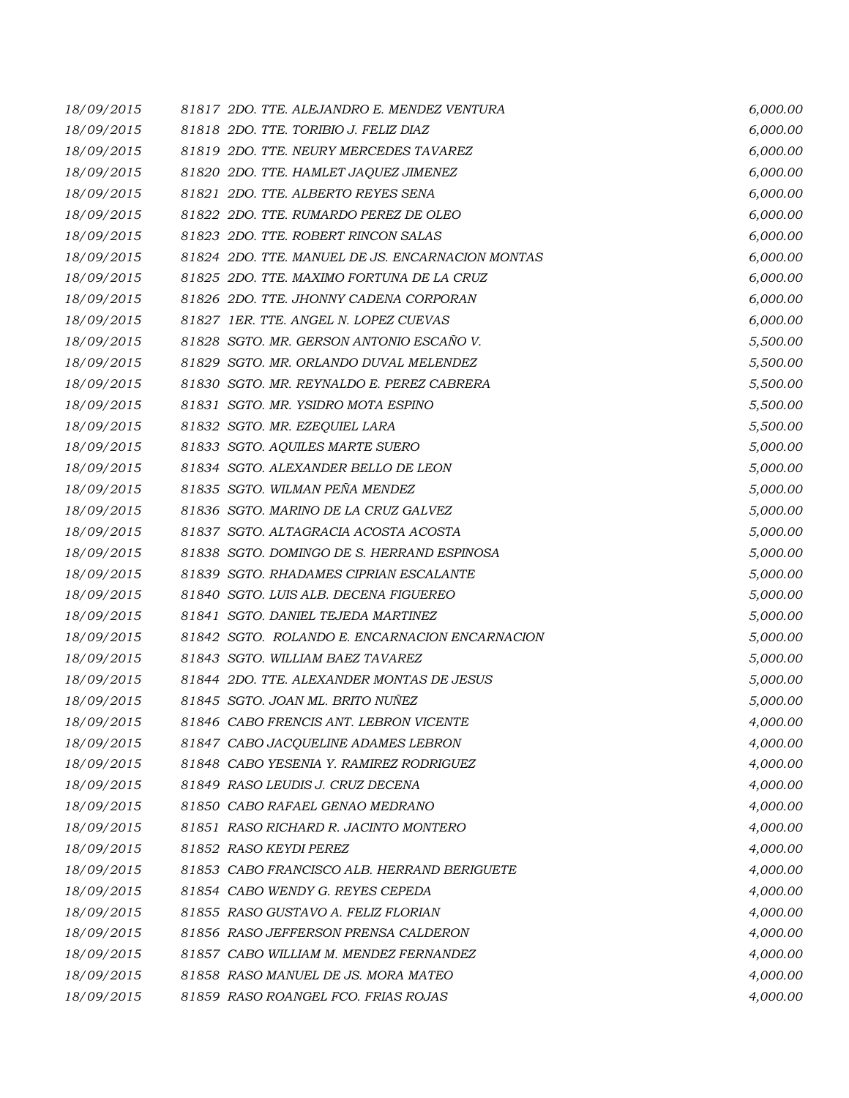| 18/09/2015 | 81817 2DO. TTE. ALEJANDRO E. MENDEZ VENTURA      | 6,000.00 |
|------------|--------------------------------------------------|----------|
| 18/09/2015 | 81818 2DO. TTE. TORIBIO J. FELIZ DIAZ            | 6,000.00 |
| 18/09/2015 | 81819 2DO. TTE, NEURY MERCEDES TAVAREZ           | 6,000.00 |
| 18/09/2015 | 81820 2DO. TTE. HAMLET JAQUEZ JIMENEZ            | 6,000.00 |
| 18/09/2015 | 81821 2DO. TTE, ALBERTO REYES SENA               | 6,000.00 |
| 18/09/2015 | 81822 2DO. TTE. RUMARDO PEREZ DE OLEO            | 6,000.00 |
| 18/09/2015 | 81823 2DO. TTE. ROBERT RINCON SALAS              | 6,000.00 |
| 18/09/2015 | 81824 2DO. TTE. MANUEL DE JS. ENCARNACION MONTAS | 6,000.00 |
| 18/09/2015 | 81825 2DO. TTE. MAXIMO FORTUNA DE LA CRUZ        | 6,000.00 |
| 18/09/2015 | 81826 2DO. TTE. JHONNY CADENA CORPORAN           | 6,000.00 |
| 18/09/2015 | 81827 1ER. TTE. ANGEL N. LOPEZ CUEVAS            | 6,000.00 |
| 18/09/2015 | 81828 SGTO. MR. GERSON ANTONIO ESCAÑO V.         | 5,500.00 |
| 18/09/2015 | 81829 SGTO. MR. ORLANDO DUVAL MELENDEZ           | 5,500.00 |
| 18/09/2015 | 81830 SGTO. MR. REYNALDO E. PEREZ CABRERA        | 5,500.00 |
| 18/09/2015 | 81831 SGTO. MR. YSIDRO MOTA ESPINO               | 5,500.00 |
| 18/09/2015 | 81832 SGTO. MR. EZEQUIEL LARA                    | 5,500.00 |
| 18/09/2015 | 81833 SGTO. AQUILES MARTE SUERO                  | 5,000.00 |
| 18/09/2015 | 81834 SGTO. ALEXANDER BELLO DE LEON              | 5,000.00 |
| 18/09/2015 | 81835 SGTO. WILMAN PEÑA MENDEZ                   | 5,000.00 |
| 18/09/2015 | 81836 SGTO. MARINO DE LA CRUZ GALVEZ             | 5,000.00 |
| 18/09/2015 | 81837 SGTO. ALTAGRACIA ACOSTA ACOSTA             | 5,000.00 |
| 18/09/2015 | 81838 SGTO. DOMINGO DE S. HERRAND ESPINOSA       | 5,000.00 |
| 18/09/2015 | 81839 SGTO. RHADAMES CIPRIAN ESCALANTE           | 5,000.00 |
| 18/09/2015 | 81840 SGTO. LUIS ALB. DECENA FIGUEREO            | 5,000.00 |
| 18/09/2015 | 81841 SGTO. DANIEL TEJEDA MARTINEZ               | 5,000.00 |
| 18/09/2015 | 81842 SGTO. ROLANDO E. ENCARNACION ENCARNACION   | 5,000.00 |
| 18/09/2015 | 81843 SGTO. WILLIAM BAEZ TAVAREZ                 | 5,000.00 |
| 18/09/2015 | 81844 2DO. TTE, ALEXANDER MONTAS DE JESUS        | 5,000.00 |
| 18/09/2015 | 81845 SGTO. JOAN ML. BRITO NUÑEZ                 | 5,000.00 |
| 18/09/2015 | 81846 CABO FRENCIS ANT. LEBRON VICENTE           | 4,000.00 |
| 18/09/2015 | 81847 CABO JACQUELINE ADAMES LEBRON              | 4,000.00 |
| 18/09/2015 | 81848 CABO YESENIA Y. RAMIREZ RODRIGUEZ          | 4,000.00 |
| 18/09/2015 | 81849 RASO LEUDIS J. CRUZ DECENA                 | 4,000.00 |
| 18/09/2015 | 81850 CABO RAFAEL GENAO MEDRANO                  | 4,000.00 |
| 18/09/2015 | 81851 RASO RICHARD R. JACINTO MONTERO            | 4,000.00 |
| 18/09/2015 | 81852 RASO KEYDI PEREZ                           | 4,000.00 |
| 18/09/2015 | 81853 CABO FRANCISCO ALB. HERRAND BERIGUETE      | 4,000.00 |
| 18/09/2015 | 81854 CABO WENDY G. REYES CEPEDA                 | 4,000.00 |
| 18/09/2015 | 81855 RASO GUSTAVO A. FELIZ FLORIAN              | 4,000.00 |
| 18/09/2015 | 81856 RASO JEFFERSON PRENSA CALDERON             | 4,000.00 |
| 18/09/2015 | 81857 CABO WILLIAM M. MENDEZ FERNANDEZ           | 4,000.00 |
| 18/09/2015 | 81858 RASO MANUEL DE JS. MORA MATEO              | 4,000.00 |
| 18/09/2015 | 81859 RASO ROANGEL FCO. FRIAS ROJAS              | 4,000.00 |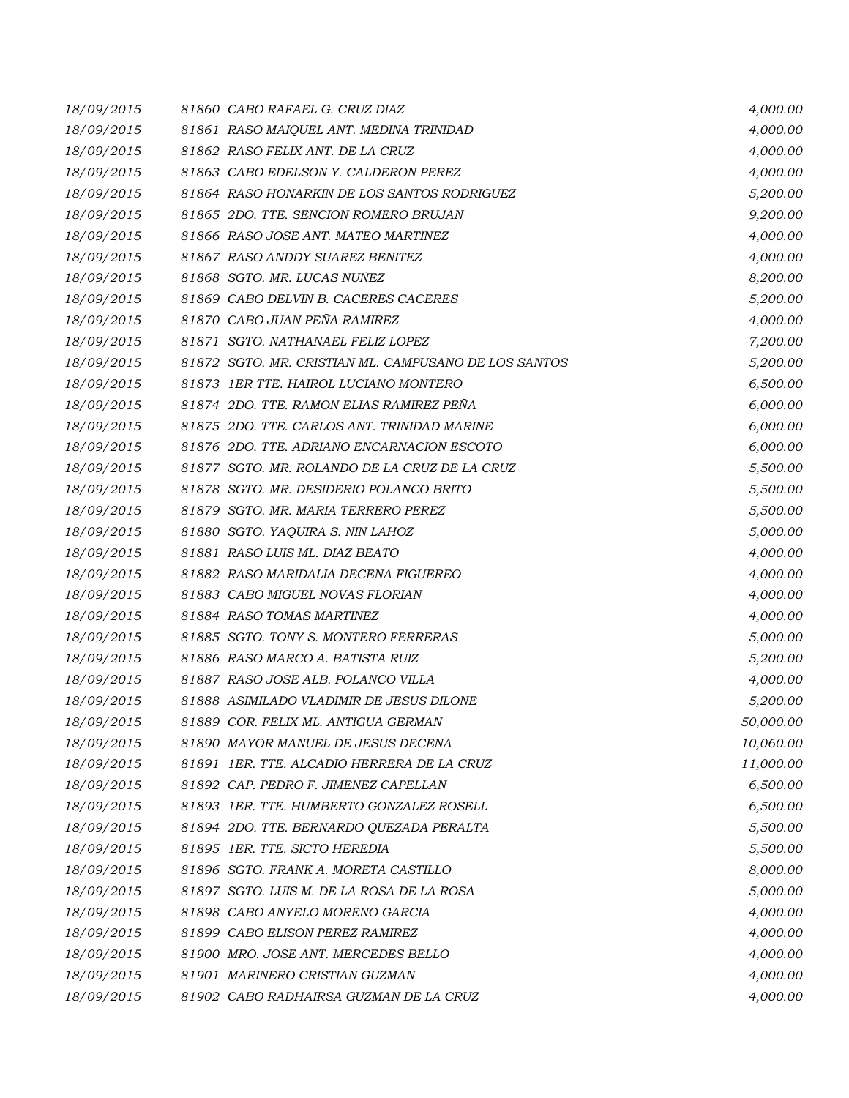| 18/09/2015 | 81860 CABO RAFAEL G. CRUZ DIAZ                       | 4,000.00  |
|------------|------------------------------------------------------|-----------|
| 18/09/2015 | 81861 RASO MAIQUEL ANT. MEDINA TRINIDAD              | 4,000.00  |
| 18/09/2015 | 81862 RASO FELIX ANT. DE LA CRUZ                     | 4,000.00  |
| 18/09/2015 | 81863 CABO EDELSON Y. CALDERON PEREZ                 | 4,000.00  |
| 18/09/2015 | 81864 RASO HONARKIN DE LOS SANTOS RODRIGUEZ          | 5,200.00  |
| 18/09/2015 | 81865 2DO. TTE. SENCION ROMERO BRUJAN                | 9,200.00  |
| 18/09/2015 | 81866 RASO JOSE ANT. MATEO MARTINEZ                  | 4,000.00  |
| 18/09/2015 | 81867 RASO ANDDY SUAREZ BENITEZ                      | 4,000.00  |
| 18/09/2015 | 81868 SGTO. MR. LUCAS NUÑEZ                          | 8,200.00  |
| 18/09/2015 | 81869 CABO DELVIN B. CACERES CACERES                 | 5,200.00  |
| 18/09/2015 | 81870 CABO JUAN PEÑA RAMIREZ                         | 4,000.00  |
| 18/09/2015 | 81871 SGTO. NATHANAEL FELIZ LOPEZ                    | 7,200.00  |
| 18/09/2015 | 81872 SGTO. MR. CRISTIAN ML. CAMPUSANO DE LOS SANTOS | 5,200.00  |
| 18/09/2015 | 81873 1ER TTE. HAIROL LUCIANO MONTERO                | 6,500.00  |
| 18/09/2015 | 81874 2DO. TTE. RAMON ELIAS RAMIREZ PEÑA             | 6,000.00  |
| 18/09/2015 | 81875 2DO. TTE, CARLOS ANT. TRINIDAD MARINE          | 6,000.00  |
| 18/09/2015 | 81876 2DO. TTE. ADRIANO ENCARNACION ESCOTO           | 6,000.00  |
| 18/09/2015 | 81877 SGTO. MR. ROLANDO DE LA CRUZ DE LA CRUZ        | 5,500.00  |
| 18/09/2015 | 81878 SGTO. MR. DESIDERIO POLANCO BRITO              | 5,500.00  |
| 18/09/2015 | 81879 SGTO. MR. MARIA TERRERO PEREZ                  | 5,500.00  |
| 18/09/2015 | 81880 SGTO. YAQUIRA S. NIN LAHOZ                     | 5,000.00  |
| 18/09/2015 | 81881 RASO LUIS ML. DIAZ BEATO                       | 4,000.00  |
| 18/09/2015 | 81882 RASO MARIDALIA DECENA FIGUEREO                 | 4,000.00  |
| 18/09/2015 | 81883 CABO MIGUEL NOVAS FLORIAN                      | 4,000.00  |
| 18/09/2015 | 81884 RASO TOMAS MARTINEZ                            | 4,000.00  |
| 18/09/2015 | 81885 SGTO. TONY S. MONTERO FERRERAS                 | 5,000.00  |
| 18/09/2015 | 81886 RASO MARCO A. BATISTA RUIZ                     | 5,200.00  |
| 18/09/2015 | 81887 RASO JOSE ALB. POLANCO VILLA                   | 4,000.00  |
| 18/09/2015 | 81888 ASIMILADO VLADIMIR DE JESUS DILONE             | 5,200.00  |
| 18/09/2015 | 81889 COR. FELIX ML. ANTIGUA GERMAN                  | 50,000.00 |
| 18/09/2015 | 81890 MAYOR MANUEL DE JESUS DECENA                   | 10,060.00 |
| 18/09/2015 | 81891 1ER. TTE. ALCADIO HERRERA DE LA CRUZ           | 11,000.00 |
| 18/09/2015 | 81892 CAP. PEDRO F. JIMENEZ CAPELLAN                 | 6,500.00  |
| 18/09/2015 | 81893 1ER. TTE. HUMBERTO GONZALEZ ROSELL             | 6,500.00  |
| 18/09/2015 | 81894 2DO. TTE. BERNARDO QUEZADA PERALTA             | 5,500.00  |
| 18/09/2015 | 81895 1ER. TTE. SICTO HEREDIA                        | 5,500.00  |
| 18/09/2015 | 81896 SGTO. FRANK A. MORETA CASTILLO                 | 8,000.00  |
| 18/09/2015 | 81897 SGTO. LUIS M. DE LA ROSA DE LA ROSA            | 5,000.00  |
| 18/09/2015 | 81898 CABO ANYELO MORENO GARCIA                      | 4,000.00  |
| 18/09/2015 | 81899 CABO ELISON PEREZ RAMIREZ                      | 4,000.00  |
| 18/09/2015 | 81900 MRO. JOSE ANT. MERCEDES BELLO                  | 4,000.00  |
| 18/09/2015 | 81901 MARINERO CRISTIAN GUZMAN                       | 4,000.00  |
| 18/09/2015 | 81902 CABO RADHAIRSA GUZMAN DE LA CRUZ               | 4,000.00  |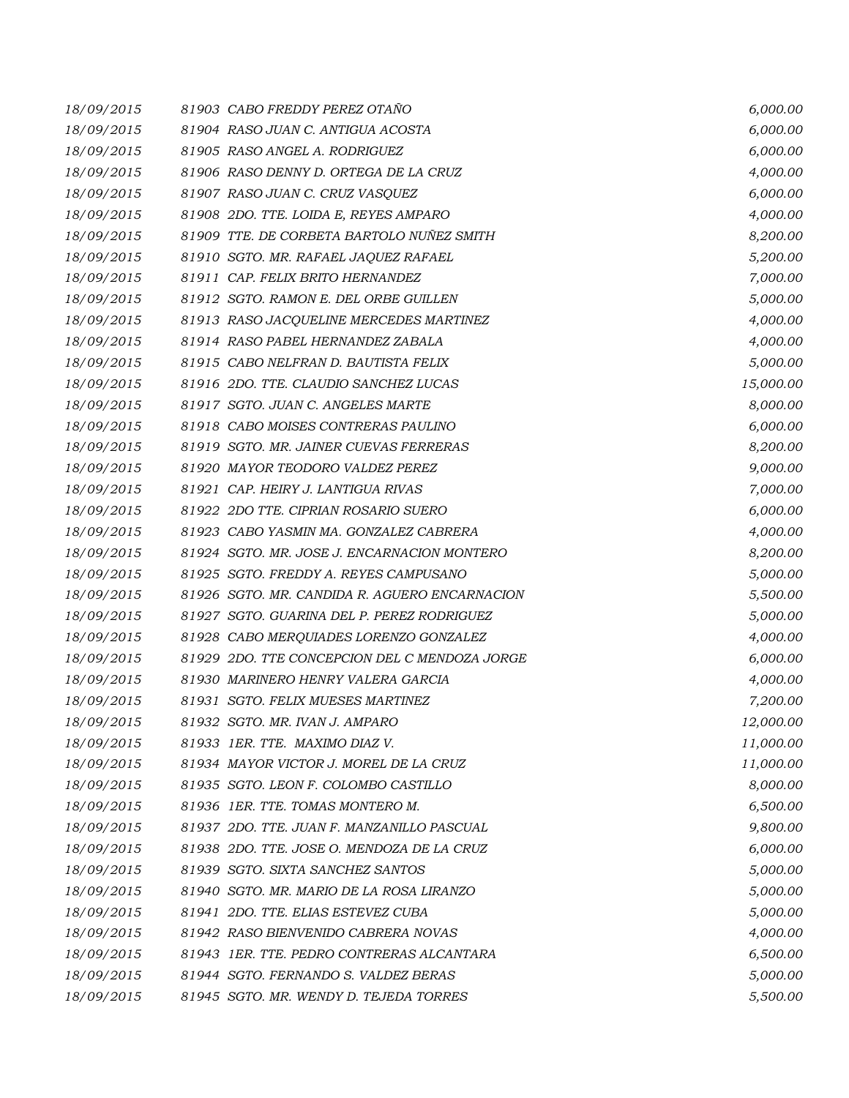| 18/09/2015 | 81903 CABO FREDDY PEREZ OTAÑO              |                                               | 6,000.00  |
|------------|--------------------------------------------|-----------------------------------------------|-----------|
| 18/09/2015 | 81904 RASO JUAN C. ANTIGUA ACOSTA          |                                               | 6,000.00  |
| 18/09/2015 | 81905 RASO ANGEL A. RODRIGUEZ              |                                               | 6,000.00  |
| 18/09/2015 | 81906 RASO DENNY D. ORTEGA DE LA CRUZ      |                                               | 4,000.00  |
| 18/09/2015 | 81907 RASO JUAN C. CRUZ VASQUEZ            |                                               | 6,000.00  |
| 18/09/2015 | 81908 2DO. TTE. LOIDA E, REYES AMPARO      |                                               | 4,000.00  |
| 18/09/2015 |                                            | 81909 TTE. DE CORBETA BARTOLO NUÑEZ SMITH     | 8,200.00  |
| 18/09/2015 | 81910 SGTO. MR. RAFAEL JAQUEZ RAFAEL       |                                               | 5,200.00  |
| 18/09/2015 | 81911 CAP. FELIX BRITO HERNANDEZ           |                                               | 7,000.00  |
| 18/09/2015 | 81912 SGTO. RAMON E. DEL ORBE GUILLEN      |                                               | 5,000.00  |
| 18/09/2015 | 81913 RASO JACQUELINE MERCEDES MARTINEZ    |                                               | 4,000.00  |
| 18/09/2015 | 81914   RASO PABEL HERNANDEZ ZABALA        |                                               | 4,000.00  |
| 18/09/2015 | 81915 CABO NELFRAN D. BAUTISTA FELIX       |                                               | 5,000.00  |
| 18/09/2015 | 81916 2DO. TTE. CLAUDIO SANCHEZ LUCAS      |                                               | 15,000.00 |
| 18/09/2015 | 81917 SGTO. JUAN C. ANGELES MARTE          |                                               | 8,000.00  |
| 18/09/2015 | 81918 CABO MOISES CONTRERAS PAULINO        |                                               | 6,000.00  |
| 18/09/2015 | 81919 SGTO. MR. JAINER CUEVAS FERRERAS     |                                               | 8,200.00  |
| 18/09/2015 | 81920 MAYOR TEODORO VALDEZ PEREZ           |                                               | 9,000.00  |
| 18/09/2015 | 81921 CAP. HEIRY J. LANTIGUA RIVAS         |                                               | 7,000.00  |
| 18/09/2015 | 81922 2DO TTE, CIPRIAN ROSARIO SUERO       |                                               | 6,000.00  |
| 18/09/2015 | 81923 CABO YASMIN MA. GONZALEZ CABRERA     |                                               | 4,000.00  |
| 18/09/2015 |                                            | 81924 SGTO. MR. JOSE J. ENCARNACION MONTERO   | 8,200.00  |
| 18/09/2015 | 81925 SGTO. FREDDY A. REYES CAMPUSANO      |                                               | 5,000.00  |
| 18/09/2015 |                                            | 81926 SGTO. MR. CANDIDA R. AGUERO ENCARNACION | 5,500.00  |
| 18/09/2015 | 81927 SGTO. GUARINA DEL P. PEREZ RODRIGUEZ |                                               | 5,000.00  |
| 18/09/2015 | 81928 CABO MERQUIADES LORENZO GONZALEZ     |                                               | 4,000.00  |
| 18/09/2015 |                                            | 81929 2DO. TTE CONCEPCION DEL C MENDOZA JORGE | 6,000.00  |
| 18/09/2015 | 81930 MARINERO HENRY VALERA GARCIA         |                                               | 4,000.00  |
| 18/09/2015 | 81931 SGTO. FELIX MUESES MARTINEZ          |                                               | 7,200.00  |
| 18/09/2015 | 81932 SGTO. MR. IVAN J. AMPARO             |                                               | 12,000.00 |
| 18/09/2015 | 81933 IER. TTE. MAXIMO DIAZ V.             |                                               | 11,000.00 |
| 18/09/2015 | 81934 MAYOR VICTOR J. MOREL DE LA CRUZ     |                                               | 11,000.00 |
| 18/09/2015 | 81935 SGTO. LEON F. COLOMBO CASTILLO       |                                               | 8,000.00  |
| 18/09/2015 | 81936 1ER. TTE. TOMAS MONTERO M.           |                                               | 6,500.00  |
| 18/09/2015 | 81937 2DO. TTE. JUAN F. MANZANILLO PASCUAL |                                               | 9,800.00  |
| 18/09/2015 | 81938 2DO. TTE. JOSE O. MENDOZA DE LA CRUZ |                                               | 6,000.00  |
| 18/09/2015 | 81939 SGTO. SIXTA SANCHEZ SANTOS           |                                               | 5,000.00  |
| 18/09/2015 | 81940 SGTO. MR. MARIO DE LA ROSA LIRANZO   |                                               | 5,000.00  |
| 18/09/2015 | 81941 2DO. TTE. ELIAS ESTEVEZ CUBA         |                                               | 5,000.00  |
| 18/09/2015 | 81942 RASO BIENVENIDO CABRERA NOVAS        |                                               | 4,000.00  |
| 18/09/2015 |                                            | 81943 IER. TTE. PEDRO CONTRERAS ALCANTARA     | 6,500.00  |
| 18/09/2015 | 81944 SGTO. FERNANDO S. VALDEZ BERAS       |                                               | 5,000.00  |
| 18/09/2015 | 81945 SGTO. MR. WENDY D. TEJEDA TORRES     |                                               | 5,500.00  |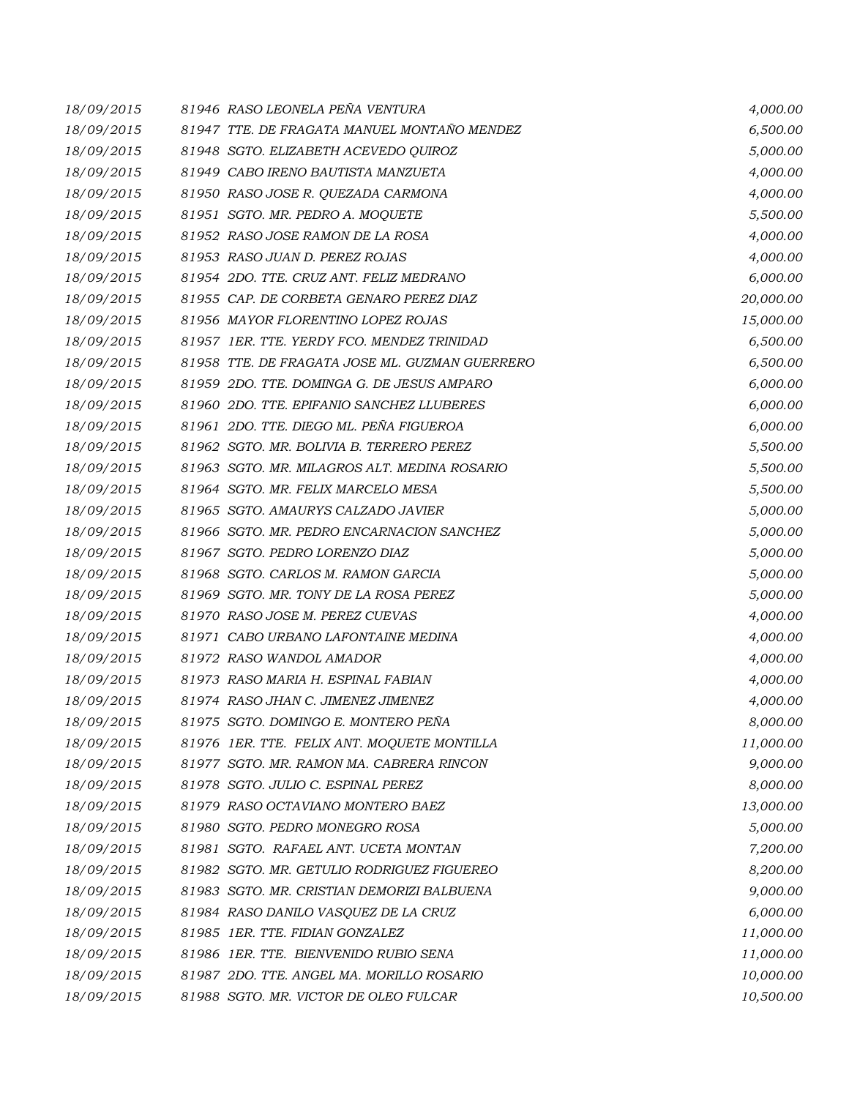| 18/09/2015 | 81946 RASO LEONELA PEÑA VENTURA                | 4,000.00  |
|------------|------------------------------------------------|-----------|
| 18/09/2015 | 81947 TTE. DE FRAGATA MANUEL MONTAÑO MENDEZ    | 6,500.00  |
| 18/09/2015 | 81948 SGTO. ELIZABETH ACEVEDO QUIROZ           | 5,000.00  |
| 18/09/2015 | 81949 CABO IRENO BAUTISTA MANZUETA             | 4,000.00  |
| 18/09/2015 | 81950 RASO JOSE R. QUEZADA CARMONA             | 4,000.00  |
| 18/09/2015 | 81951 SGTO. MR. PEDRO A. MOQUETE               | 5,500.00  |
| 18/09/2015 | 81952 RASO JOSE RAMON DE LA ROSA               | 4,000.00  |
| 18/09/2015 | 81953 RASO JUAN D. PEREZ ROJAS                 | 4,000.00  |
| 18/09/2015 | 81954 2DO. TTE. CRUZ ANT. FELIZ MEDRANO        | 6,000.00  |
| 18/09/2015 | 81955 CAP. DE CORBETA GENARO PEREZ DIAZ        | 20,000.00 |
| 18/09/2015 | 81956 MAYOR FLORENTINO LOPEZ ROJAS             | 15,000.00 |
| 18/09/2015 | 81957 IER. TTE. YERDY FCO. MENDEZ TRINIDAD     | 6,500.00  |
| 18/09/2015 | 81958 TTE. DE FRAGATA JOSE ML. GUZMAN GUERRERO | 6,500.00  |
| 18/09/2015 | 81959 2DO. TTE. DOMINGA G. DE JESUS AMPARO     | 6,000.00  |
| 18/09/2015 | 81960 2DO. TTE. EPIFANIO SANCHEZ LLUBERES      | 6,000.00  |
| 18/09/2015 | 81961 2DO. TTE, DIEGO ML, PEÑA FIGUEROA        | 6,000.00  |
| 18/09/2015 | 81962 SGTO. MR. BOLIVIA B. TERRERO PEREZ       | 5,500.00  |
| 18/09/2015 | 81963 SGTO. MR. MILAGROS ALT. MEDINA ROSARIO   | 5,500.00  |
| 18/09/2015 | 81964 SGTO. MR. FELIX MARCELO MESA             | 5,500.00  |
| 18/09/2015 | 81965 SGTO. AMAURYS CALZADO JAVIER             | 5,000.00  |
| 18/09/2015 | 81966 SGTO. MR. PEDRO ENCARNACION SANCHEZ      | 5,000.00  |
| 18/09/2015 | 81967 SGTO. PEDRO LORENZO DIAZ                 | 5,000.00  |
| 18/09/2015 | 81968 SGTO. CARLOS M. RAMON GARCIA             | 5,000.00  |
| 18/09/2015 | 81969 SGTO. MR. TONY DE LA ROSA PEREZ          | 5,000.00  |
| 18/09/2015 | 81970 RASO JOSE M. PEREZ CUEVAS                | 4,000.00  |
| 18/09/2015 | 81971 CABO URBANO LAFONTAINE MEDINA            | 4,000.00  |
| 18/09/2015 | 81972 RASO WANDOL AMADOR                       | 4,000.00  |
| 18/09/2015 | 81973 RASO MARIA H. ESPINAL FABIAN             | 4,000.00  |
| 18/09/2015 | 81974 RASO JHAN C. JIMENEZ JIMENEZ             | 4,000.00  |
| 18/09/2015 | 81975 SGTO. DOMINGO E. MONTERO PEÑA            | 8,000.00  |
| 18/09/2015 | 81976 1ER. TTE. FELIX ANT. MOQUETE MONTILLA    | 11,000.00 |
| 18/09/2015 | 81977 SGTO. MR. RAMON MA. CABRERA RINCON       | 9,000.00  |
| 18/09/2015 | 81978 SGTO. JULIO C. ESPINAL PEREZ             | 8,000.00  |
| 18/09/2015 | 81979 RASO OCTAVIANO MONTERO BAEZ              | 13,000.00 |
| 18/09/2015 | 81980 SGTO. PEDRO MONEGRO ROSA                 | 5,000.00  |
| 18/09/2015 | 81981 SGTO. RAFAEL ANT. UCETA MONTAN           | 7,200.00  |
| 18/09/2015 | 81982 SGTO. MR. GETULIO RODRIGUEZ FIGUEREO     | 8,200.00  |
| 18/09/2015 | 81983 SGTO. MR. CRISTIAN DEMORIZI BALBUENA     | 9,000.00  |
| 18/09/2015 | 81984 RASO DANILO VASQUEZ DE LA CRUZ           | 6,000.00  |
| 18/09/2015 | 81985 1ER. TTE. FIDIAN GONZALEZ                | 11,000.00 |
| 18/09/2015 | 81986 1ER. TTE. BIENVENIDO RUBIO SENA          | 11,000.00 |
| 18/09/2015 | 81987 2DO. TTE. ANGEL MA. MORILLO ROSARIO      | 10,000.00 |
| 18/09/2015 | 81988 SGTO. MR. VICTOR DE OLEO FULCAR          | 10,500.00 |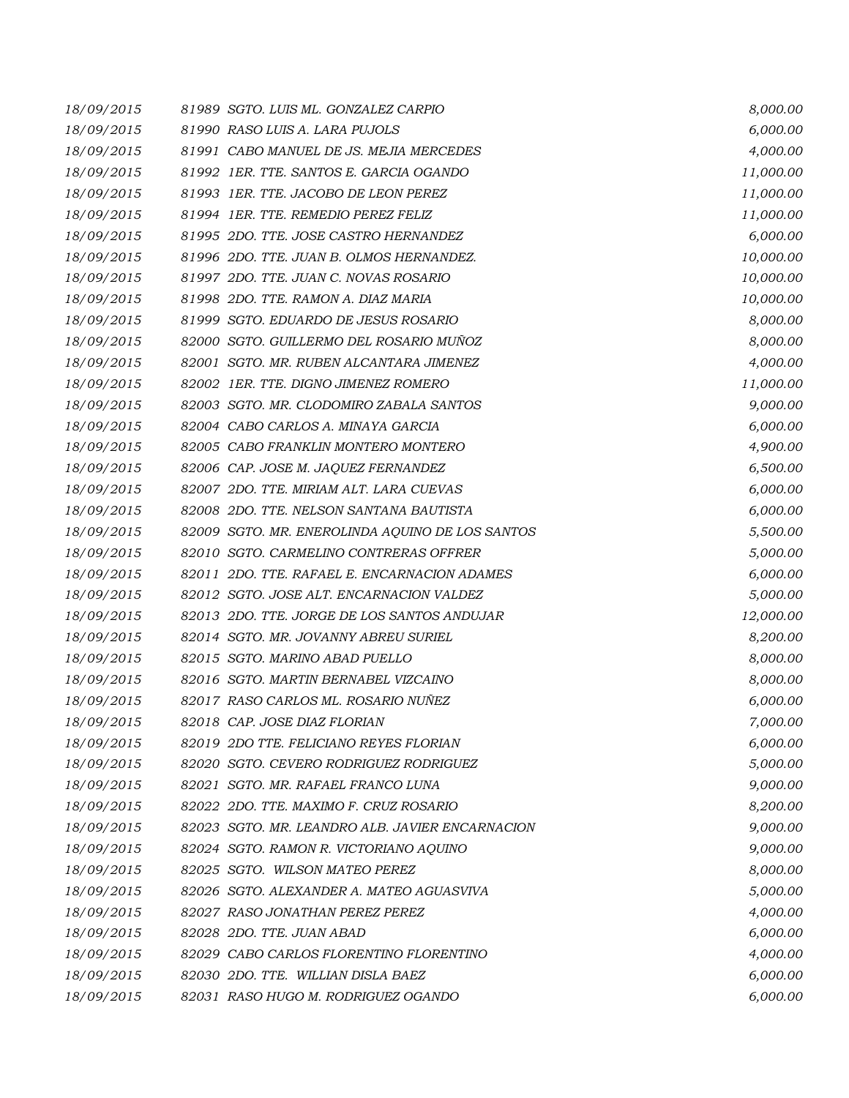| 18/09/2015 | 81989 SGTO. LUIS ML. GONZALEZ CARPIO            | 8,000.00  |
|------------|-------------------------------------------------|-----------|
| 18/09/2015 | 81990 RASO LUIS A. LARA PUJOLS                  | 6,000.00  |
| 18/09/2015 | 81991 CABO MANUEL DE JS. MEJIA MERCEDES         | 4,000.00  |
| 18/09/2015 | 81992 IER. TTE. SANTOS E. GARCIA OGANDO         | 11,000.00 |
| 18/09/2015 | 81993 IER. TTE. JACOBO DE LEON PEREZ            | 11,000.00 |
| 18/09/2015 | 81994 IER. TTE. REMEDIO PEREZ FELIZ             | 11,000.00 |
| 18/09/2015 | 81995 2DO. TTE. JOSE CASTRO HERNANDEZ           | 6,000.00  |
| 18/09/2015 | 81996 2DO. TTE. JUAN B. OLMOS HERNANDEZ.        | 10,000.00 |
| 18/09/2015 | 81997 2DO. TTE. JUAN C. NOVAS ROSARIO           | 10,000.00 |
| 18/09/2015 | 81998 2DO. TTE. RAMON A. DIAZ MARIA             | 10,000.00 |
| 18/09/2015 | 81999 SGTO. EDUARDO DE JESUS ROSARIO            | 8,000.00  |
| 18/09/2015 | 82000 SGTO. GUILLERMO DEL ROSARIO MUÑOZ         | 8,000.00  |
| 18/09/2015 | 82001 SGTO. MR. RUBEN ALCANTARA JIMENEZ         | 4,000.00  |
| 18/09/2015 | 82002 1ER. TTE. DIGNO JIMENEZ ROMERO            | 11,000.00 |
| 18/09/2015 | 82003 SGTO. MR. CLODOMIRO ZABALA SANTOS         | 9,000.00  |
| 18/09/2015 | 82004 CABO CARLOS A. MINAYA GARCIA              | 6,000.00  |
| 18/09/2015 | 82005 CABO FRANKLIN MONTERO MONTERO             | 4,900.00  |
| 18/09/2015 | 82006 CAP. JOSE M. JAQUEZ FERNANDEZ             | 6,500.00  |
| 18/09/2015 | 82007 2DO. TTE. MIRIAM ALT. LARA CUEVAS         | 6,000.00  |
| 18/09/2015 | 82008 2DO. TTE, NELSON SANTANA BAUTISTA         | 6,000.00  |
| 18/09/2015 | 82009 SGTO. MR. ENEROLINDA AQUINO DE LOS SANTOS | 5,500.00  |
| 18/09/2015 | 82010 SGTO. CARMELINO CONTRERAS OFFRER          | 5,000.00  |
| 18/09/2015 | 82011 2DO. TTE. RAFAEL E. ENCARNACION ADAMES    | 6,000.00  |
| 18/09/2015 | 82012 SGTO. JOSE ALT. ENCARNACION VALDEZ        | 5,000.00  |
| 18/09/2015 | 82013 2DO. TTE. JORGE DE LOS SANTOS ANDUJAR     | 12,000.00 |
| 18/09/2015 | 82014 SGTO. MR. JOVANNY ABREU SURIEL            | 8,200.00  |
| 18/09/2015 | 82015 SGTO. MARINO ABAD PUELLO                  | 8,000.00  |
| 18/09/2015 | 82016 SGTO. MARTIN BERNABEL VIZCAINO            | 8,000.00  |
| 18/09/2015 | 82017 RASO CARLOS ML. ROSARIO NUÑEZ             | 6,000.00  |
| 18/09/2015 | 82018 CAP. JOSE DIAZ FLORIAN                    | 7,000.00  |
| 18/09/2015 | 82019 2DO TTE, FELICIANO REYES FLORIAN          | 6,000.00  |
| 18/09/2015 | 82020 SGTO. CEVERO RODRIGUEZ RODRIGUEZ          | 5,000.00  |
| 18/09/2015 | 82021 SGTO. MR. RAFAEL FRANCO LUNA              | 9,000.00  |
| 18/09/2015 | 82022 2DO. TTE. MAXIMO F. CRUZ ROSARIO          | 8,200.00  |
| 18/09/2015 | 82023 SGTO, MR. LEANDRO ALB. JAVIER ENCARNACION | 9,000.00  |
| 18/09/2015 | 82024 SGTO. RAMON R. VICTORIANO AQUINO          | 9,000.00  |
| 18/09/2015 | 82025 SGTO. WILSON MATEO PEREZ                  | 8,000.00  |
| 18/09/2015 | 82026 SGTO. ALEXANDER A. MATEO AGUASVIVA        | 5,000.00  |
| 18/09/2015 | 82027 RASO JONATHAN PEREZ PEREZ                 | 4,000.00  |
| 18/09/2015 | 82028 2DO. TTE. JUAN ABAD                       | 6,000.00  |
| 18/09/2015 | 82029 CABO CARLOS FLORENTINO FLORENTINO         | 4,000.00  |
| 18/09/2015 | 82030 2DO. TTE. WILLIAN DISLA BAEZ              | 6,000.00  |
| 18/09/2015 | 82031 RASO HUGO M. RODRIGUEZ OGANDO             | 6,000.00  |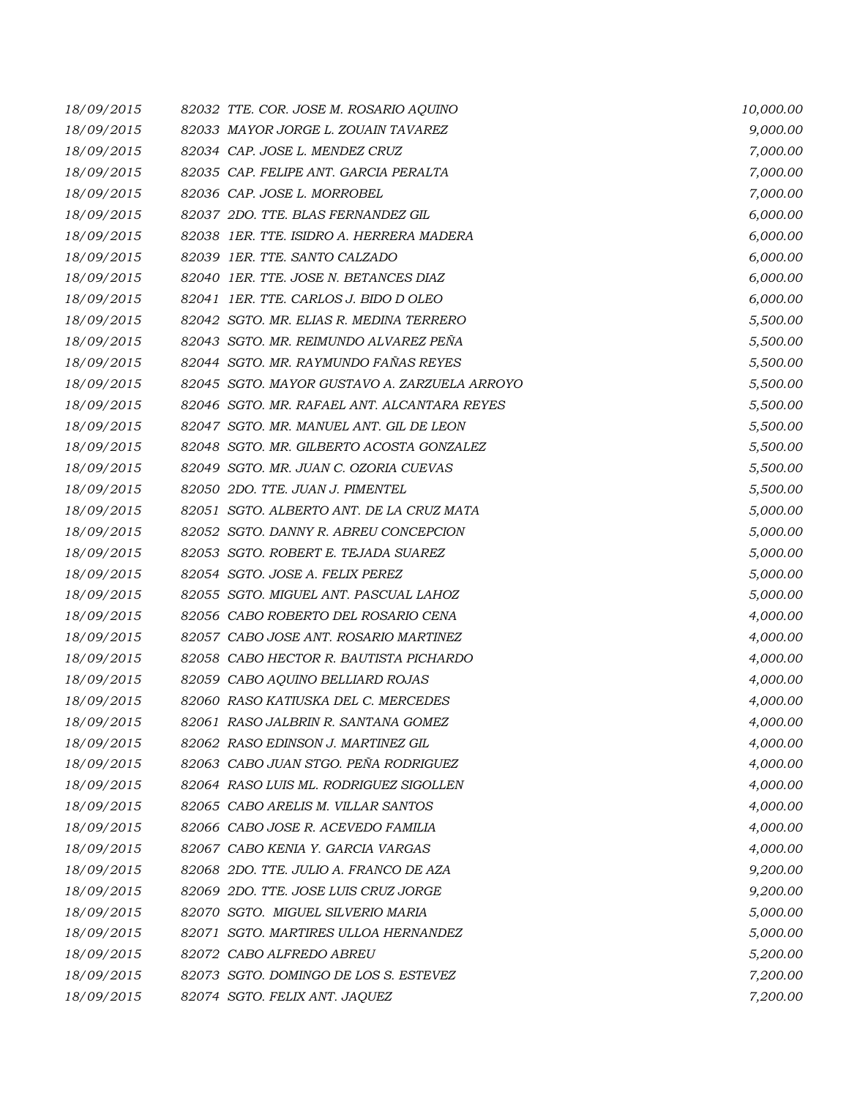| 18/09/2015 | 82032 TTE. COR. JOSE M. ROSARIO AQUINO       | 10,000.00 |
|------------|----------------------------------------------|-----------|
| 18/09/2015 | 82033 MAYOR JORGE L. ZOUAIN TAVAREZ          | 9,000.00  |
| 18/09/2015 | 82034 CAP. JOSE L. MENDEZ CRUZ               | 7,000.00  |
| 18/09/2015 | 82035 CAP. FELIPE ANT. GARCIA PERALTA        | 7,000.00  |
| 18/09/2015 | 82036 CAP. JOSE L. MORROBEL                  | 7,000.00  |
| 18/09/2015 | 82037 2DO. TTE. BLAS FERNANDEZ GIL           | 6,000.00  |
| 18/09/2015 | 82038 IER. TTE. ISIDRO A. HERRERA MADERA     | 6,000.00  |
| 18/09/2015 | 82039 1ER. TTE. SANTO CALZADO                | 6,000.00  |
| 18/09/2015 | 82040 IER. TTE. JOSE N. BETANCES DIAZ        | 6,000.00  |
| 18/09/2015 | 82041 IER. TTE. CARLOS J. BIDO D OLEO        | 6,000.00  |
| 18/09/2015 | 82042 SGTO. MR. ELIAS R. MEDINA TERRERO      | 5,500.00  |
| 18/09/2015 | 82043 SGTO. MR. REIMUNDO ALVAREZ PEÑA        | 5,500.00  |
| 18/09/2015 | 82044 SGTO. MR. RAYMUNDO FAÑAS REYES         | 5,500.00  |
| 18/09/2015 | 82045 SGTO. MAYOR GUSTAVO A. ZARZUELA ARROYO | 5,500.00  |
| 18/09/2015 | 82046 SGTO, MR. RAFAEL ANT, ALCANTARA REYES  | 5,500.00  |
| 18/09/2015 | 82047 SGTO. MR. MANUEL ANT. GIL DE LEON      | 5,500.00  |
| 18/09/2015 | 82048 SGTO. MR. GILBERTO ACOSTA GONZALEZ     | 5,500.00  |
| 18/09/2015 | 82049 SGTO. MR. JUAN C. OZORIA CUEVAS        | 5,500.00  |
| 18/09/2015 | 82050 2DO. TTE. JUAN J. PIMENTEL             | 5,500.00  |
| 18/09/2015 | 82051 SGTO. ALBERTO ANT. DE LA CRUZ MATA     | 5,000.00  |
| 18/09/2015 | 82052 SGTO. DANNY R. ABREU CONCEPCION        | 5,000.00  |
| 18/09/2015 | 82053 SGTO. ROBERT E. TEJADA SUAREZ          | 5,000.00  |
| 18/09/2015 | 82054 SGTO. JOSE A. FELIX PEREZ              | 5,000.00  |
| 18/09/2015 | 82055 SGTO. MIGUEL ANT. PASCUAL LAHOZ        | 5,000.00  |
| 18/09/2015 | 82056 CABO ROBERTO DEL ROSARIO CENA          | 4,000.00  |
| 18/09/2015 | 82057 CABO JOSE ANT. ROSARIO MARTINEZ        | 4,000.00  |
| 18/09/2015 | 82058 CABO HECTOR R. BAUTISTA PICHARDO       | 4,000.00  |
| 18/09/2015 | 82059 CABO AQUINO BELLIARD ROJAS             | 4,000.00  |
| 18/09/2015 | 82060 RASO KATIUSKA DEL C. MERCEDES          | 4,000.00  |
| 18/09/2015 | 82061 RASO JALBRIN R. SANTANA GOMEZ          | 4,000.00  |
| 18/09/2015 | 82062 RASO EDINSON J. MARTINEZ GIL           | 4,000.00  |
| 18/09/2015 | 82063 CABO JUAN STGO. PEÑA RODRIGUEZ         | 4,000.00  |
| 18/09/2015 | 82064 RASO LUIS ML. RODRIGUEZ SIGOLLEN       | 4,000.00  |
| 18/09/2015 | 82065 CABO ARELIS M. VILLAR SANTOS           | 4,000.00  |
| 18/09/2015 | 82066 CABO JOSE R. ACEVEDO FAMILIA           | 4,000.00  |
| 18/09/2015 | 82067 CABO KENIA Y. GARCIA VARGAS            | 4,000.00  |
| 18/09/2015 | 82068 2DO. TTE. JULIO A. FRANCO DE AZA       | 9,200.00  |
| 18/09/2015 | 82069 2DO. TTE. JOSE LUIS CRUZ JORGE         | 9,200.00  |
| 18/09/2015 | 82070 SGTO. MIGUEL SILVERIO MARIA            | 5,000.00  |
| 18/09/2015 | 82071 SGTO. MARTIRES ULLOA HERNANDEZ         | 5,000.00  |
| 18/09/2015 | 82072 CABO ALFREDO ABREU                     | 5,200.00  |
| 18/09/2015 | 82073 SGTO. DOMINGO DE LOS S. ESTEVEZ        | 7,200.00  |
| 18/09/2015 | 82074 SGTO. FELIX ANT. JAQUEZ                | 7,200.00  |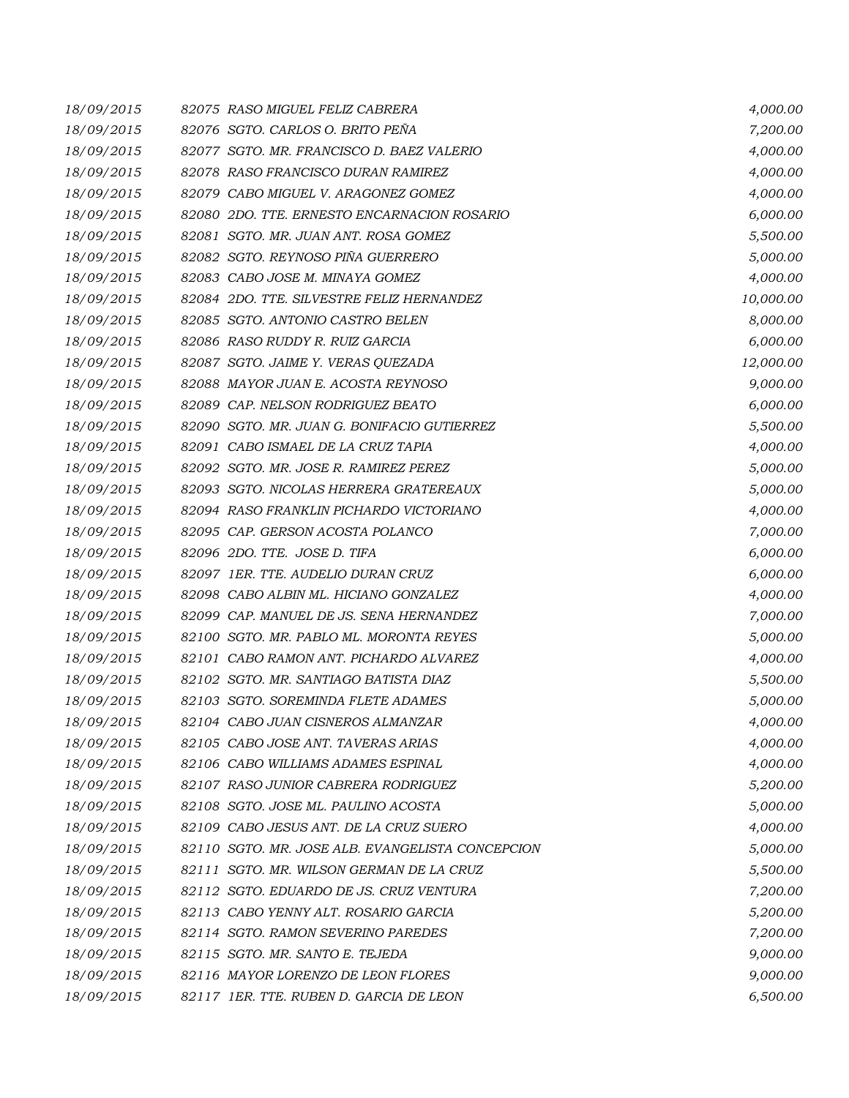| 18/09/2015 | 82075 RASO MIGUEL FELIZ CABRERA                  | 4,000.00  |
|------------|--------------------------------------------------|-----------|
| 18/09/2015 | 82076 SGTO. CARLOS O. BRITO PEÑA                 | 7,200.00  |
| 18/09/2015 | 82077 SGTO. MR. FRANCISCO D. BAEZ VALERIO        | 4,000.00  |
| 18/09/2015 | 82078 RASO FRANCISCO DURAN RAMIREZ               | 4,000.00  |
| 18/09/2015 | 82079 CABO MIGUEL V. ARAGONEZ GOMEZ              | 4,000.00  |
| 18/09/2015 | 82080 2DO. TTE. ERNESTO ENCARNACION ROSARIO      | 6,000.00  |
| 18/09/2015 | 82081 SGTO. MR. JUAN ANT. ROSA GOMEZ             | 5,500.00  |
| 18/09/2015 | 82082 SGTO. REYNOSO PIÑA GUERRERO                | 5,000.00  |
| 18/09/2015 | 82083 CABO JOSE M. MINAYA GOMEZ                  | 4,000.00  |
| 18/09/2015 | 82084 2DO. TTE. SILVESTRE FELIZ HERNANDEZ        | 10,000.00 |
| 18/09/2015 | 82085 SGTO. ANTONIO CASTRO BELEN                 | 8,000.00  |
| 18/09/2015 | 82086 RASO RUDDY R. RUIZ GARCIA                  | 6,000.00  |
| 18/09/2015 | 82087 SGTO. JAIME Y. VERAS QUEZADA               | 12,000.00 |
| 18/09/2015 | 82088 MAYOR JUAN E. ACOSTA REYNOSO               | 9,000.00  |
| 18/09/2015 | 82089 CAP. NELSON RODRIGUEZ BEATO                | 6,000.00  |
| 18/09/2015 | 82090 SGTO. MR. JUAN G. BONIFACIO GUTIERREZ      | 5,500.00  |
| 18/09/2015 | 82091 CABO ISMAEL DE LA CRUZ TAPIA               | 4,000.00  |
| 18/09/2015 | 82092 SGTO. MR. JOSE R. RAMIREZ PEREZ            | 5,000.00  |
| 18/09/2015 | 82093 SGTO. NICOLAS HERRERA GRATEREAUX           | 5,000.00  |
| 18/09/2015 | 82094 RASO FRANKLIN PICHARDO VICTORIANO          | 4,000.00  |
| 18/09/2015 | 82095 CAP. GERSON ACOSTA POLANCO                 | 7,000.00  |
| 18/09/2015 | 82096 2DO. TTE. JOSE D. TIFA                     | 6,000.00  |
| 18/09/2015 | 82097 IER. TTE. AUDELIO DURAN CRUZ               | 6,000.00  |
| 18/09/2015 | 82098 CABO ALBIN ML. HICIANO GONZALEZ            | 4,000.00  |
| 18/09/2015 | 82099 CAP. MANUEL DE JS. SENA HERNANDEZ          | 7,000.00  |
| 18/09/2015 | 82100 SGTO. MR. PABLO ML. MORONTA REYES          | 5,000.00  |
| 18/09/2015 | 82101 CABO RAMON ANT. PICHARDO ALVAREZ           | 4,000.00  |
| 18/09/2015 | 82102 SGTO. MR. SANTIAGO BATISTA DIAZ            | 5,500.00  |
| 18/09/2015 | 82103 SGTO. SOREMINDA FLETE ADAMES               | 5,000.00  |
| 18/09/2015 | 82104 CABO JUAN CISNEROS ALMANZAR                | 4,000.00  |
| 18/09/2015 | 82105 CABO JOSE ANT. TAVERAS ARIAS               | 4,000.00  |
| 18/09/2015 | 82106 CABO WILLIAMS ADAMES ESPINAL               | 4,000.00  |
| 18/09/2015 | 82107 RASO JUNIOR CABRERA RODRIGUEZ              | 5,200.00  |
| 18/09/2015 | 82108 SGTO. JOSE ML. PAULINO ACOSTA              | 5,000.00  |
| 18/09/2015 | 82109 CABO JESUS ANT. DE LA CRUZ SUERO           | 4,000.00  |
| 18/09/2015 | 82110 SGTO. MR. JOSE ALB. EVANGELISTA CONCEPCION | 5,000.00  |
| 18/09/2015 | 82111 SGTO. MR. WILSON GERMAN DE LA CRUZ         | 5,500.00  |
| 18/09/2015 | 82112 SGTO. EDUARDO DE JS. CRUZ VENTURA          | 7,200.00  |
| 18/09/2015 | 82113 CABO YENNY ALT. ROSARIO GARCIA             | 5,200.00  |
| 18/09/2015 | 82114 SGTO. RAMON SEVERINO PAREDES               | 7,200.00  |
| 18/09/2015 | 82115 SGTO. MR. SANTO E. TEJEDA                  | 9,000.00  |
| 18/09/2015 | 82116 MAYOR LORENZO DE LEON FLORES               | 9,000.00  |
| 18/09/2015 | 82117 1ER. TTE. RUBEN D. GARCIA DE LEON          | 6,500.00  |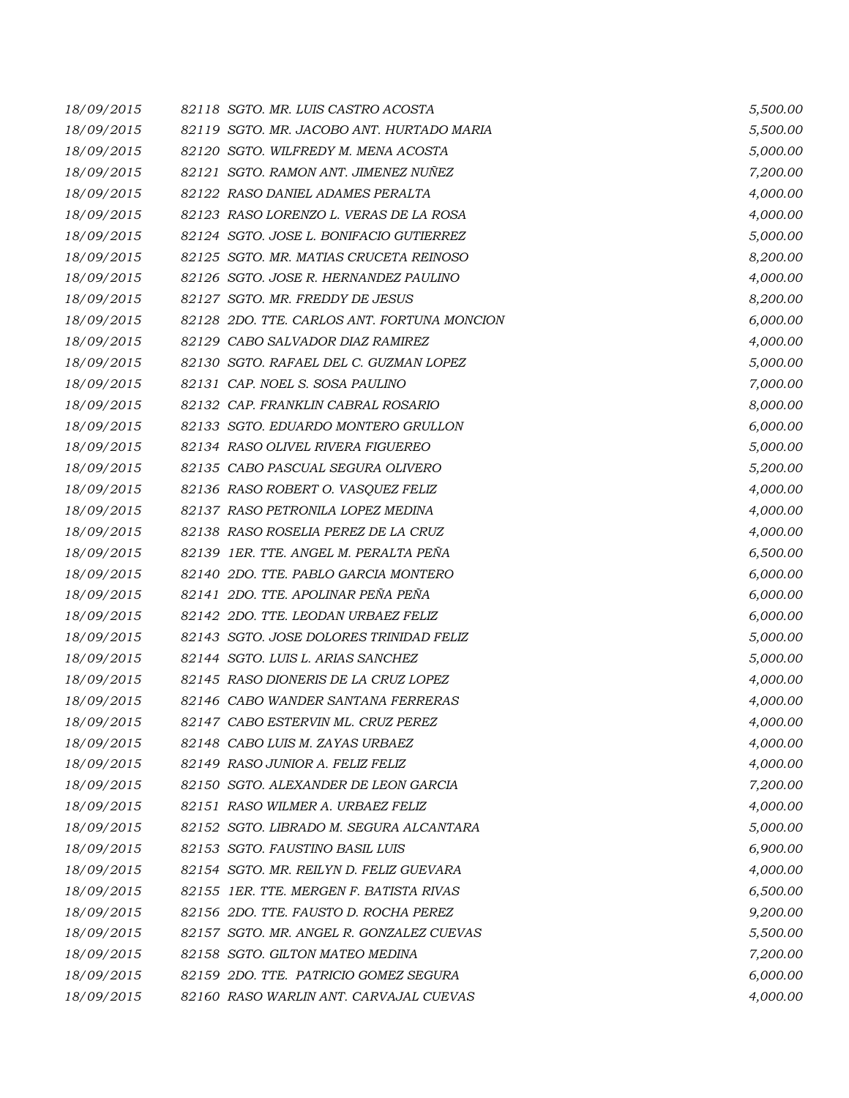| 18/09/2015 | 82118 SGTO. MR. LUIS CASTRO ACOSTA          | 5,500.00 |
|------------|---------------------------------------------|----------|
| 18/09/2015 | 82119 SGTO. MR. JACOBO ANT. HURTADO MARIA   | 5,500.00 |
| 18/09/2015 | 82120 SGTO. WILFREDY M. MENA ACOSTA         | 5,000.00 |
| 18/09/2015 | 82121 SGTO. RAMON ANT. JIMENEZ NUÑEZ        | 7,200.00 |
| 18/09/2015 | 82122 RASO DANIEL ADAMES PERALTA            | 4,000.00 |
| 18/09/2015 | 82123 RASO LORENZO L. VERAS DE LA ROSA      | 4,000.00 |
| 18/09/2015 | 82124 SGTO. JOSE L. BONIFACIO GUTIERREZ     | 5,000.00 |
| 18/09/2015 | 82125 SGTO. MR. MATIAS CRUCETA REINOSO      | 8,200.00 |
| 18/09/2015 | 82126 SGTO. JOSE R. HERNANDEZ PAULINO       | 4,000.00 |
| 18/09/2015 | 82127 SGTO. MR. FREDDY DE JESUS             | 8,200.00 |
| 18/09/2015 | 82128 2DO. TTE. CARLOS ANT. FORTUNA MONCION | 6,000.00 |
| 18/09/2015 | 82129 CABO SALVADOR DIAZ RAMIREZ            | 4,000.00 |
| 18/09/2015 | 82130 SGTO. RAFAEL DEL C. GUZMAN LOPEZ      | 5,000.00 |
| 18/09/2015 | 82131 CAP. NOEL S. SOSA PAULINO             | 7,000.00 |
| 18/09/2015 | 82132 CAP. FRANKLIN CABRAL ROSARIO          | 8,000.00 |
| 18/09/2015 | 82133 SGTO. EDUARDO MONTERO GRULLON         | 6,000.00 |
| 18/09/2015 | 82134 RASO OLIVEL RIVERA FIGUEREO           | 5,000.00 |
| 18/09/2015 | 82135 CABO PASCUAL SEGURA OLIVERO           | 5,200.00 |
| 18/09/2015 | 82136 RASO ROBERT O. VASQUEZ FELIZ          | 4,000.00 |
| 18/09/2015 | 82137 RASO PETRONILA LOPEZ MEDINA           | 4,000.00 |
| 18/09/2015 | 82138 RASO ROSELIA PEREZ DE LA CRUZ         | 4,000.00 |
| 18/09/2015 | 82139 IER. TTE. ANGEL M. PERALTA PEÑA       | 6,500.00 |
| 18/09/2015 | 82140 2DO. TTE, PABLO GARCIA MONTERO        | 6,000.00 |
| 18/09/2015 | 82141 2DO. TTE. APOLINAR PEÑA PEÑA          | 6,000.00 |
| 18/09/2015 | 82142 2DO. TTE. LEODAN URBAEZ FELIZ         | 6,000.00 |
| 18/09/2015 | 82143 SGTO. JOSE DOLORES TRINIDAD FELIZ     | 5,000.00 |
| 18/09/2015 | 82144 SGTO. LUIS L. ARIAS SANCHEZ           | 5,000.00 |
| 18/09/2015 | 82145 RASO DIONERIS DE LA CRUZ LOPEZ        | 4,000.00 |
| 18/09/2015 | 82146 CABO WANDER SANTANA FERRERAS          | 4,000.00 |
| 18/09/2015 | 82147 CABO ESTERVIN ML. CRUZ PEREZ          | 4,000.00 |
| 18/09/2015 | 82148 CABO LUIS M. ZAYAS URBAEZ             | 4,000.00 |
| 18/09/2015 | 82149 RASO JUNIOR A. FELIZ FELIZ            | 4,000.00 |
| 18/09/2015 | 82150 SGTO. ALEXANDER DE LEON GARCIA        | 7,200.00 |
| 18/09/2015 | 82151 RASO WILMER A. URBAEZ FELIZ           | 4,000.00 |
| 18/09/2015 | 82152 SGTO. LIBRADO M. SEGURA ALCANTARA     | 5,000.00 |
| 18/09/2015 | 82153 SGTO. FAUSTINO BASIL LUIS             | 6,900.00 |
| 18/09/2015 | 82154 SGTO, MR. REILYN D. FELIZ GUEVARA     | 4,000.00 |
| 18/09/2015 | 82155 IER. TTE. MERGEN F. BATISTA RIVAS     | 6,500.00 |
| 18/09/2015 | 82156 2DO. TTE. FAUSTO D. ROCHA PEREZ       | 9,200.00 |
| 18/09/2015 | 82157 SGTO. MR. ANGEL R. GONZALEZ CUEVAS    | 5,500.00 |
| 18/09/2015 | 82158 SGTO. GILTON MATEO MEDINA             | 7,200.00 |
| 18/09/2015 | 82159 2DO. TTE. PATRICIO GOMEZ SEGURA       | 6,000.00 |
| 18/09/2015 | 82160 RASO WARLIN ANT. CARVAJAL CUEVAS      | 4,000.00 |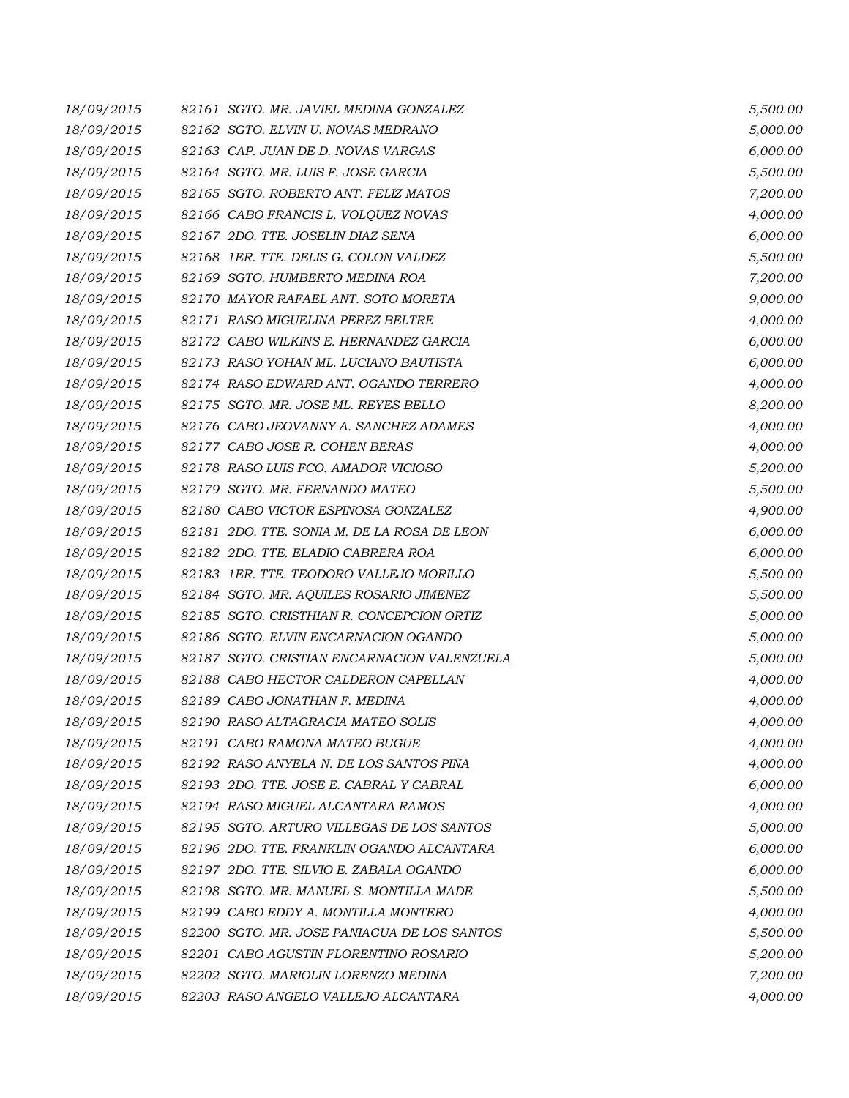| 18/09/2015 | 82161 SGTO. MR. JAVIEL MEDINA GONZALEZ      | 5,500.00 |
|------------|---------------------------------------------|----------|
| 18/09/2015 | 82162 SGTO. ELVIN U. NOVAS MEDRANO          | 5,000.00 |
| 18/09/2015 | 82163 CAP. JUAN DE D. NOVAS VARGAS          | 6,000.00 |
| 18/09/2015 | 82164 SGTO. MR. LUIS F. JOSE GARCIA         | 5,500.00 |
| 18/09/2015 | 82165 SGTO. ROBERTO ANT. FELIZ MATOS        | 7,200.00 |
| 18/09/2015 | 82166 CABO FRANCIS L. VOLQUEZ NOVAS         | 4,000.00 |
| 18/09/2015 | 82167 2DO. TTE. JOSELIN DIAZ SENA           | 6,000.00 |
| 18/09/2015 | 82168 1ER. TTE. DELIS G. COLON VALDEZ       | 5,500.00 |
| 18/09/2015 | 82169 SGTO. HUMBERTO MEDINA ROA             | 7,200.00 |
| 18/09/2015 | 82170 MAYOR RAFAEL ANT. SOTO MORETA         | 9,000.00 |
| 18/09/2015 | 82171 RASO MIGUELINA PEREZ BELTRE           | 4,000.00 |
| 18/09/2015 | 82172 CABO WILKINS E. HERNANDEZ GARCIA      | 6,000.00 |
| 18/09/2015 | 82173 RASO YOHAN ML. LUCIANO BAUTISTA       | 6,000.00 |
| 18/09/2015 | 82174 RASO EDWARD ANT. OGANDO TERRERO       | 4,000.00 |
| 18/09/2015 | 82175 SGTO. MR. JOSE ML. REYES BELLO        | 8,200.00 |
| 18/09/2015 | 82176 CABO JEOVANNY A. SANCHEZ ADAMES       | 4,000.00 |
| 18/09/2015 | 82177 CABO JOSE R. COHEN BERAS              | 4,000.00 |
| 18/09/2015 | 82178 RASO LUIS FCO. AMADOR VICIOSO         | 5,200.00 |
| 18/09/2015 | 82179 SGTO. MR. FERNANDO MATEO              | 5,500.00 |
| 18/09/2015 | 82180 CABO VICTOR ESPINOSA GONZALEZ         | 4,900.00 |
| 18/09/2015 | 82181 2DO. TTE. SONIA M. DE LA ROSA DE LEON | 6,000.00 |
| 18/09/2015 | 82182 2DO. TTE. ELADIO CABRERA ROA          | 6,000.00 |
| 18/09/2015 | 82183 IER. TTE. TEODORO VALLEJO MORILLO     | 5,500.00 |
| 18/09/2015 | 82184 SGTO. MR. AQUILES ROSARIO JIMENEZ     | 5,500.00 |
| 18/09/2015 | 82185 SGTO. CRISTHIAN R. CONCEPCION ORTIZ   | 5,000.00 |
| 18/09/2015 | 82186 SGTO. ELVIN ENCARNACION OGANDO        | 5,000.00 |
| 18/09/2015 | 82187 SGTO. CRISTIAN ENCARNACION VALENZUELA | 5,000.00 |
| 18/09/2015 | 82188 CABO HECTOR CALDERON CAPELLAN         | 4,000.00 |
| 18/09/2015 | 82189 CABO JONATHAN F. MEDINA               | 4,000.00 |
| 18/09/2015 | 82190 RASO ALTAGRACIA MATEO SOLIS           | 4,000.00 |
| 18/09/2015 | 82191 CABO RAMONA MATEO BUGUE               | 4,000.00 |
| 18/09/2015 | 82192 RASO ANYELA N. DE LOS SANTOS PIÑA     | 4,000.00 |
| 18/09/2015 | 82193 2DO. TTE, JOSE E. CABRAL Y CABRAL     | 6,000.00 |
| 18/09/2015 | 82194 RASO MIGUEL ALCANTARA RAMOS           | 4,000.00 |
| 18/09/2015 | 82195 SGTO. ARTURO VILLEGAS DE LOS SANTOS   | 5,000.00 |
| 18/09/2015 | 82196 2DO. TTE. FRANKLIN OGANDO ALCANTARA   | 6,000.00 |
| 18/09/2015 | 82197 2DO. TTE, SILVIO E, ZABALA OGANDO     | 6,000.00 |
| 18/09/2015 | 82198 SGTO. MR. MANUEL S. MONTILLA MADE     | 5,500.00 |
| 18/09/2015 | 82199 CABO EDDY A. MONTILLA MONTERO         | 4,000.00 |
| 18/09/2015 | 82200 SGTO. MR. JOSE PANIAGUA DE LOS SANTOS | 5,500.00 |
| 18/09/2015 | 82201 CABO AGUSTIN FLORENTINO ROSARIO       | 5,200.00 |
| 18/09/2015 | 82202 SGTO. MARIOLIN LORENZO MEDINA         | 7,200.00 |
| 18/09/2015 | 82203 RASO ANGELO VALLEJO ALCANTARA         | 4,000.00 |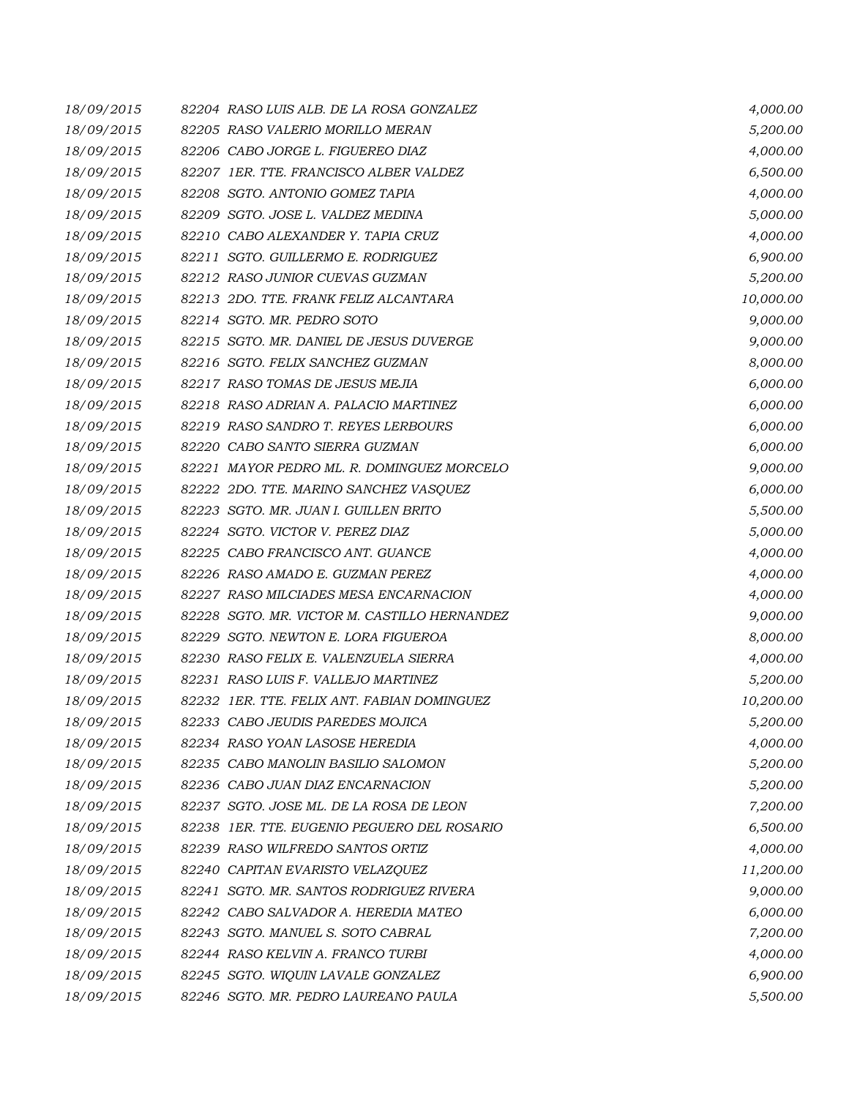| 18/09/2015 | 82204 RASO LUIS ALB. DE LA ROSA GONZALEZ     | 4,000.00  |
|------------|----------------------------------------------|-----------|
| 18/09/2015 | 82205 RASO VALERIO MORILLO MERAN             | 5,200.00  |
| 18/09/2015 | 82206 CABO JORGE L. FIGUEREO DIAZ            | 4,000.00  |
| 18/09/2015 | 82207 IER. TTE. FRANCISCO ALBER VALDEZ       | 6,500.00  |
| 18/09/2015 | 82208 SGTO. ANTONIO GOMEZ TAPIA              | 4,000.00  |
| 18/09/2015 | 82209 SGTO. JOSE L. VALDEZ MEDINA            | 5,000.00  |
| 18/09/2015 | 82210 CABO ALEXANDER Y. TAPIA CRUZ           | 4,000.00  |
| 18/09/2015 | 82211 SGTO. GUILLERMO E. RODRIGUEZ           | 6,900.00  |
| 18/09/2015 | 82212 RASO JUNIOR CUEVAS GUZMAN              | 5,200.00  |
| 18/09/2015 | 82213 2DO. TTE. FRANK FELIZ ALCANTARA        | 10,000.00 |
| 18/09/2015 | 82214 SGTO. MR. PEDRO SOTO                   | 9,000.00  |
| 18/09/2015 | 82215 SGTO. MR. DANIEL DE JESUS DUVERGE      | 9,000.00  |
| 18/09/2015 | 82216 SGTO. FELIX SANCHEZ GUZMAN             | 8,000.00  |
| 18/09/2015 | 82217 RASO TOMAS DE JESUS MEJIA              | 6,000.00  |
| 18/09/2015 | 82218 RASO ADRIAN A. PALACIO MARTINEZ        | 6,000.00  |
| 18/09/2015 | 82219 RASO SANDRO T. REYES LERBOURS          | 6,000.00  |
| 18/09/2015 | 82220 CABO SANTO SIERRA GUZMAN               | 6,000.00  |
| 18/09/2015 | 82221 MAYOR PEDRO ML. R. DOMINGUEZ MORCELO   | 9,000.00  |
| 18/09/2015 | 82222 2DO. TTE. MARINO SANCHEZ VASQUEZ       | 6,000.00  |
| 18/09/2015 | 82223 SGTO. MR. JUAN I. GUILLEN BRITO        | 5,500.00  |
| 18/09/2015 | 82224 SGTO. VICTOR V. PEREZ DIAZ             | 5,000.00  |
| 18/09/2015 | 82225 CABO FRANCISCO ANT. GUANCE             | 4,000.00  |
| 18/09/2015 | 82226 RASO AMADO E. GUZMAN PEREZ             | 4,000.00  |
| 18/09/2015 | 82227 RASO MILCIADES MESA ENCARNACION        | 4,000.00  |
| 18/09/2015 | 82228 SGTO. MR. VICTOR M. CASTILLO HERNANDEZ | 9,000.00  |
| 18/09/2015 | 82229 SGTO. NEWTON E. LORA FIGUEROA          | 8,000.00  |
| 18/09/2015 | 82230 RASO FELIX E. VALENZUELA SIERRA        | 4,000.00  |
| 18/09/2015 | 82231 RASO LUIS F. VALLEJO MARTINEZ          | 5,200.00  |
| 18/09/2015 | 82232 IER. TTE. FELIX ANT. FABIAN DOMINGUEZ  | 10,200.00 |
| 18/09/2015 | 82233 CABO JEUDIS PAREDES MOJICA             | 5,200.00  |
| 18/09/2015 | 82234 RASO YOAN LASOSE HEREDIA               | 4,000.00  |
| 18/09/2015 | 82235 CABO MANOLIN BASILIO SALOMON           | 5,200.00  |
| 18/09/2015 | 82236 CABO JUAN DIAZ ENCARNACION             | 5,200.00  |
| 18/09/2015 | 82237 SGTO. JOSE ML. DE LA ROSA DE LEON      | 7,200.00  |
| 18/09/2015 | 82238 1ER. TTE. EUGENIO PEGUERO DEL ROSARIO  | 6,500.00  |
| 18/09/2015 | 82239 RASO WILFREDO SANTOS ORTIZ             | 4,000.00  |
| 18/09/2015 | 82240 CAPITAN EVARISTO VELAZQUEZ             | 11,200.00 |
| 18/09/2015 | 82241 SGTO. MR. SANTOS RODRIGUEZ RIVERA      | 9,000.00  |
| 18/09/2015 | 82242 CABO SALVADOR A. HEREDIA MATEO         | 6,000.00  |
| 18/09/2015 | 82243 SGTO. MANUEL S. SOTO CABRAL            | 7,200.00  |
| 18/09/2015 | 82244 RASO KELVIN A. FRANCO TURBI            | 4,000.00  |
| 18/09/2015 | 82245 SGTO. WIQUIN LAVALE GONZALEZ           | 6,900.00  |
| 18/09/2015 | 82246 SGTO. MR. PEDRO LAUREANO PAULA         | 5,500.00  |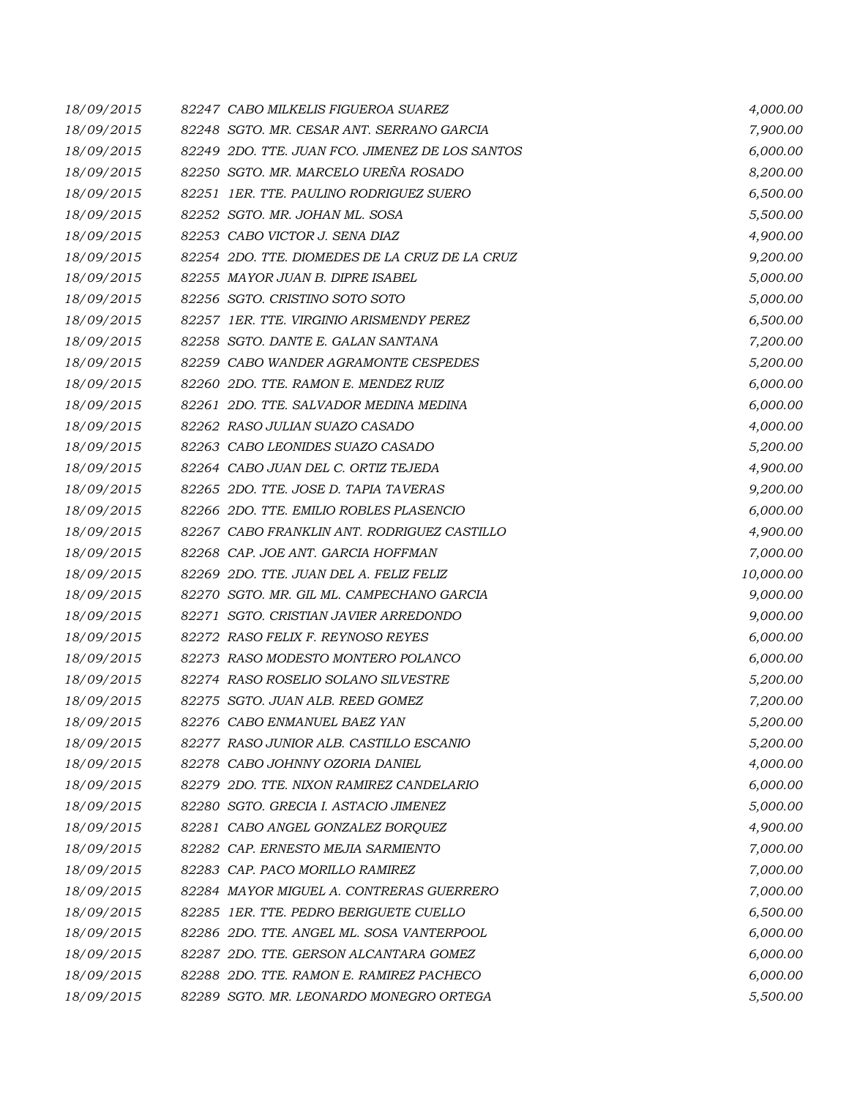| 18/09/2015 | 82247 CABO MILKELIS FIGUEROA SUAREZ             | 4,000.00  |
|------------|-------------------------------------------------|-----------|
| 18/09/2015 | 82248 SGTO. MR. CESAR ANT. SERRANO GARCIA       | 7,900.00  |
| 18/09/2015 | 82249 2DO. TTE. JUAN FCO. JIMENEZ DE LOS SANTOS | 6,000.00  |
| 18/09/2015 | 82250 SGTO. MR. MARCELO UREÑA ROSADO            | 8,200.00  |
| 18/09/2015 | 82251 IER. TTE. PAULINO RODRIGUEZ SUERO         | 6,500.00  |
| 18/09/2015 | 82252 SGTO. MR. JOHAN ML. SOSA                  | 5,500.00  |
| 18/09/2015 | 82253 CABO VICTOR J. SENA DIAZ                  | 4,900.00  |
| 18/09/2015 | 82254 2DO. TTE. DIOMEDES DE LA CRUZ DE LA CRUZ  | 9,200.00  |
| 18/09/2015 | 82255 MAYOR JUAN B. DIPRE ISABEL                | 5,000.00  |
| 18/09/2015 | 82256 SGTO. CRISTINO SOTO SOTO                  | 5,000.00  |
| 18/09/2015 | 82257 IER. TTE. VIRGINIO ARISMENDY PEREZ        | 6,500.00  |
| 18/09/2015 | 82258 SGTO, DANTE E. GALAN SANTANA              | 7,200.00  |
| 18/09/2015 | 82259 CABO WANDER AGRAMONTE CESPEDES            | 5,200.00  |
| 18/09/2015 | 82260 2DO. TTE. RAMON E. MENDEZ RUIZ            | 6,000.00  |
| 18/09/2015 | 82261 2DO. TTE. SALVADOR MEDINA MEDINA          | 6,000.00  |
| 18/09/2015 | 82262 RASO JULIAN SUAZO CASADO                  | 4,000.00  |
| 18/09/2015 | 82263 CABO LEONIDES SUAZO CASADO                | 5,200.00  |
| 18/09/2015 | 82264 CABO JUAN DEL C. ORTIZ TEJEDA             | 4,900.00  |
| 18/09/2015 | 82265 2DO. TTE. JOSE D. TAPIA TAVERAS           | 9,200.00  |
| 18/09/2015 | 82266 2DO. TTE, EMILIO ROBLES PLASENCIO         | 6,000.00  |
| 18/09/2015 | 82267 CABO FRANKLIN ANT. RODRIGUEZ CASTILLO     | 4,900.00  |
| 18/09/2015 | 82268 CAP. JOE ANT. GARCIA HOFFMAN              | 7,000.00  |
| 18/09/2015 | 82269 2DO. TTE. JUAN DEL A. FELIZ FELIZ         | 10,000.00 |
| 18/09/2015 | 82270 SGTO. MR. GIL ML. CAMPECHANO GARCIA       | 9,000.00  |
| 18/09/2015 | 82271 SGTO. CRISTIAN JAVIER ARREDONDO           | 9,000.00  |
| 18/09/2015 | 82272 RASO FELIX F. REYNOSO REYES               | 6,000.00  |
| 18/09/2015 | 82273 RASO MODESTO MONTERO POLANCO              | 6,000.00  |
| 18/09/2015 | 82274 RASO ROSELIO SOLANO SILVESTRE             | 5,200.00  |
| 18/09/2015 | 82275 SGTO. JUAN ALB. REED GOMEZ                | 7,200.00  |
| 18/09/2015 | 82276 CABO ENMANUEL BAEZ YAN                    | 5,200.00  |
| 18/09/2015 | 82277 RASO JUNIOR ALB. CASTILLO ESCANIO         | 5,200.00  |
| 18/09/2015 | 82278 CABO JOHNNY OZORIA DANIEL                 | 4,000.00  |
| 18/09/2015 | 82279 2DO. TTE, NIXON RAMIREZ CANDELARIO        | 6,000.00  |
| 18/09/2015 | 82280 SGTO. GRECIA I. ASTACIO JIMENEZ           | 5,000.00  |
| 18/09/2015 | 82281 CABO ANGEL GONZALEZ BORQUEZ               | 4,900.00  |
| 18/09/2015 | 82282 CAP. ERNESTO MEJIA SARMIENTO              | 7,000.00  |
| 18/09/2015 | 82283 CAP. PACO MORILLO RAMIREZ                 | 7,000.00  |
| 18/09/2015 | 82284 MAYOR MIGUEL A. CONTRERAS GUERRERO        | 7,000.00  |
| 18/09/2015 | 82285 1ER. TTE. PEDRO BERIGUETE CUELLO          | 6,500.00  |
| 18/09/2015 | 82286 2DO. TTE. ANGEL ML. SOSA VANTERPOOL       | 6,000.00  |
| 18/09/2015 | 82287 2DO. TTE. GERSON ALCANTARA GOMEZ          | 6,000.00  |
| 18/09/2015 | 82288 2DO. TTE, RAMON E. RAMIREZ PACHECO        | 6,000.00  |
| 18/09/2015 | 82289 SGTO. MR. LEONARDO MONEGRO ORTEGA         | 5,500.00  |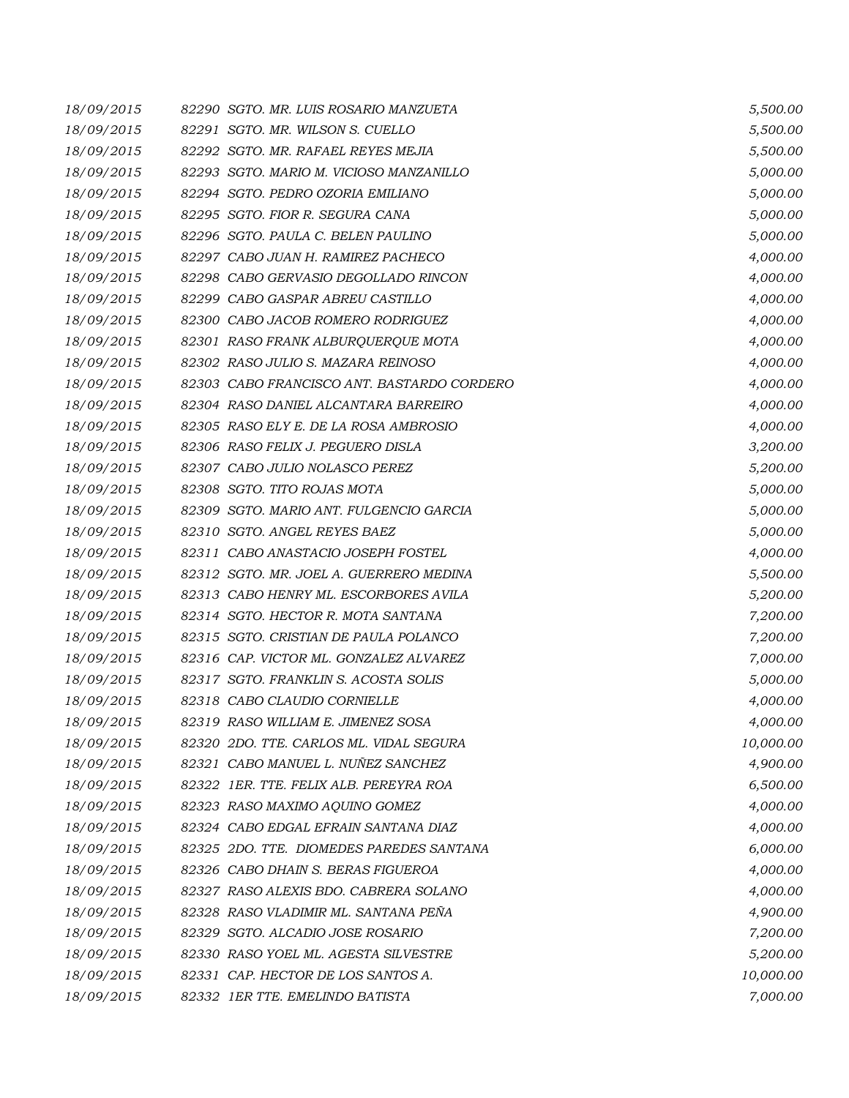| 18/09/2015 | 82290 SGTO. MR. LUIS ROSARIO MANZUETA      | 5,500.00  |
|------------|--------------------------------------------|-----------|
| 18/09/2015 | 82291 SGTO. MR. WILSON S. CUELLO           | 5,500.00  |
| 18/09/2015 | 82292 SGTO. MR. RAFAEL REYES MEJIA         | 5,500.00  |
| 18/09/2015 | 82293 SGTO. MARIO M. VICIOSO MANZANILLO    | 5,000.00  |
| 18/09/2015 | 82294 SGTO. PEDRO OZORIA EMILIANO          | 5,000.00  |
| 18/09/2015 | 82295 SGTO. FIOR R. SEGURA CANA            | 5,000.00  |
| 18/09/2015 | 82296 SGTO. PAULA C. BELEN PAULINO         | 5,000.00  |
| 18/09/2015 | 82297 CABO JUAN H. RAMIREZ PACHECO         | 4,000.00  |
| 18/09/2015 | 82298 CABO GERVASIO DEGOLLADO RINCON       | 4,000.00  |
| 18/09/2015 | 82299 CABO GASPAR ABREU CASTILLO           | 4,000.00  |
| 18/09/2015 | 82300 CABO JACOB ROMERO RODRIGUEZ          | 4,000.00  |
| 18/09/2015 | 82301 RASO FRANK ALBURQUERQUE MOTA         | 4,000.00  |
| 18/09/2015 | 82302 RASO JULIO S. MAZARA REINOSO         | 4,000.00  |
| 18/09/2015 | 82303 CABO FRANCISCO ANT. BASTARDO CORDERO | 4,000.00  |
| 18/09/2015 | 82304 RASO DANIEL ALCANTARA BARREIRO       | 4,000.00  |
| 18/09/2015 | 82305 RASO ELY E. DE LA ROSA AMBROSIO      | 4,000.00  |
| 18/09/2015 | 82306 RASO FELIX J. PEGUERO DISLA          | 3,200.00  |
| 18/09/2015 | 82307 CABO JULIO NOLASCO PEREZ             | 5,200.00  |
| 18/09/2015 | 82308 SGTO. TITO ROJAS MOTA                | 5,000.00  |
| 18/09/2015 | 82309 SGTO. MARIO ANT. FULGENCIO GARCIA    | 5,000.00  |
| 18/09/2015 | 82310 SGTO. ANGEL REYES BAEZ               | 5,000.00  |
| 18/09/2015 | 82311 CABO ANASTACIO JOSEPH FOSTEL         | 4,000.00  |
| 18/09/2015 | 82312 SGTO. MR. JOEL A. GUERRERO MEDINA    | 5,500.00  |
| 18/09/2015 | 82313 CABO HENRY ML. ESCORBORES AVILA      | 5,200.00  |
| 18/09/2015 | 82314 SGTO. HECTOR R. MOTA SANTANA         | 7,200.00  |
| 18/09/2015 | 82315 SGTO. CRISTIAN DE PAULA POLANCO      | 7,200.00  |
| 18/09/2015 | 82316 CAP. VICTOR ML. GONZALEZ ALVAREZ     | 7,000.00  |
| 18/09/2015 | 82317 SGTO. FRANKLIN S. ACOSTA SOLIS       | 5,000.00  |
| 18/09/2015 | 82318 CABO CLAUDIO CORNIELLE               | 4,000.00  |
| 18/09/2015 | 82319 RASO WILLIAM E. JIMENEZ SOSA         | 4,000.00  |
| 18/09/2015 | 82320 2DO. TTE. CARLOS ML. VIDAL SEGURA    | 10,000.00 |
| 18/09/2015 | 82321 CABO MANUEL L. NUÑEZ SANCHEZ         | 4,900.00  |
| 18/09/2015 | 82322 IER. TTE, FELIX ALB, PEREYRA ROA     | 6,500.00  |
| 18/09/2015 | 82323 RASO MAXIMO AQUINO GOMEZ             | 4,000.00  |
| 18/09/2015 | 82324 CABO EDGAL EFRAIN SANTANA DIAZ       | 4,000.00  |
| 18/09/2015 | 82325 2DO. TTE. DIOMEDES PAREDES SANTANA   | 6,000.00  |
| 18/09/2015 | 82326 CABO DHAIN S. BERAS FIGUEROA         | 4,000.00  |
| 18/09/2015 | 82327 RASO ALEXIS BDO. CABRERA SOLANO      | 4,000.00  |
| 18/09/2015 | 82328 RASO VLADIMIR ML. SANTANA PEÑA       | 4,900.00  |
| 18/09/2015 | 82329 SGTO. ALCADIO JOSE ROSARIO           | 7,200.00  |
| 18/09/2015 | 82330 RASO YOEL ML. AGESTA SILVESTRE       | 5,200.00  |
| 18/09/2015 | 82331 CAP. HECTOR DE LOS SANTOS A.         | 10,000.00 |
| 18/09/2015 | 82332 IER TTE. EMELINDO BATISTA            | 7,000.00  |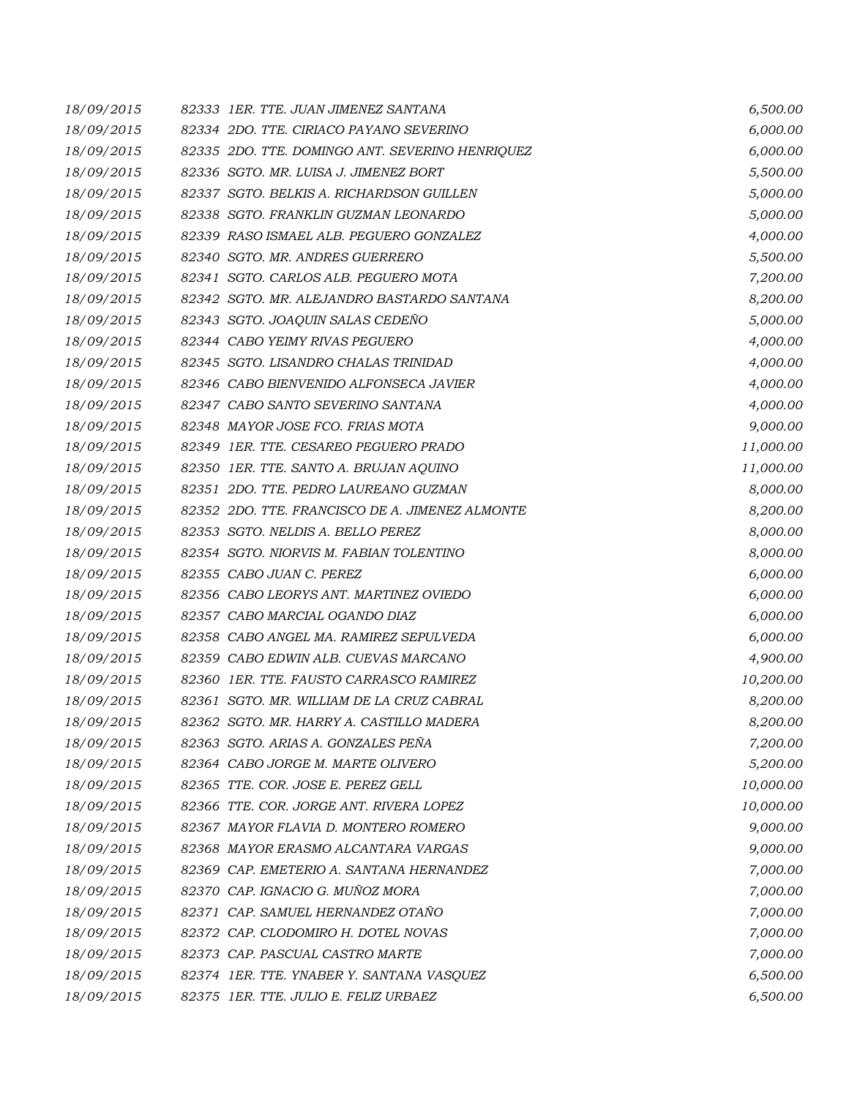| 18/09/2015 | 82333 1ER. TTE. JUAN JIMENEZ SANTANA            | 6,500.00  |
|------------|-------------------------------------------------|-----------|
| 18/09/2015 | 82334 2DO. TTE. CIRIACO PAYANO SEVERINO         | 6,000.00  |
| 18/09/2015 | 82335 2DO. TTE. DOMINGO ANT. SEVERINO HENRIQUEZ | 6,000.00  |
| 18/09/2015 | 82336 SGTO. MR. LUISA J. JIMENEZ BORT           | 5,500.00  |
| 18/09/2015 | 82337 SGTO, BELKIS A. RICHARDSON GUILLEN        | 5,000.00  |
| 18/09/2015 | 82338 SGTO. FRANKLIN GUZMAN LEONARDO            | 5,000.00  |
| 18/09/2015 | 82339 RASO ISMAEL ALB. PEGUERO GONZALEZ         | 4,000.00  |
| 18/09/2015 | 82340 SGTO. MR. ANDRES GUERRERO                 | 5,500.00  |
| 18/09/2015 | 82341 SGTO. CARLOS ALB. PEGUERO MOTA            | 7,200.00  |
| 18/09/2015 | 82342 SGTO. MR. ALEJANDRO BASTARDO SANTANA      | 8,200.00  |
| 18/09/2015 | 82343 SGTO. JOAQUIN SALAS CEDENO                | 5,000.00  |
| 18/09/2015 | 82344 CABO YEIMY RIVAS PEGUERO                  | 4,000.00  |
| 18/09/2015 | 82345 SGTO. LISANDRO CHALAS TRINIDAD            | 4,000.00  |
| 18/09/2015 | 82346 CABO BIENVENIDO ALFONSECA JAVIER          | 4,000.00  |
| 18/09/2015 | 82347 CABO SANTO SEVERINO SANTANA               | 4,000.00  |
| 18/09/2015 | 82348 MAYOR JOSE FCO. FRIAS MOTA                | 9,000.00  |
| 18/09/2015 | 82349 IER. TTE. CESAREO PEGUERO PRADO           | 11,000.00 |
| 18/09/2015 | 82350 IER. TTE. SANTO A. BRUJAN AQUINO          | 11,000.00 |
| 18/09/2015 | 82351 2DO. TTE. PEDRO LAUREANO GUZMAN           | 8,000.00  |
| 18/09/2015 | 82352 2DO. TTE. FRANCISCO DE A. JIMENEZ ALMONTE | 8,200.00  |
| 18/09/2015 | 82353 SGTO. NELDIS A. BELLO PEREZ               | 8,000.00  |
| 18/09/2015 | 82354 SGTO. NIORVIS M. FABIAN TOLENTINO         | 8,000.00  |
| 18/09/2015 | 82355 CABO JUAN C. PEREZ                        | 6,000.00  |
| 18/09/2015 | 82356 CABO LEORYS ANT. MARTINEZ OVIEDO          | 6,000.00  |
| 18/09/2015 | 82357 CABO MARCIAL OGANDO DIAZ                  | 6,000.00  |
| 18/09/2015 | 82358 CABO ANGEL MA. RAMIREZ SEPULVEDA          | 6,000.00  |
| 18/09/2015 | 82359 CABO EDWIN ALB. CUEVAS MARCANO            | 4,900.00  |
| 18/09/2015 | 82360 IER. TTE. FAUSTO CARRASCO RAMIREZ         | 10,200.00 |
| 18/09/2015 | 82361 SGTO. MR. WILLIAM DE LA CRUZ CABRAL       | 8,200.00  |
| 18/09/2015 | 82362 SGTO. MR. HARRY A. CASTILLO MADERA        | 8,200.00  |
| 18/09/2015 | 82363 SGTO. ARIAS A. GONZALES PEÑA              | 7,200.00  |
| 18/09/2015 | 82364 CABO JORGE M. MARTE OLIVERO               | 5,200.00  |
| 18/09/2015 | 82365 TTE. COR. JOSE E. PEREZ GELL              | 10,000.00 |
| 18/09/2015 | 82366 TTE. COR. JORGE ANT. RIVERA LOPEZ         | 10,000.00 |
| 18/09/2015 | 82367 MAYOR FLAVIA D. MONTERO ROMERO            | 9,000.00  |
| 18/09/2015 | 82368 MAYOR ERASMO ALCANTARA VARGAS             | 9,000.00  |
| 18/09/2015 | 82369 CAP. EMETERIO A. SANTANA HERNANDEZ        | 7,000.00  |
| 18/09/2015 | 82370 CAP. IGNACIO G. MUÑOZ MORA                | 7,000.00  |
| 18/09/2015 | 82371 CAP. SAMUEL HERNANDEZ OTAÑO               | 7,000.00  |
| 18/09/2015 | 82372 CAP. CLODOMIRO H. DOTEL NOVAS             | 7,000.00  |
| 18/09/2015 | 82373 CAP. PASCUAL CASTRO MARTE                 | 7,000.00  |
| 18/09/2015 | 82374 IER. TTE. YNABER Y. SANTANA VASQUEZ       | 6,500.00  |
| 18/09/2015 | 82375 1ER. TTE. JULIO E. FELIZ URBAEZ           | 6,500.00  |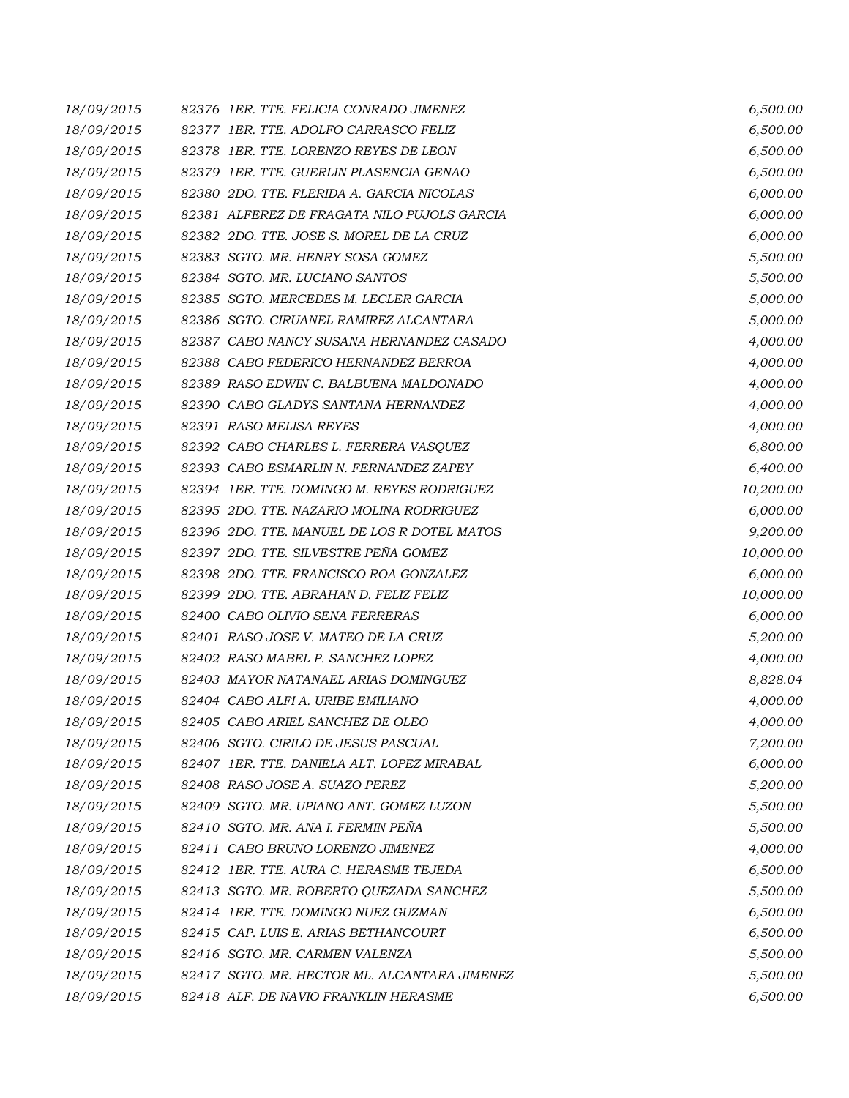| 18/09/2015 | 82376 1ER. TTE. FELICIA CONRADO JIMENEZ      | 6,500.00  |
|------------|----------------------------------------------|-----------|
| 18/09/2015 | 82377 1ER. TTE. ADOLFO CARRASCO FELIZ        | 6,500.00  |
| 18/09/2015 | 82378 1ER. TTE. LORENZO REYES DE LEON        | 6,500.00  |
| 18/09/2015 | 82379 IER. TTE. GUERLIN PLASENCIA GENAO      | 6,500.00  |
| 18/09/2015 | 82380 2DO. TTE, FLERIDA A. GARCIA NICOLAS    | 6,000.00  |
| 18/09/2015 | 82381 ALFEREZ DE FRAGATA NILO PUJOLS GARCIA  | 6,000.00  |
| 18/09/2015 | 82382 2DO. TTE. JOSE S. MOREL DE LA CRUZ     | 6,000.00  |
| 18/09/2015 | 82383 SGTO. MR. HENRY SOSA GOMEZ             | 5,500.00  |
| 18/09/2015 | 82384 SGTO. MR. LUCIANO SANTOS               | 5,500.00  |
| 18/09/2015 | 82385 SGTO. MERCEDES M. LECLER GARCIA        | 5,000.00  |
| 18/09/2015 | 82386 SGTO. CIRUANEL RAMIREZ ALCANTARA       | 5,000.00  |
| 18/09/2015 | 82387 CABO NANCY SUSANA HERNANDEZ CASADO     | 4,000.00  |
| 18/09/2015 | 82388 CABO FEDERICO HERNANDEZ BERROA         | 4,000.00  |
| 18/09/2015 | 82389 RASO EDWIN C. BALBUENA MALDONADO       | 4,000.00  |
| 18/09/2015 | 82390 CABO GLADYS SANTANA HERNANDEZ          | 4,000.00  |
| 18/09/2015 | 82391 RASO MELISA REYES                      | 4,000.00  |
| 18/09/2015 | 82392 CABO CHARLES L. FERRERA VASQUEZ        | 6,800.00  |
| 18/09/2015 | 82393 CABO ESMARLIN N. FERNANDEZ ZAPEY       | 6,400.00  |
| 18/09/2015 | 82394 1ER. TTE. DOMINGO M. REYES RODRIGUEZ   | 10,200.00 |
| 18/09/2015 | 82395 2DO. TTE. NAZARIO MOLINA RODRIGUEZ     | 6,000.00  |
| 18/09/2015 | 82396 2DO. TTE. MANUEL DE LOS R DOTEL MATOS  | 9,200.00  |
| 18/09/2015 | 82397 2DO. TTE. SILVESTRE PEÑA GOMEZ         | 10,000.00 |
| 18/09/2015 | 82398 2DO. TTE. FRANCISCO ROA GONZALEZ       | 6,000.00  |
| 18/09/2015 | 82399 2DO. TTE. ABRAHAN D. FELIZ FELIZ       | 10,000.00 |
| 18/09/2015 | 82400 CABO OLIVIO SENA FERRERAS              | 6,000.00  |
| 18/09/2015 | 82401 RASO JOSE V. MATEO DE LA CRUZ          | 5,200.00  |
| 18/09/2015 | 82402 RASO MABEL P. SANCHEZ LOPEZ            | 4,000.00  |
| 18/09/2015 | 82403 MAYOR NATANAEL ARIAS DOMINGUEZ         | 8,828.04  |
| 18/09/2015 | 82404 CABO ALFI A. URIBE EMILIANO            | 4,000.00  |
| 18/09/2015 | 82405 CABO ARIEL SANCHEZ DE OLEO             | 4,000.00  |
| 18/09/2015 | 82406 SGTO. CIRILO DE JESUS PASCUAL          | 7,200.00  |
| 18/09/2015 | 82407 IER. TTE. DANIELA ALT. LOPEZ MIRABAL   | 6,000.00  |
| 18/09/2015 | 82408 RASO JOSE A. SUAZO PEREZ               | 5,200.00  |
| 18/09/2015 | 82409 SGTO. MR. UPIANO ANT. GOMEZ LUZON      | 5,500.00  |
| 18/09/2015 | 82410 SGTO. MR. ANA I. FERMIN PEÑA           | 5,500.00  |
| 18/09/2015 | 82411 CABO BRUNO LORENZO JIMENEZ             | 4,000.00  |
| 18/09/2015 | 82412 IER. TTE, AURA C. HERASME TEJEDA       | 6,500.00  |
| 18/09/2015 | 82413 SGTO. MR. ROBERTO QUEZADA SANCHEZ      | 5,500.00  |
| 18/09/2015 | 82414 1ER. TTE. DOMINGO NUEZ GUZMAN          | 6,500.00  |
| 18/09/2015 | 82415 CAP. LUIS E. ARIAS BETHANCOURT         | 6,500.00  |
| 18/09/2015 | 82416 SGTO. MR. CARMEN VALENZA               | 5,500.00  |
| 18/09/2015 | 82417 SGTO. MR. HECTOR ML. ALCANTARA JIMENEZ | 5,500.00  |
| 18/09/2015 | 82418 ALF. DE NAVIO FRANKLIN HERASME         | 6,500.00  |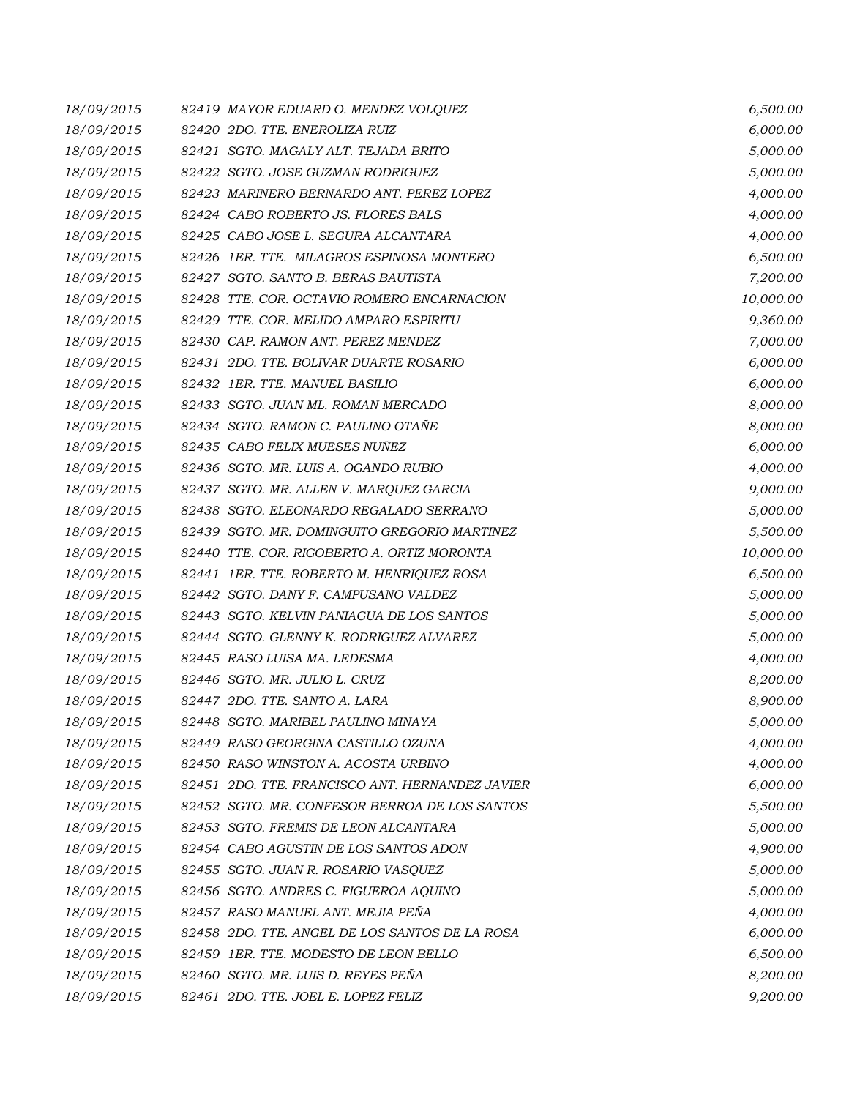| 18/09/2015 | 82419 MAYOR EDUARD O. MENDEZ VOLQUEZ            | 6,500.00  |
|------------|-------------------------------------------------|-----------|
| 18/09/2015 | 82420 2DO. TTE. ENEROLIZA RUIZ                  | 6,000.00  |
| 18/09/2015 | 82421 SGTO. MAGALY ALT. TEJADA BRITO            | 5,000.00  |
| 18/09/2015 | 82422 SGTO. JOSE GUZMAN RODRIGUEZ               | 5,000.00  |
| 18/09/2015 | 82423 MARINERO BERNARDO ANT. PEREZ LOPEZ        | 4,000.00  |
| 18/09/2015 | 82424 CABO ROBERTO JS. FLORES BALS              | 4,000.00  |
| 18/09/2015 | 82425 CABO JOSE L. SEGURA ALCANTARA             | 4,000.00  |
| 18/09/2015 | 82426 1ER. TTE. MILAGROS ESPINOSA MONTERO       | 6,500.00  |
| 18/09/2015 | 82427 SGTO. SANTO B. BERAS BAUTISTA             | 7,200.00  |
| 18/09/2015 | 82428 TTE. COR. OCTAVIO ROMERO ENCARNACION      | 10,000.00 |
| 18/09/2015 | 82429 TTE. COR. MELIDO AMPARO ESPIRITU          | 9,360.00  |
| 18/09/2015 | 82430 CAP. RAMON ANT. PEREZ MENDEZ              | 7,000.00  |
| 18/09/2015 | 82431 2DO. TTE. BOLIVAR DUARTE ROSARIO          | 6,000.00  |
| 18/09/2015 | 82432 1ER. TTE. MANUEL BASILIO                  | 6,000.00  |
| 18/09/2015 | 82433 SGTO. JUAN ML. ROMAN MERCADO              | 8,000.00  |
| 18/09/2015 | 82434 SGTO. RAMON C. PAULINO OTAÑE              | 8,000.00  |
| 18/09/2015 | 82435 CABO FELIX MUESES NUÑEZ                   | 6,000.00  |
| 18/09/2015 | 82436 SGTO. MR. LUIS A. OGANDO RUBIO            | 4,000.00  |
| 18/09/2015 | 82437 SGTO. MR. ALLEN V. MARQUEZ GARCIA         | 9,000.00  |
| 18/09/2015 | 82438 SGTO. ELEONARDO REGALADO SERRANO          | 5,000.00  |
| 18/09/2015 | 82439 SGTO. MR. DOMINGUITO GREGORIO MARTINEZ    | 5,500.00  |
| 18/09/2015 | 82440 TTE. COR. RIGOBERTO A. ORTIZ MORONTA      | 10,000.00 |
| 18/09/2015 | 82441 IER. TTE. ROBERTO M. HENRIQUEZ ROSA       | 6,500.00  |
| 18/09/2015 | 82442 SGTO. DANY F. CAMPUSANO VALDEZ            | 5,000.00  |
| 18/09/2015 | 82443 SGTO. KELVIN PANIAGUA DE LOS SANTOS       | 5,000.00  |
| 18/09/2015 | 82444 SGTO. GLENNY K. RODRIGUEZ ALVAREZ         | 5,000.00  |
| 18/09/2015 | 82445 RASO LUISA MA. LEDESMA                    | 4,000.00  |
| 18/09/2015 | 82446 SGTO. MR. JULIO L. CRUZ                   | 8,200.00  |
| 18/09/2015 | 82447 2DO. TTE. SANTO A. LARA                   | 8,900.00  |
| 18/09/2015 | 82448 SGTO. MARIBEL PAULINO MINAYA              | 5,000.00  |
| 18/09/2015 | 82449 RASO GEORGINA CASTILLO OZUNA              | 4,000.00  |
| 18/09/2015 | 82450 RASO WINSTON A. ACOSTA URBINO             | 4,000.00  |
| 18/09/2015 | 82451 2DO. TTE, FRANCISCO ANT, HERNANDEZ JAVIER | 6,000.00  |
| 18/09/2015 | 82452 SGTO. MR. CONFESOR BERROA DE LOS SANTOS   | 5,500.00  |
| 18/09/2015 | 82453 SGTO. FREMIS DE LEON ALCANTARA            | 5,000.00  |
| 18/09/2015 | 82454 CABO AGUSTIN DE LOS SANTOS ADON           | 4,900.00  |
| 18/09/2015 | 82455 SGTO. JUAN R. ROSARIO VASQUEZ             | 5,000.00  |
| 18/09/2015 | 82456 SGTO. ANDRES C. FIGUEROA AQUINO           | 5,000.00  |
| 18/09/2015 | 82457 RASO MANUEL ANT. MEJIA PEÑA               | 4,000.00  |
| 18/09/2015 | 82458 2DO. TTE. ANGEL DE LOS SANTOS DE LA ROSA  | 6,000.00  |
| 18/09/2015 | 82459 IER. TTE. MODESTO DE LEON BELLO           | 6,500.00  |
| 18/09/2015 | 82460 SGTO. MR. LUIS D. REYES PEÑA              | 8,200.00  |
| 18/09/2015 | 82461 2DO. TTE. JOEL E. LOPEZ FELIZ             | 9,200.00  |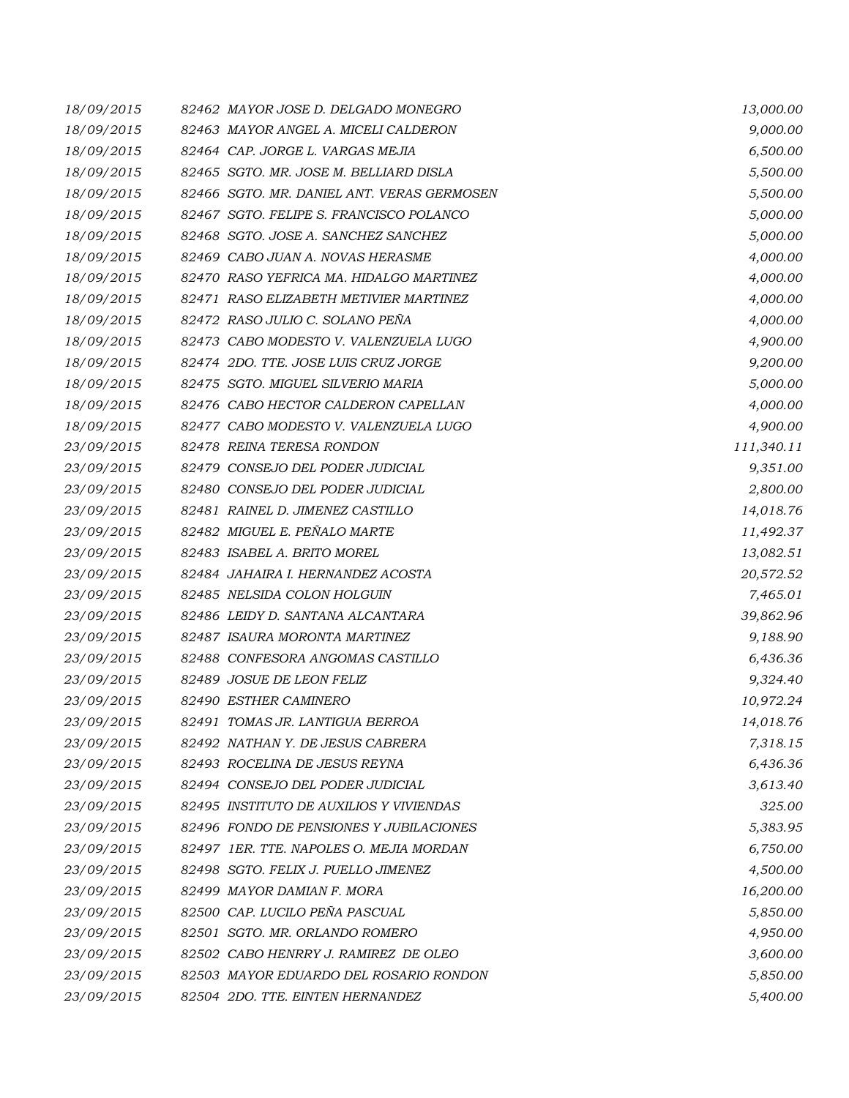| 18/09/2015 | 82462 MAYOR JOSE D. DELGADO MONEGRO        | 13,000.00  |
|------------|--------------------------------------------|------------|
| 18/09/2015 | 82463 MAYOR ANGEL A. MICELI CALDERON       | 9,000.00   |
| 18/09/2015 | 82464 CAP. JORGE L. VARGAS MEJIA           | 6,500.00   |
| 18/09/2015 | 82465 SGTO. MR. JOSE M. BELLIARD DISLA     | 5,500.00   |
| 18/09/2015 | 82466 SGTO. MR. DANIEL ANT. VERAS GERMOSEN | 5,500.00   |
| 18/09/2015 | 82467 SGTO. FELIPE S. FRANCISCO POLANCO    | 5,000.00   |
| 18/09/2015 | 82468 SGTO. JOSE A. SANCHEZ SANCHEZ        | 5,000.00   |
| 18/09/2015 | 82469 CABO JUAN A. NOVAS HERASME           | 4,000.00   |
| 18/09/2015 | 82470 RASO YEFRICA MA. HIDALGO MARTINEZ    | 4,000.00   |
| 18/09/2015 | 82471 RASO ELIZABETH METIVIER MARTINEZ     | 4,000.00   |
| 18/09/2015 | 82472 RASO JULIO C. SOLANO PEÑA            | 4,000.00   |
| 18/09/2015 | 82473 CABO MODESTO V. VALENZUELA LUGO      | 4,900.00   |
| 18/09/2015 | 82474 2DO. TTE. JOSE LUIS CRUZ JORGE       | 9,200.00   |
| 18/09/2015 | 82475 SGTO. MIGUEL SILVERIO MARIA          | 5,000.00   |
| 18/09/2015 | 82476 CABO HECTOR CALDERON CAPELLAN        | 4,000.00   |
| 18/09/2015 | 82477 CABO MODESTO V. VALENZUELA LUGO      | 4,900.00   |
| 23/09/2015 | 82478 REINA TERESA RONDON                  | 111,340.11 |
| 23/09/2015 | 82479 CONSEJO DEL PODER JUDICIAL           | 9,351.00   |
| 23/09/2015 | 82480 CONSEJO DEL PODER JUDICIAL           | 2,800.00   |
| 23/09/2015 | 82481 RAINEL D. JIMENEZ CASTILLO           | 14,018.76  |
| 23/09/2015 | 82482 MIGUEL E. PEÑALO MARTE               | 11,492.37  |
| 23/09/2015 | 82483 ISABEL A. BRITO MOREL                | 13,082.51  |
| 23/09/2015 | 82484 JAHAIRA I. HERNANDEZ ACOSTA          | 20,572.52  |
| 23/09/2015 | 82485 NELSIDA COLON HOLGUIN                | 7,465.01   |
| 23/09/2015 | 82486 LEIDY D. SANTANA ALCANTARA           | 39,862.96  |
| 23/09/2015 | 82487 ISAURA MORONTA MARTINEZ              | 9,188.90   |
| 23/09/2015 | 82488 CONFESORA ANGOMAS CASTILLO           | 6,436.36   |
| 23/09/2015 | 82489 JOSUE DE LEON FELIZ                  | 9,324.40   |
| 23/09/2015 | 82490 ESTHER CAMINERO                      | 10,972.24  |
| 23/09/2015 | 82491 TOMAS JR. LANTIGUA BERROA            | 14,018.76  |
| 23/09/2015 | 82492 NATHAN Y. DE JESUS CABRERA           | 7,318.15   |
| 23/09/2015 | 82493 ROCELINA DE JESUS REYNA              | 6,436.36   |
| 23/09/2015 | 82494 CONSEJO DEL PODER JUDICIAL           | 3,613.40   |
| 23/09/2015 | 82495 INSTITUTO DE AUXILIOS Y VIVIENDAS    | 325.00     |
| 23/09/2015 | 82496 FONDO DE PENSIONES Y JUBILACIONES    | 5,383.95   |
| 23/09/2015 | 82497 IER. TTE. NAPOLES O. MEJIA MORDAN    | 6,750.00   |
| 23/09/2015 | 82498 SGTO. FELIX J. PUELLO JIMENEZ        | 4,500.00   |
| 23/09/2015 | 82499 MAYOR DAMIAN F. MORA                 | 16,200.00  |
| 23/09/2015 | 82500 CAP. LUCILO PEÑA PASCUAL             | 5,850.00   |
| 23/09/2015 | 82501 SGTO. MR. ORLANDO ROMERO             | 4,950.00   |
| 23/09/2015 | 82502 CABO HENRRY J. RAMIREZ DE OLEO       | 3,600.00   |
| 23/09/2015 | 82503 MAYOR EDUARDO DEL ROSARIO RONDON     | 5,850.00   |
| 23/09/2015 | 82504 2DO. TTE. EINTEN HERNANDEZ           | 5,400.00   |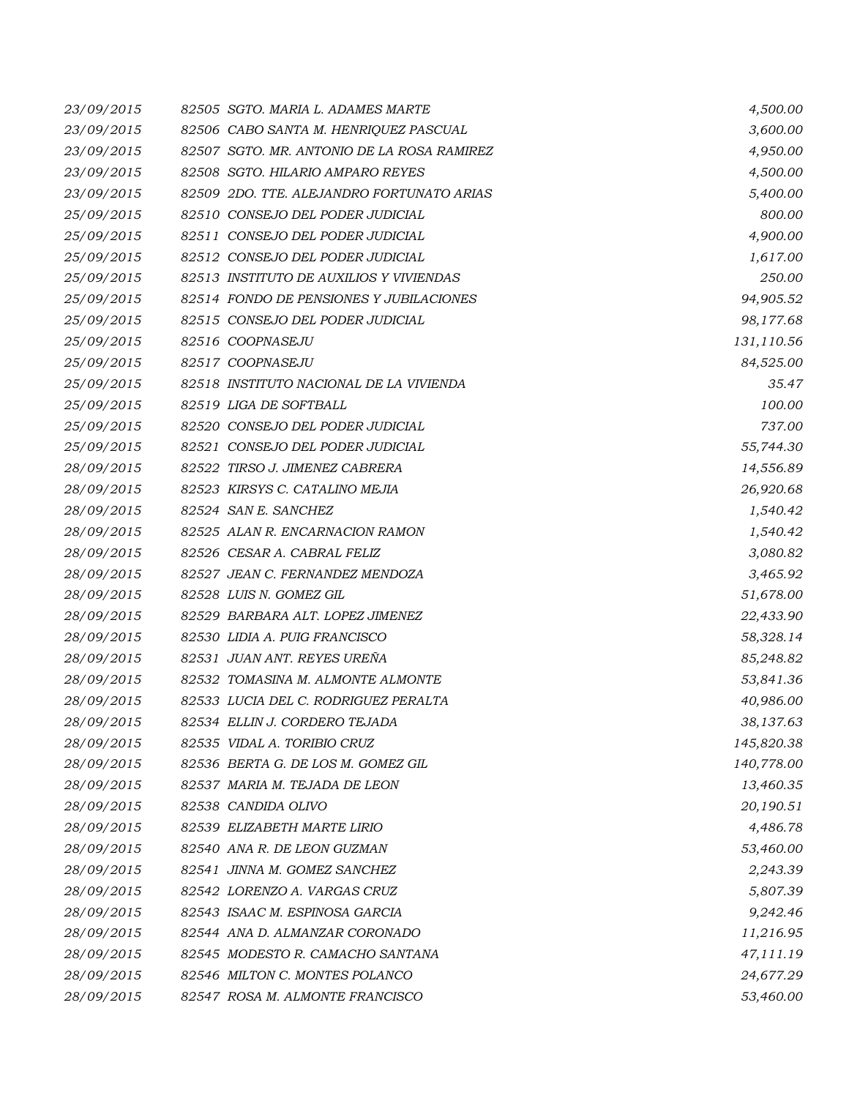| 23/09/2015 | 82505 SGTO. MARIA L. ADAMES MARTE          | 4,500.00   |
|------------|--------------------------------------------|------------|
| 23/09/2015 | 82506 CABO SANTA M. HENRIQUEZ PASCUAL      | 3,600.00   |
| 23/09/2015 | 82507 SGTO. MR. ANTONIO DE LA ROSA RAMIREZ | 4,950.00   |
| 23/09/2015 | 82508 SGTO. HILARIO AMPARO REYES           | 4,500.00   |
| 23/09/2015 | 82509 2DO. TTE, ALEJANDRO FORTUNATO ARIAS  | 5,400.00   |
| 25/09/2015 | 82510 CONSEJO DEL PODER JUDICIAL           | 800.00     |
| 25/09/2015 | 82511 CONSEJO DEL PODER JUDICIAL           | 4,900.00   |
| 25/09/2015 | 82512 CONSEJO DEL PODER JUDICIAL           | 1,617.00   |
| 25/09/2015 | 82513 INSTITUTO DE AUXILIOS Y VIVIENDAS    | 250.00     |
| 25/09/2015 | 82514 FONDO DE PENSIONES Y JUBILACIONES    | 94,905.52  |
| 25/09/2015 | 82515 CONSEJO DEL PODER JUDICIAL           | 98,177.68  |
| 25/09/2015 | 82516 COOPNASEJU                           | 131,110.56 |
| 25/09/2015 | 82517 COOPNASEJU                           | 84,525.00  |
| 25/09/2015 | 82518 INSTITUTO NACIONAL DE LA VIVIENDA    | 35.47      |
| 25/09/2015 | 82519 LIGA DE SOFTBALL                     | 100.00     |
| 25/09/2015 | 82520 CONSEJO DEL PODER JUDICIAL           | 737.00     |
| 25/09/2015 | 82521 CONSEJO DEL PODER JUDICIAL           | 55,744.30  |
| 28/09/2015 | 82522 TIRSO J. JIMENEZ CABRERA             | 14,556.89  |
| 28/09/2015 | 82523 KIRSYS C. CATALINO MEJIA             | 26,920.68  |
| 28/09/2015 | 82524 SAN E. SANCHEZ                       | 1,540.42   |
| 28/09/2015 | 82525 ALAN R. ENCARNACION RAMON            | 1,540.42   |
| 28/09/2015 | 82526 CESAR A. CABRAL FELIZ                | 3,080.82   |
| 28/09/2015 | 82527 JEAN C. FERNANDEZ MENDOZA            | 3,465.92   |
| 28/09/2015 | 82528 LUIS N. GOMEZ GIL                    | 51,678.00  |
| 28/09/2015 | 82529 BARBARA ALT. LOPEZ JIMENEZ           | 22,433.90  |
| 28/09/2015 | 82530 LIDIA A. PUIG FRANCISCO              | 58,328.14  |
| 28/09/2015 | 82531 JUAN ANT. REYES UREÑA                | 85,248.82  |
| 28/09/2015 | 82532 TOMASINA M. ALMONTE ALMONTE          | 53,841.36  |
| 28/09/2015 | 82533 LUCIA DEL C. RODRIGUEZ PERALTA       | 40,986.00  |
| 28/09/2015 | 82534 ELLIN J. CORDERO TEJADA              | 38,137.63  |
| 28/09/2015 | 82535 VIDAL A. TORIBIO CRUZ                | 145,820.38 |
| 28/09/2015 | 82536 BERTA G. DE LOS M. GOMEZ GIL         | 140,778.00 |
| 28/09/2015 | 82537 MARIA M. TEJADA DE LEON              | 13,460.35  |
| 28/09/2015 | 82538 CANDIDA OLIVO                        | 20,190.51  |
| 28/09/2015 | 82539 ELIZABETH MARTE LIRIO                | 4,486.78   |
| 28/09/2015 | 82540 ANA R. DE LEON GUZMAN                | 53,460.00  |
| 28/09/2015 | 82541 JINNA M. GOMEZ SANCHEZ               | 2,243.39   |
| 28/09/2015 | 82542 LORENZO A. VARGAS CRUZ               | 5,807.39   |
| 28/09/2015 | 82543 ISAAC M. ESPINOSA GARCIA             | 9,242.46   |
| 28/09/2015 | 82544 ANA D. ALMANZAR CORONADO             | 11,216.95  |
| 28/09/2015 | 82545 MODESTO R. CAMACHO SANTANA           | 47,111.19  |
| 28/09/2015 | 82546 MILTON C. MONTES POLANCO             | 24,677.29  |
| 28/09/2015 | 82547 ROSA M. ALMONTE FRANCISCO            | 53,460.00  |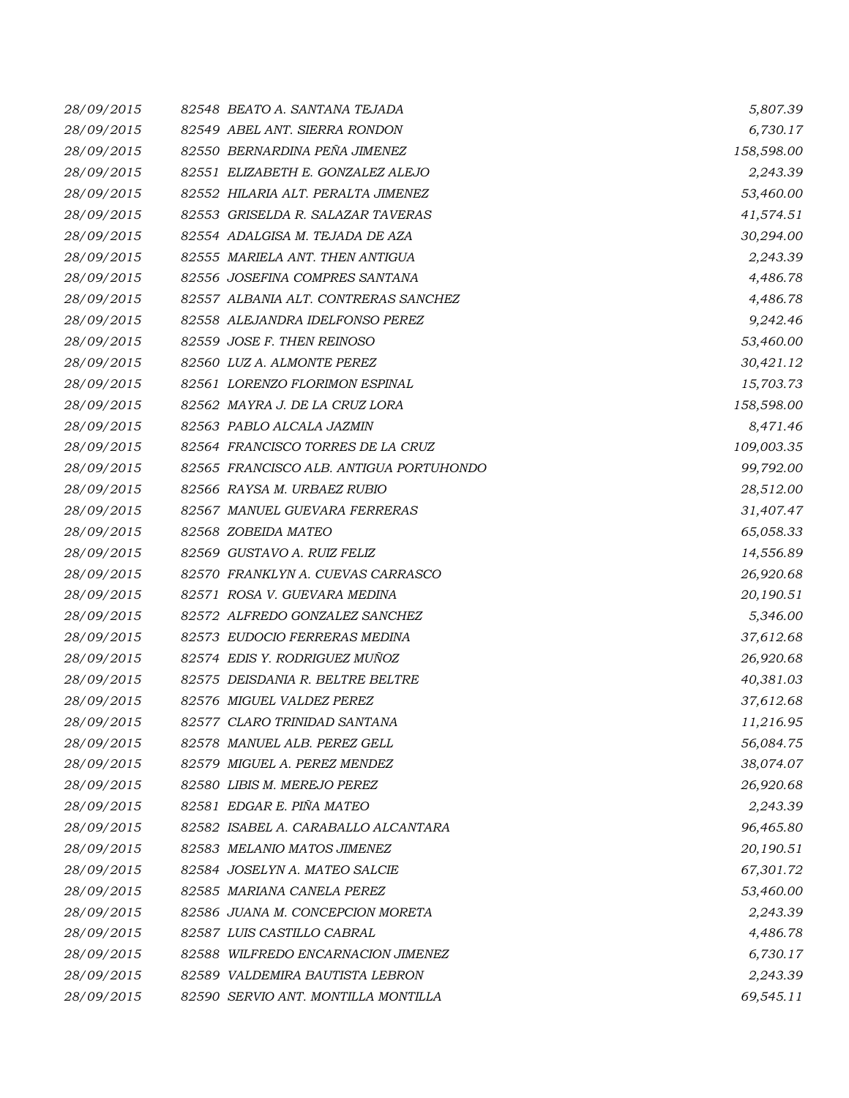| 28/09/2015 | 82548 BEATO A. SANTANA TEJADA           | 5,807.39   |
|------------|-----------------------------------------|------------|
| 28/09/2015 | 82549 ABEL ANT. SIERRA RONDON           | 6,730.17   |
| 28/09/2015 | 82550 BERNARDINA PEÑA JIMENEZ           | 158,598.00 |
| 28/09/2015 | 82551 ELIZABETH E. GONZALEZ ALEJO       | 2,243.39   |
| 28/09/2015 | 82552 HILARIA ALT. PERALTA JIMENEZ      | 53,460.00  |
| 28/09/2015 | 82553 GRISELDA R. SALAZAR TAVERAS       | 41,574.51  |
| 28/09/2015 | 82554 ADALGISA M. TEJADA DE AZA         | 30,294.00  |
| 28/09/2015 | 82555 MARIELA ANT. THEN ANTIGUA         | 2,243.39   |
| 28/09/2015 | 82556 JOSEFINA COMPRES SANTANA          | 4,486.78   |
| 28/09/2015 | 82557 ALBANIA ALT. CONTRERAS SANCHEZ    | 4,486.78   |
| 28/09/2015 | 82558 ALEJANDRA IDELFONSO PEREZ         | 9,242.46   |
| 28/09/2015 | 82559 JOSE F. THEN REINOSO              | 53,460.00  |
| 28/09/2015 | 82560 LUZ A. ALMONTE PEREZ              | 30,421.12  |
| 28/09/2015 | 82561 LORENZO FLORIMON ESPINAL          | 15,703.73  |
| 28/09/2015 | 82562 MAYRA J. DE LA CRUZ LORA          | 158,598.00 |
| 28/09/2015 | 82563 PABLO ALCALA JAZMIN               | 8,471.46   |
| 28/09/2015 | 82564 FRANCISCO TORRES DE LA CRUZ       | 109,003.35 |
| 28/09/2015 | 82565 FRANCISCO ALB. ANTIGUA PORTUHONDO | 99,792.00  |
| 28/09/2015 | 82566 RAYSA M. URBAEZ RUBIO             | 28,512.00  |
| 28/09/2015 | 82567 MANUEL GUEVARA FERRERAS           | 31,407.47  |
| 28/09/2015 | 82568 ZOBEIDA MATEO                     | 65,058.33  |
| 28/09/2015 | 82569 GUSTAVO A. RUIZ FELIZ             | 14,556.89  |
| 28/09/2015 | 82570 FRANKLYN A. CUEVAS CARRASCO       | 26,920.68  |
| 28/09/2015 | 82571 ROSA V. GUEVARA MEDINA            | 20,190.51  |
| 28/09/2015 | 82572 ALFREDO GONZALEZ SANCHEZ          | 5,346.00   |
| 28/09/2015 | 82573 EUDOCIO FERRERAS MEDINA           | 37,612.68  |
| 28/09/2015 | 82574 EDIS Y. RODRIGUEZ MUÑOZ           | 26,920.68  |
| 28/09/2015 | 82575 DEISDANIA R. BELTRE BELTRE        | 40,381.03  |
| 28/09/2015 | 82576 MIGUEL VALDEZ PEREZ               | 37,612.68  |
| 28/09/2015 | 82577 CLARO TRINIDAD SANTANA            | 11,216.95  |
| 28/09/2015 | 82578 MANUEL ALB. PEREZ GELL            | 56,084.75  |
| 28/09/2015 | 82579 MIGUEL A. PEREZ MENDEZ            | 38,074.07  |
| 28/09/2015 | 82580 LIBIS M. MEREJO PEREZ             | 26,920.68  |
| 28/09/2015 | 82581 EDGAR E. PIÑA MATEO               | 2,243.39   |
| 28/09/2015 | 82582 ISABEL A. CARABALLO ALCANTARA     | 96,465.80  |
| 28/09/2015 | 82583 MELANIO MATOS JIMENEZ             | 20,190.51  |
| 28/09/2015 | 82584 JOSELYN A. MATEO SALCIE           | 67,301.72  |
| 28/09/2015 | 82585 MARIANA CANELA PEREZ              | 53,460.00  |
| 28/09/2015 | 82586 JUANA M. CONCEPCION MORETA        | 2,243.39   |
| 28/09/2015 | 82587 LUIS CASTILLO CABRAL              | 4,486.78   |
| 28/09/2015 | 82588 WILFREDO ENCARNACION JIMENEZ      | 6,730.17   |
| 28/09/2015 | 82589 VALDEMIRA BAUTISTA LEBRON         | 2,243.39   |
| 28/09/2015 | 82590 SERVIO ANT. MONTILLA MONTILLA     | 69,545.11  |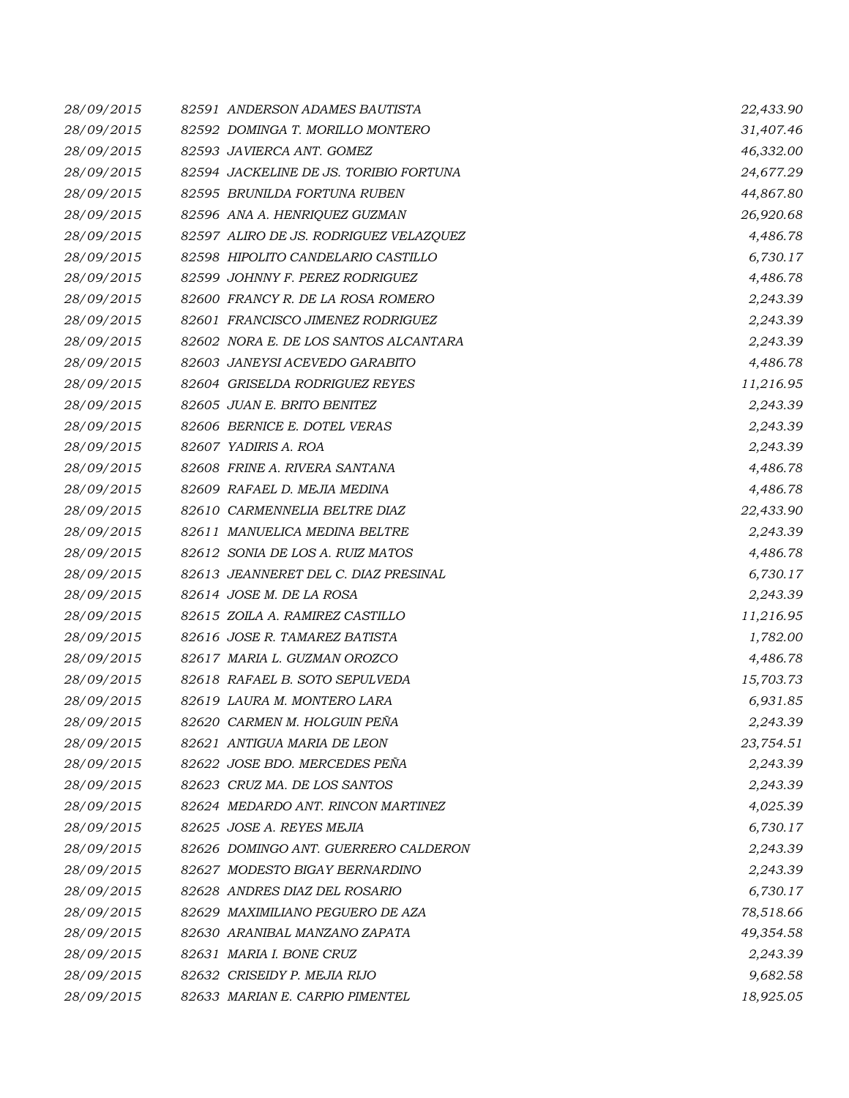| 28/09/2015 | 82591 ANDERSON ADAMES BAUTISTA         | 22,433.90 |
|------------|----------------------------------------|-----------|
| 28/09/2015 | 82592 DOMINGA T. MORILLO MONTERO       | 31,407.46 |
| 28/09/2015 | 82593 JAVIERCA ANT. GOMEZ              | 46,332.00 |
| 28/09/2015 | 82594 JACKELINE DE JS. TORIBIO FORTUNA | 24,677.29 |
| 28/09/2015 | 82595 BRUNILDA FORTUNA RUBEN           | 44,867.80 |
| 28/09/2015 | 82596 ANA A. HENRIQUEZ GUZMAN          | 26,920.68 |
| 28/09/2015 | 82597 ALIRO DE JS. RODRIGUEZ VELAZQUEZ | 4,486.78  |
| 28/09/2015 | 82598 HIPOLITO CANDELARIO CASTILLO     | 6,730.17  |
| 28/09/2015 | 82599 JOHNNY F. PEREZ RODRIGUEZ        | 4,486.78  |
| 28/09/2015 | 82600 FRANCY R. DE LA ROSA ROMERO      | 2,243.39  |
| 28/09/2015 | 82601 FRANCISCO JIMENEZ RODRIGUEZ      | 2,243.39  |
| 28/09/2015 | 82602 NORA E. DE LOS SANTOS ALCANTARA  | 2,243.39  |
| 28/09/2015 | 82603 JANEYSI ACEVEDO GARABITO         | 4,486.78  |
| 28/09/2015 | 82604 GRISELDA RODRIGUEZ REYES         | 11,216.95 |
| 28/09/2015 | 82605 JUAN E. BRITO BENITEZ            | 2,243.39  |
| 28/09/2015 | 82606 BERNICE E. DOTEL VERAS           | 2,243.39  |
| 28/09/2015 | 82607 YADIRIS A. ROA                   | 2,243.39  |
| 28/09/2015 | 82608 FRINE A. RIVERA SANTANA          | 4,486.78  |
| 28/09/2015 | 82609 RAFAEL D. MEJIA MEDINA           | 4,486.78  |
| 28/09/2015 | 82610 CARMENNELIA BELTRE DIAZ          | 22,433.90 |
| 28/09/2015 | 82611 MANUELICA MEDINA BELTRE          | 2,243.39  |
| 28/09/2015 | 82612 SONIA DE LOS A. RUIZ MATOS       | 4,486.78  |
| 28/09/2015 | 82613 JEANNERET DEL C. DIAZ PRESINAL   | 6,730.17  |
| 28/09/2015 | 82614 JOSE M. DE LA ROSA               | 2,243.39  |
| 28/09/2015 | 82615 ZOILA A. RAMIREZ CASTILLO        | 11,216.95 |
| 28/09/2015 | 82616 JOSE R. TAMAREZ BATISTA          | 1,782.00  |
| 28/09/2015 | 82617 MARIA L. GUZMAN OROZCO           | 4,486.78  |
| 28/09/2015 | 82618 RAFAEL B. SOTO SEPULVEDA         | 15,703.73 |
| 28/09/2015 | 82619 LAURA M. MONTERO LARA            | 6,931.85  |
| 28/09/2015 | 82620 CARMEN M. HOLGUIN PEÑA           | 2,243.39  |
| 28/09/2015 | 82621 ANTIGUA MARIA DE LEON            | 23,754.51 |
| 28/09/2015 | 82622 JOSE BDO. MERCEDES PEÑA          | 2,243.39  |
| 28/09/2015 | 82623 CRUZ MA. DE LOS SANTOS           | 2,243.39  |
| 28/09/2015 | 82624 MEDARDO ANT. RINCON MARTINEZ     | 4,025.39  |
| 28/09/2015 | 82625 JOSE A. REYES MEJIA              | 6,730.17  |
| 28/09/2015 | 82626 DOMINGO ANT. GUERRERO CALDERON   | 2,243.39  |
| 28/09/2015 | 82627 MODESTO BIGAY BERNARDINO         | 2,243.39  |
| 28/09/2015 | 82628 ANDRES DIAZ DEL ROSARIO          | 6,730.17  |
| 28/09/2015 | 82629 MAXIMILIANO PEGUERO DE AZA       | 78,518.66 |
| 28/09/2015 | 82630 ARANIBAL MANZANO ZAPATA          | 49,354.58 |
| 28/09/2015 | 82631 MARIA I. BONE CRUZ               | 2,243.39  |
| 28/09/2015 | 82632 CRISEIDY P. MEJIA RIJO           | 9,682.58  |
| 28/09/2015 | 82633 MARIAN E. CARPIO PIMENTEL        | 18,925.05 |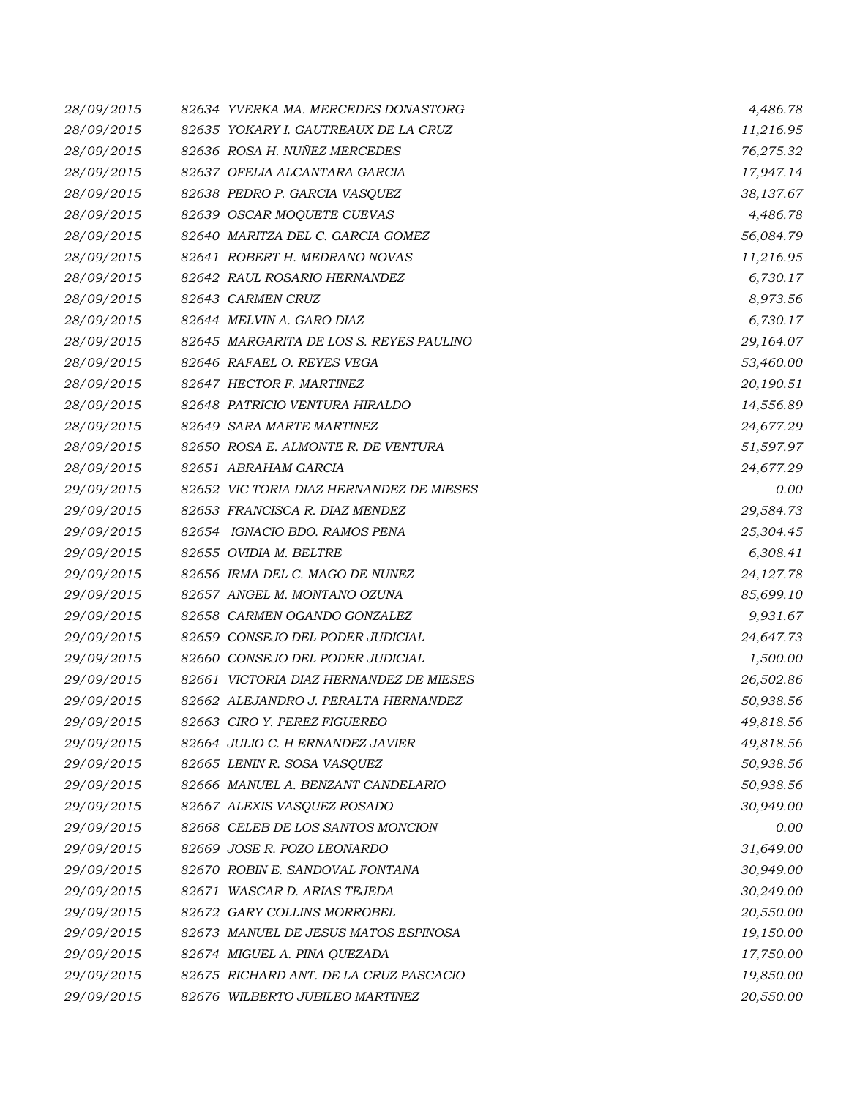| 28/09/2015 | 82634 YVERKA MA. MERCEDES DONASTORG      | 4,486.78  |
|------------|------------------------------------------|-----------|
| 28/09/2015 | 82635 YOKARY I. GAUTREAUX DE LA CRUZ     | 11,216.95 |
| 28/09/2015 | 82636 ROSA H. NUÑEZ MERCEDES             | 76,275.32 |
| 28/09/2015 | 82637 OFELIA ALCANTARA GARCIA            | 17,947.14 |
| 28/09/2015 | 82638 PEDRO P. GARCIA VASQUEZ            | 38,137.67 |
| 28/09/2015 | 82639 OSCAR MOQUETE CUEVAS               | 4,486.78  |
| 28/09/2015 | 82640 MARITZA DEL C. GARCIA GOMEZ        | 56,084.79 |
| 28/09/2015 | 82641 ROBERT H. MEDRANO NOVAS            | 11,216.95 |
| 28/09/2015 | 82642 RAUL ROSARIO HERNANDEZ             | 6,730.17  |
| 28/09/2015 | 82643 CARMEN CRUZ                        | 8,973.56  |
| 28/09/2015 | 82644 MELVIN A. GARO DIAZ                | 6,730.17  |
| 28/09/2015 | 82645 MARGARITA DE LOS S. REYES PAULINO  | 29,164.07 |
| 28/09/2015 | 82646 RAFAEL O. REYES VEGA               | 53,460.00 |
| 28/09/2015 | 82647 HECTOR F. MARTINEZ                 | 20,190.51 |
| 28/09/2015 | 82648 PATRICIO VENTURA HIRALDO           | 14,556.89 |
| 28/09/2015 | 82649 SARA MARTE MARTINEZ                | 24,677.29 |
| 28/09/2015 | 82650 ROSA E. ALMONTE R. DE VENTURA      | 51,597.97 |
| 28/09/2015 | 82651 ABRAHAM GARCIA                     | 24,677.29 |
| 29/09/2015 | 82652 VIC TORIA DIAZ HERNANDEZ DE MIESES | 0.00      |
| 29/09/2015 | 82653 FRANCISCA R. DIAZ MENDEZ           | 29,584.73 |
| 29/09/2015 | 82654 IGNACIO BDO. RAMOS PENA            | 25,304.45 |
| 29/09/2015 | 82655 OVIDIA M. BELTRE                   | 6,308.41  |
| 29/09/2015 | 82656 IRMA DEL C. MAGO DE NUNEZ          | 24,127.78 |
| 29/09/2015 | 82657 ANGEL M. MONTANO OZUNA             | 85,699.10 |
| 29/09/2015 | 82658 CARMEN OGANDO GONZALEZ             | 9,931.67  |
| 29/09/2015 | 82659 CONSEJO DEL PODER JUDICIAL         | 24,647.73 |
| 29/09/2015 | 82660 CONSEJO DEL PODER JUDICIAL         | 1,500.00  |
| 29/09/2015 | 82661 VICTORIA DIAZ HERNANDEZ DE MIESES  | 26,502.86 |
| 29/09/2015 | 82662 ALEJANDRO J. PERALTA HERNANDEZ     | 50,938.56 |
| 29/09/2015 | 82663 CIRO Y. PEREZ FIGUEREO             | 49,818.56 |
| 29/09/2015 | 82664 JULIO C. H ERNANDEZ JAVIER         | 49,818.56 |
| 29/09/2015 | 82665 LENIN R. SOSA VASQUEZ              | 50,938.56 |
| 29/09/2015 | 82666 MANUEL A. BENZANT CANDELARIO       | 50,938.56 |
| 29/09/2015 | 82667 ALEXIS VASQUEZ ROSADO              | 30,949.00 |
| 29/09/2015 | 82668 CELEB DE LOS SANTOS MONCION        | 0.00      |
| 29/09/2015 | 82669 JOSE R. POZO LEONARDO              | 31,649.00 |
| 29/09/2015 | 82670 ROBIN E. SANDOVAL FONTANA          | 30,949.00 |
| 29/09/2015 | 82671 WASCAR D. ARIAS TEJEDA             | 30,249.00 |
| 29/09/2015 | 82672 GARY COLLINS MORROBEL              | 20,550.00 |
| 29/09/2015 | 82673 MANUEL DE JESUS MATOS ESPINOSA     | 19,150.00 |
| 29/09/2015 | 82674 MIGUEL A. PINA QUEZADA             | 17,750.00 |
| 29/09/2015 | 82675 RICHARD ANT. DE LA CRUZ PASCACIO   | 19,850.00 |
| 29/09/2015 | 82676 WILBERTO JUBILEO MARTINEZ          | 20,550.00 |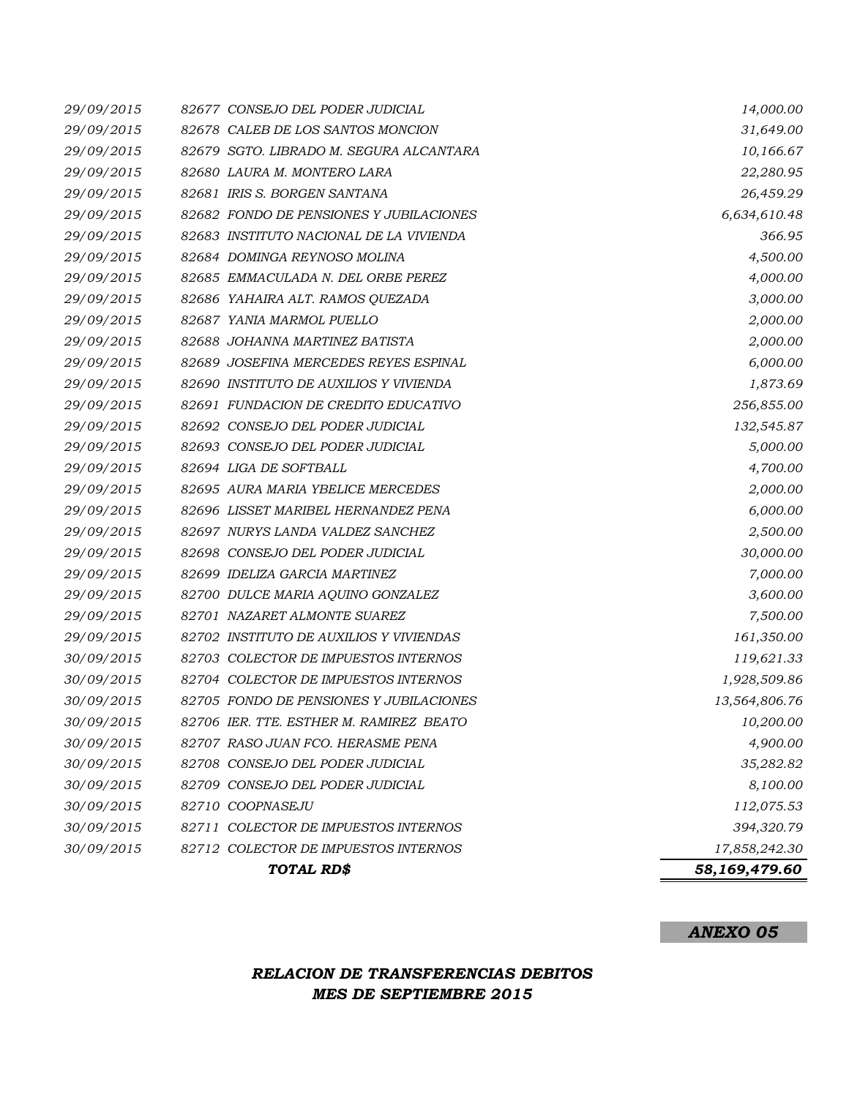|            | TOTAL RD\$                              | 58,169,479.60 |           |
|------------|-----------------------------------------|---------------|-----------|
| 30/09/2015 | 82712 COLECTOR DE IMPUESTOS INTERNOS    | 17,858,242.30 |           |
| 30/09/2015 | 82711 COLECTOR DE IMPUESTOS INTERNOS    | 394,320.79    |           |
| 30/09/2015 | 82710 COOPNASEJU                        | 112,075.53    |           |
| 30/09/2015 | 82709 CONSEJO DEL PODER JUDICIAL        |               | 8,100.00  |
| 30/09/2015 | 82708 CONSEJO DEL PODER JUDICIAL        | 35,282.82     |           |
| 30/09/2015 | 82707 RASO JUAN FCO. HERASME PENA       |               | 4,900.00  |
| 30/09/2015 | 82706 IER. TTE. ESTHER M. RAMIREZ BEATO |               | 10,200.00 |
| 30/09/2015 | 82705 FONDO DE PENSIONES Y JUBILACIONES | 13,564,806.76 |           |
| 30/09/2015 | 82704 COLECTOR DE IMPUESTOS INTERNOS    | 1,928,509.86  |           |
| 30/09/2015 | 82703 COLECTOR DE IMPUESTOS INTERNOS    | 119,621.33    |           |
| 29/09/2015 | 82702 INSTITUTO DE AUXILIOS Y VIVIENDAS | 161,350.00    |           |
| 29/09/2015 | 82701 NAZARET ALMONTE SUAREZ            |               | 7,500.00  |
| 29/09/2015 | 82700 DULCE MARIA AQUINO GONZALEZ       |               | 3,600.00  |
| 29/09/2015 | 82699 IDELIZA GARCIA MARTINEZ           |               | 7,000.00  |
| 29/09/2015 | 82698 CONSEJO DEL PODER JUDICIAL        | 30,000.00     |           |
| 29/09/2015 | 82697 NURYS LANDA VALDEZ SANCHEZ        |               | 2,500.00  |
| 29/09/2015 | 82696 LISSET MARIBEL HERNANDEZ PENA     |               | 6,000.00  |
| 29/09/2015 | 82695 AURA MARIA YBELICE MERCEDES       |               | 2,000.00  |
| 29/09/2015 | 82694 LIGA DE SOFTBALL                  |               | 4,700.00  |
| 29/09/2015 | 82693 CONSEJO DEL PODER JUDICIAL        |               | 5,000.00  |
| 29/09/2015 | 82692 CONSEJO DEL PODER JUDICIAL        | 132,545.87    |           |
| 29/09/2015 | 82691 FUNDACION DE CREDITO EDUCATIVO    | 256,855.00    |           |
| 29/09/2015 | 82690 INSTITUTO DE AUXILIOS Y VIVIENDA  |               | 1,873.69  |
| 29/09/2015 | 82689 JOSEFINA MERCEDES REYES ESPINAL   |               | 6,000.00  |
| 29/09/2015 | 82688 JOHANNA MARTINEZ BATISTA          |               | 2,000.00  |
| 29/09/2015 | 82687 YANIA MARMOL PUELLO               |               | 2,000.00  |
| 29/09/2015 | 82686 YAHAIRA ALT. RAMOS QUEZADA        |               | 3,000.00  |
| 29/09/2015 | 82685 EMMACULADA N. DEL ORBE PEREZ      |               | 4,000.00  |
| 29/09/2015 | 82684 DOMINGA REYNOSO MOLINA            |               | 4,500.00  |
| 29/09/2015 | 82683 INSTITUTO NACIONAL DE LA VIVIENDA |               | 366.95    |
| 29/09/2015 | 82682 FONDO DE PENSIONES Y JUBILACIONES | 6,634,610.48  |           |
| 29/09/2015 | 82681 IRIS S. BORGEN SANTANA            | 26,459.29     |           |
| 29/09/2015 | 82680 LAURA M. MONTERO LARA             | 22,280.95     |           |
| 29/09/2015 | 82679 SGTO. LIBRADO M. SEGURA ALCANTARA | 10,166.67     |           |
| 29/09/2015 | 82678 CALEB DE LOS SANTOS MONCION       | 31,649.00     |           |
| 29/09/2015 | 82677 CONSEJO DEL PODER JUDICIAL        | 14,000.00     |           |

## *ANEXO 05*

## *RELACION DE TRANSFERENCIAS DEBITOS MES DE SEPTIEMBRE 2015*